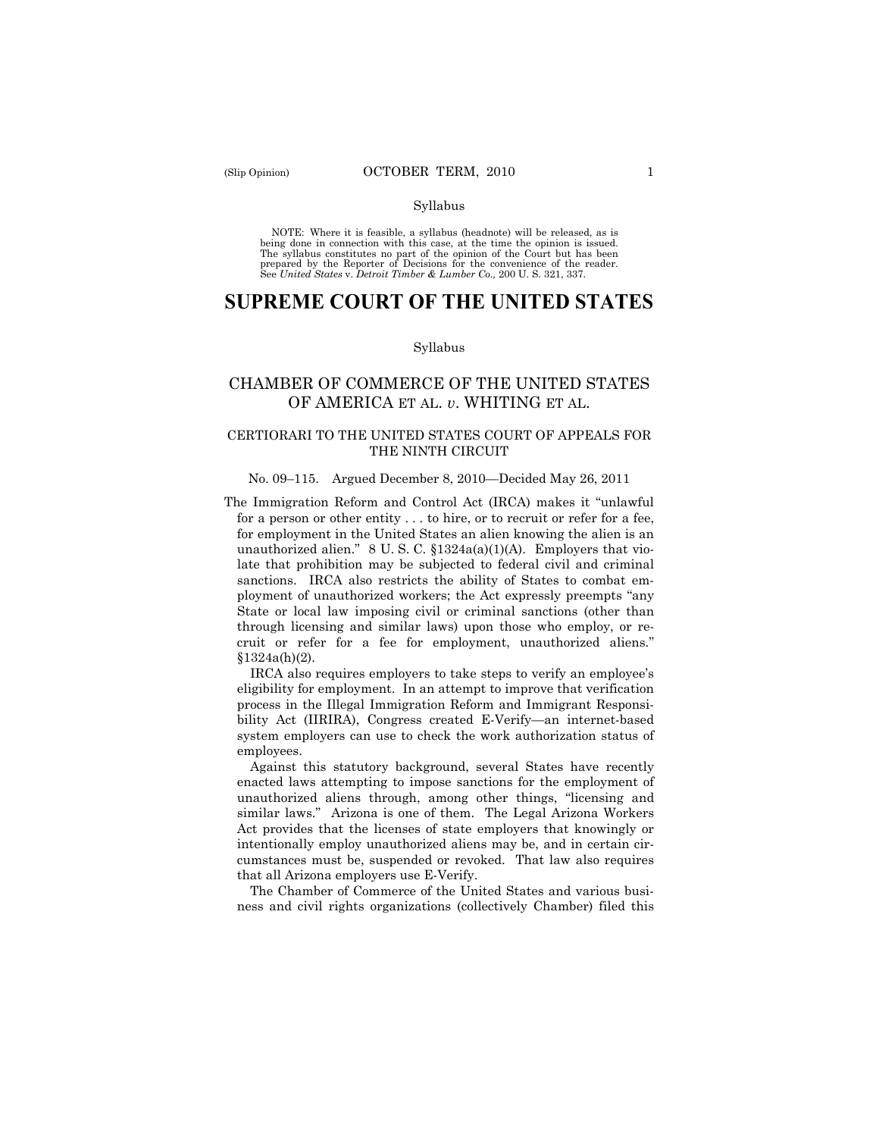#### Syllabus

NOTE: Where it is feasible, a syllabus (headnote) will be released, as is being done in connection with this case, at the time the opinion is issued. The syllabus constitutes no part of the opinion of the Court but has been<br>prepared by the Reporter of Decisions for the convenience of the reader.<br>See United States v. Detroit Timber & Lumber Co., 200 U. S. 321, 337.

# **SUPREME COURT OF THE UNITED STATES**

#### Syllabus

# CHAMBER OF COMMERCE OF THE UNITED STATES OF AMERICA ET AL. *v*. WHITING ET AL.

## CERTIORARI TO THE UNITED STATES COURT OF APPEALS FOR THE NINTH CIRCUIT

## No. 09–115. Argued December 8, 2010—Decided May 26, 2011

The Immigration Reform and Control Act (IRCA) makes it "unlawful for a person or other entity . . . to hire, or to recruit or refer for a fee, for employment in the United States an alien knowing the alien is an unauthorized alien." 8 U.S.C.  $$1324a(a)(1)(A)$ . Employers that violate that prohibition may be subjected to federal civil and criminal sanctions. IRCA also restricts the ability of States to combat employment of unauthorized workers; the Act expressly preempts "any State or local law imposing civil or criminal sanctions (other than through licensing and similar laws) upon those who employ, or recruit or refer for a fee for employment, unauthorized aliens."  $§1324a(h)(2).$ 

IRCA also requires employers to take steps to verify an employee's eligibility for employment. In an attempt to improve that verification process in the Illegal Immigration Reform and Immigrant Responsibility Act (IIRIRA), Congress created E-Verify—an internet-based system employers can use to check the work authorization status of employees.

Against this statutory background, several States have recently enacted laws attempting to impose sanctions for the employment of unauthorized aliens through, among other things, "licensing and similar laws." Arizona is one of them. The Legal Arizona Workers Act provides that the licenses of state employers that knowingly or intentionally employ unauthorized aliens may be, and in certain circumstances must be, suspended or revoked. That law also requires that all Arizona employers use E-Verify.

The Chamber of Commerce of the United States and various business and civil rights organizations (collectively Chamber) filed this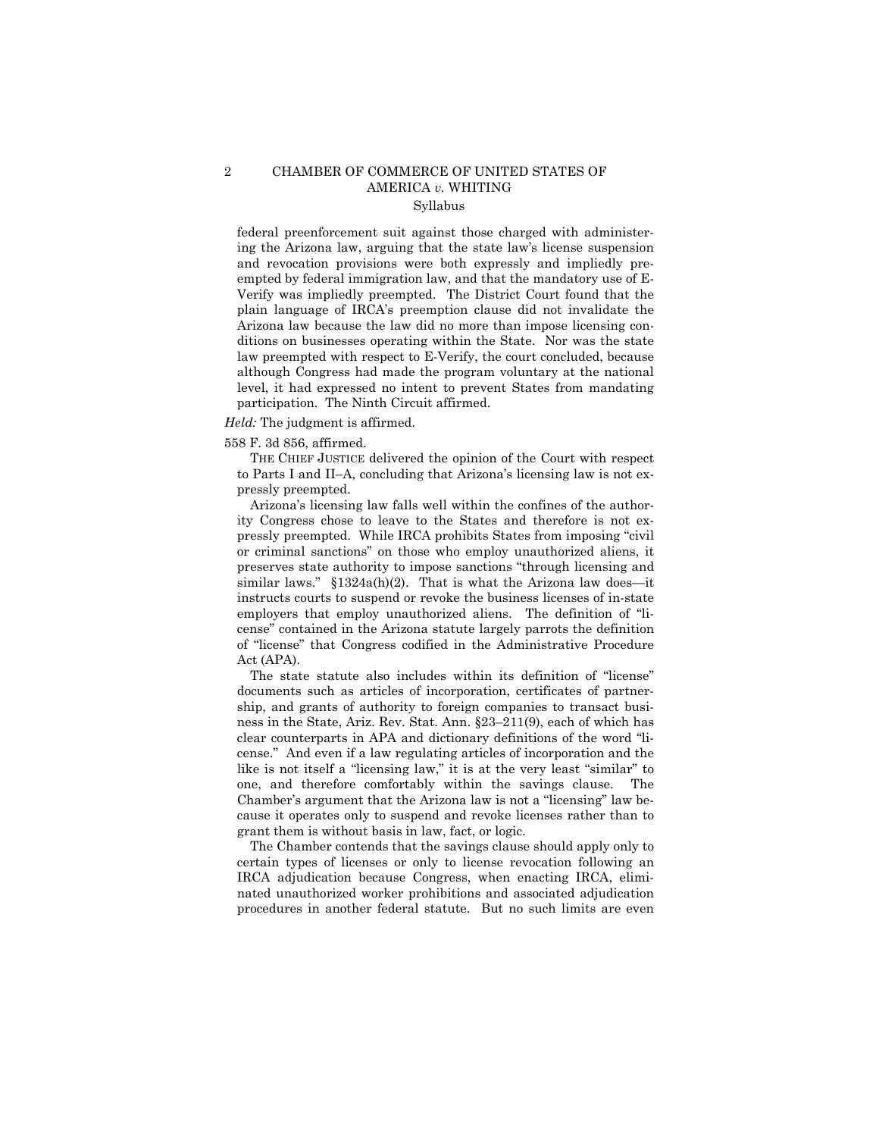## 2 CHAMBER OF COMMERCE OF UNITED STATES OF AMERICA *v.* WHITING Syllabus

federal preenforcement suit against those charged with administering the Arizona law, arguing that the state law's license suspension and revocation provisions were both expressly and impliedly preempted by federal immigration law, and that the mandatory use of E-Verify was impliedly preempted. The District Court found that the plain language of IRCA's preemption clause did not invalidate the Arizona law because the law did no more than impose licensing conditions on businesses operating within the State. Nor was the state law preempted with respect to E-Verify, the court concluded, because although Congress had made the program voluntary at the national level, it had expressed no intent to prevent States from mandating participation. The Ninth Circuit affirmed.

#### *Held:* The judgment is affirmed.

558 F. 3d 856, affirmed.

THE CHIEF JUSTICE delivered the opinion of the Court with respect to Parts I and II–A, concluding that Arizona's licensing law is not expressly preempted.

Arizona's licensing law falls well within the confines of the authority Congress chose to leave to the States and therefore is not expressly preempted. While IRCA prohibits States from imposing "civil or criminal sanctions" on those who employ unauthorized aliens, it preserves state authority to impose sanctions "through licensing and similar laws." §1324a(h)(2). That is what the Arizona law does—it instructs courts to suspend or revoke the business licenses of in-state employers that employ unauthorized aliens. The definition of "license" contained in the Arizona statute largely parrots the definition of "license" that Congress codified in the Administrative Procedure Act (APA).

The state statute also includes within its definition of "license" documents such as articles of incorporation, certificates of partnership, and grants of authority to foreign companies to transact business in the State, Ariz. Rev. Stat. Ann. §23–211(9), each of which has clear counterparts in APA and dictionary definitions of the word "license." And even if a law regulating articles of incorporation and the like is not itself a "licensing law," it is at the very least "similar" to one, and therefore comfortably within the savings clause. The Chamber's argument that the Arizona law is not a "licensing" law because it operates only to suspend and revoke licenses rather than to grant them is without basis in law, fact, or logic.

The Chamber contends that the savings clause should apply only to certain types of licenses or only to license revocation following an IRCA adjudication because Congress, when enacting IRCA, eliminated unauthorized worker prohibitions and associated adjudication procedures in another federal statute. But no such limits are even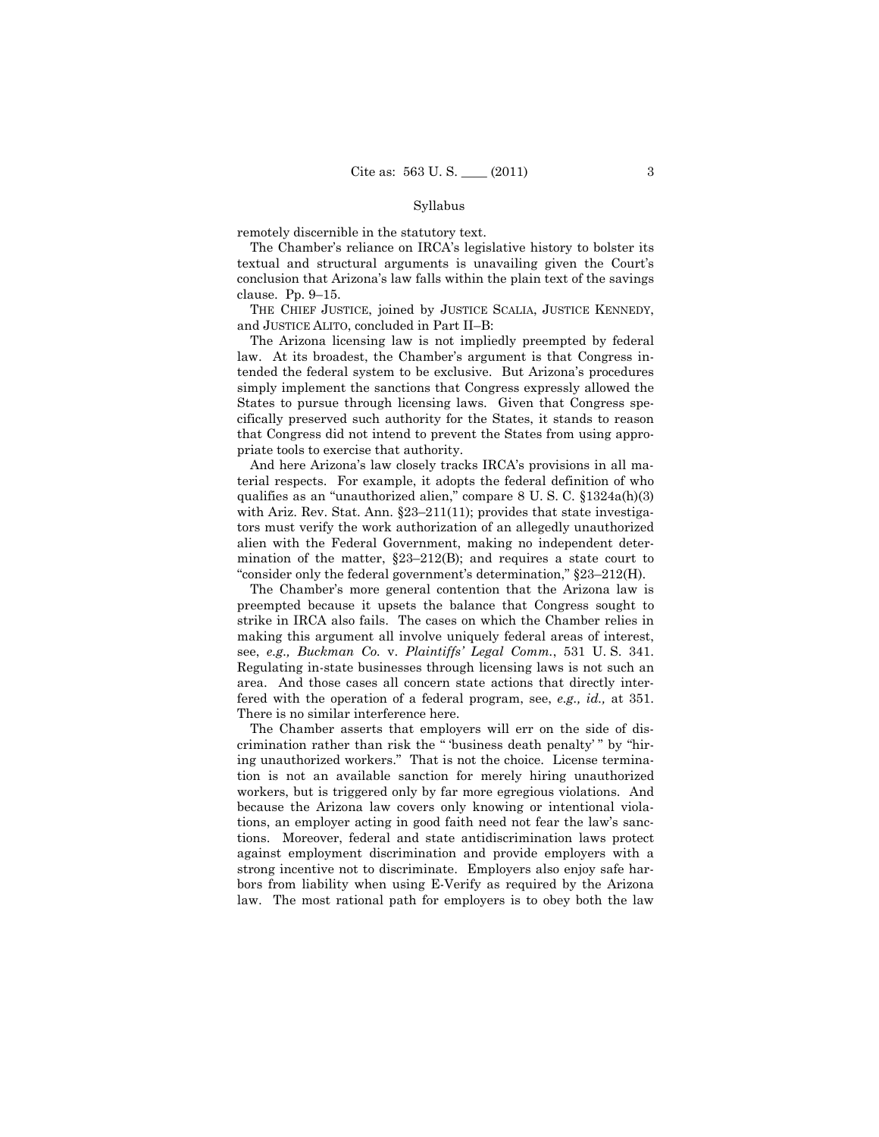#### Syllabus

remotely discernible in the statutory text.

The Chamber's reliance on IRCA's legislative history to bolster its textual and structural arguments is unavailing given the Court's conclusion that Arizona's law falls within the plain text of the savings clause. Pp. 9–15.

THE CHIEF JUSTICE, joined by JUSTICE SCALIA, JUSTICE KENNEDY, and JUSTICE ALITO, concluded in Part II–B:

The Arizona licensing law is not impliedly preempted by federal law. At its broadest, the Chamber's argument is that Congress intended the federal system to be exclusive. But Arizona's procedures simply implement the sanctions that Congress expressly allowed the States to pursue through licensing laws. Given that Congress specifically preserved such authority for the States, it stands to reason that Congress did not intend to prevent the States from using appropriate tools to exercise that authority.

And here Arizona's law closely tracks IRCA's provisions in all material respects. For example, it adopts the federal definition of who qualifies as an "unauthorized alien," compare 8 U. S. C. §1324a(h)(3) with Ariz. Rev. Stat. Ann. §23–211(11); provides that state investigators must verify the work authorization of an allegedly unauthorized alien with the Federal Government, making no independent determination of the matter, §23–212(B); and requires a state court to "consider only the federal government's determination," §23–212(H).

The Chamber's more general contention that the Arizona law is preempted because it upsets the balance that Congress sought to strike in IRCA also fails. The cases on which the Chamber relies in making this argument all involve uniquely federal areas of interest, see, *e.g., Buckman Co.* v. *Plaintiffs' Legal Comm.*, 531 U. S. 341. Regulating in-state businesses through licensing laws is not such an area. And those cases all concern state actions that directly interfered with the operation of a federal program, see, *e.g., id.,* at 351. There is no similar interference here.

The Chamber asserts that employers will err on the side of discrimination rather than risk the " 'business death penalty' " by "hiring unauthorized workers." That is not the choice. License termination is not an available sanction for merely hiring unauthorized workers, but is triggered only by far more egregious violations. And because the Arizona law covers only knowing or intentional violations, an employer acting in good faith need not fear the law's sanctions. Moreover, federal and state antidiscrimination laws protect against employment discrimination and provide employers with a strong incentive not to discriminate. Employers also enjoy safe harbors from liability when using E-Verify as required by the Arizona law. The most rational path for employers is to obey both the law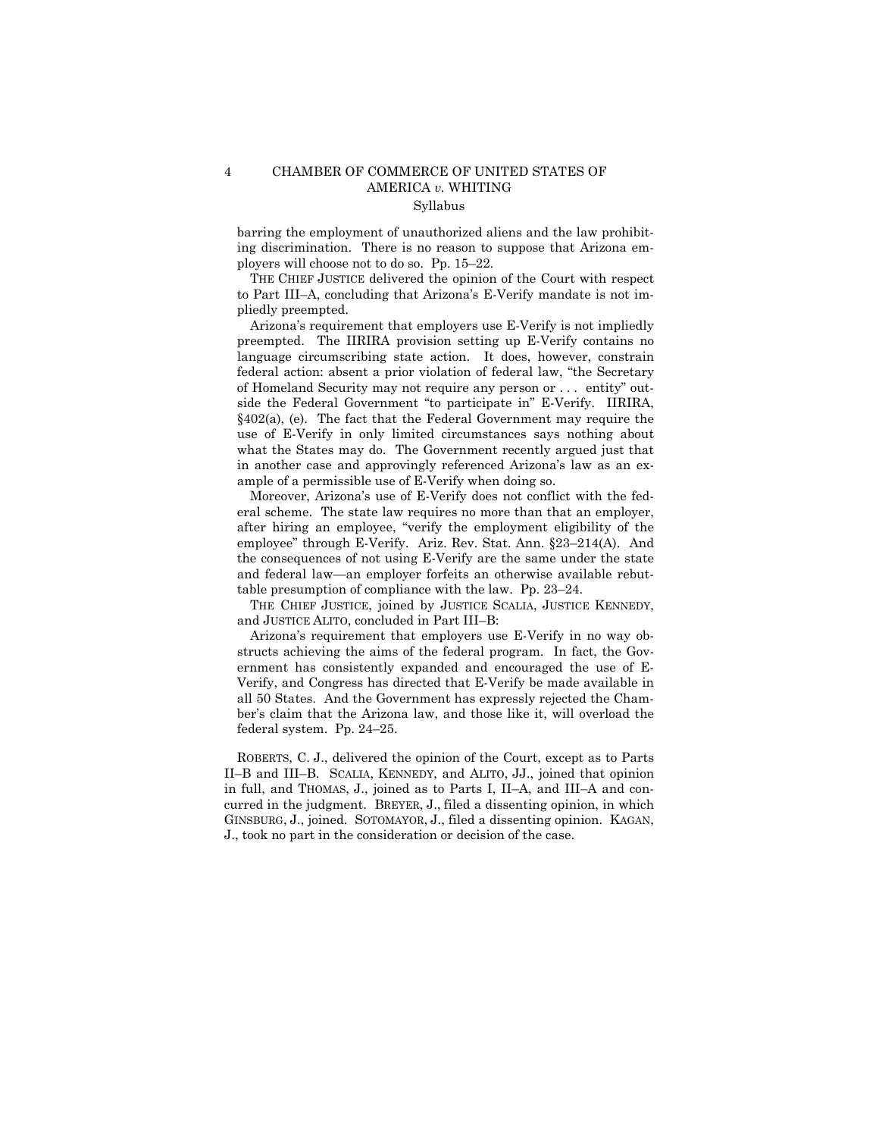## 4 CHAMBER OF COMMERCE OF UNITED STATES OF AMERICA *v.* WHITING Syllabus

barring the employment of unauthorized aliens and the law prohibiting discrimination. There is no reason to suppose that Arizona employers will choose not to do so. Pp. 15–22.

THE CHIEF JUSTICE delivered the opinion of the Court with respect to Part III–A, concluding that Arizona's E-Verify mandate is not impliedly preempted.

 Arizona's requirement that employers use E-Verify is not impliedly preempted. The IIRIRA provision setting up E-Verify contains no language circumscribing state action. It does, however, constrain federal action: absent a prior violation of federal law, "the Secretary of Homeland Security may not require any person or . . . entity" outside the Federal Government "to participate in" E-Verify. IIRIRA, §402(a), (e). The fact that the Federal Government may require the use of E-Verify in only limited circumstances says nothing about what the States may do. The Government recently argued just that in another case and approvingly referenced Arizona's law as an example of a permissible use of E-Verify when doing so.

Moreover, Arizona's use of E-Verify does not conflict with the federal scheme. The state law requires no more than that an employer, after hiring an employee, "verify the employment eligibility of the employee" through E-Verify. Ariz. Rev. Stat. Ann. §23–214(A). And the consequences of not using E-Verify are the same under the state and federal law—an employer forfeits an otherwise available rebuttable presumption of compliance with the law. Pp. 23–24.

THE CHIEF JUSTICE, joined by JUSTICE SCALIA, JUSTICE KENNEDY, and JUSTICE ALITO, concluded in Part III–B:

 Arizona's requirement that employers use E-Verify in no way obstructs achieving the aims of the federal program. In fact, the Government has consistently expanded and encouraged the use of E-Verify, and Congress has directed that E-Verify be made available in all 50 States. And the Government has expressly rejected the Chamber's claim that the Arizona law, and those like it, will overload the federal system. Pp. 24–25.

ROBERTS, C. J., delivered the opinion of the Court, except as to Parts II–B and III–B. SCALIA, KENNEDY, and ALITO, JJ., joined that opinion in full, and THOMAS, J., joined as to Parts I, II–A, and III–A and concurred in the judgment. BREYER, J., filed a dissenting opinion, in which GINSBURG, J., joined. SOTOMAYOR, J., filed a dissenting opinion. KAGAN, J., took no part in the consideration or decision of the case.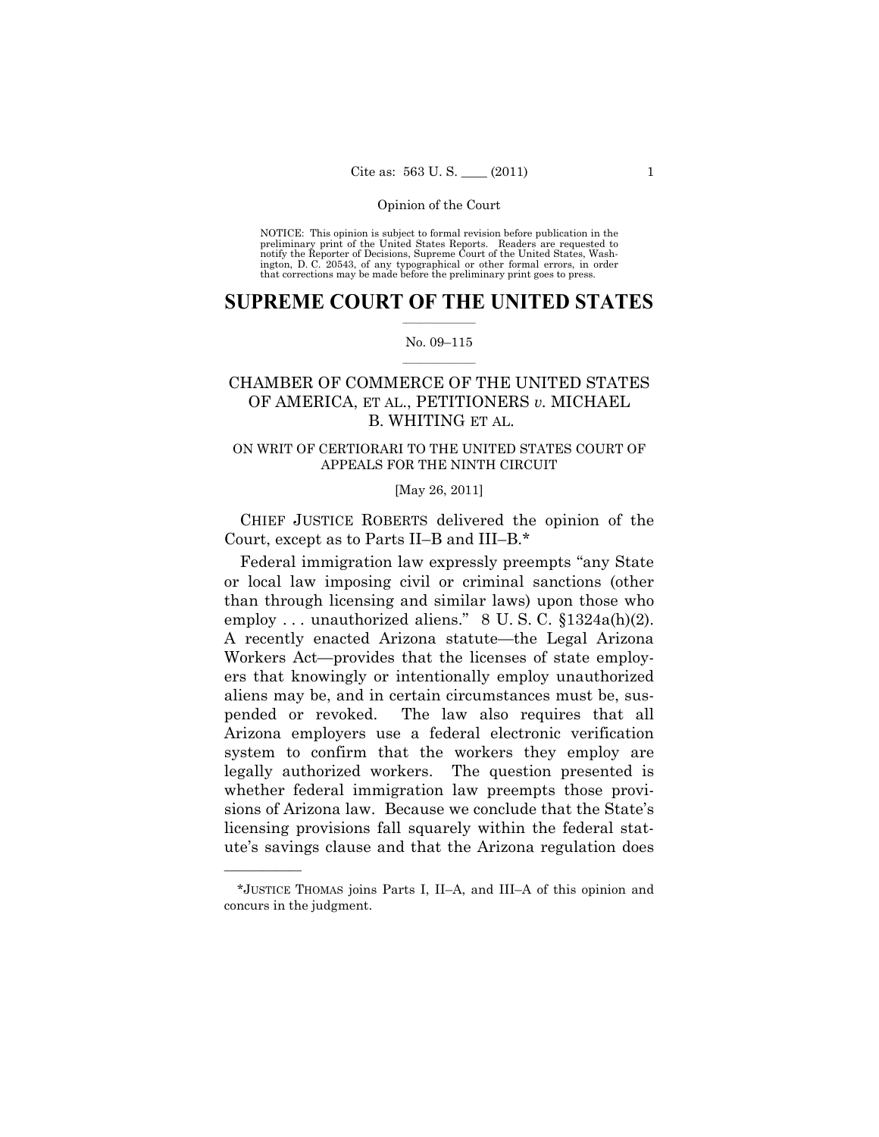#### Opinion of the Court

NOTICE: This opinion is subject to formal revision before publication in the preliminary print of the United States Reports. Readers are requested to notify the Reporter of Decisions, Supreme Court of the United States, Washington, D. C. 20543, of any typographical or other formal errors, in order that corrections may be made before the preliminary print goes to press.

## $\frac{1}{2}$  ,  $\frac{1}{2}$  ,  $\frac{1}{2}$  ,  $\frac{1}{2}$  ,  $\frac{1}{2}$  ,  $\frac{1}{2}$  ,  $\frac{1}{2}$ **SUPREME COURT OF THE UNITED STATES**

## $\frac{1}{2}$  ,  $\frac{1}{2}$  ,  $\frac{1}{2}$  ,  $\frac{1}{2}$  ,  $\frac{1}{2}$  ,  $\frac{1}{2}$ No. 09–115

# CHAMBER OF COMMERCE OF THE UNITED STATES OF AMERICA, ET AL., PETITIONERS *v.* MICHAEL B. WHITING ET AL.

## ON WRIT OF CERTIORARI TO THE UNITED STATES COURT OF APPEALS FOR THE NINTH CIRCUIT

## [May 26, 2011]

 CHIEF JUSTICE ROBERTS delivered the opinion of the Court, except as to Parts II–B and III–B.\*

Federal immigration law expressly preempts "any State or local law imposing civil or criminal sanctions (other than through licensing and similar laws) upon those who employ ... unauthorized aliens."  $8 \text{ U.S. C. } \S 1324a(h)(2)$ . A recently enacted Arizona statute—the Legal Arizona Workers Act—provides that the licenses of state employers that knowingly or intentionally employ unauthorized aliens may be, and in certain circumstances must be, suspended or revoked. The law also requires that all Arizona employers use a federal electronic verification system to confirm that the workers they employ are legally authorized workers. The question presented is whether federal immigration law preempts those provisions of Arizona law. Because we conclude that the State's licensing provisions fall squarely within the federal statute's savings clause and that the Arizona regulation does

<sup>\*</sup>JUSTICE THOMAS joins Parts I, II–A, and III–A of this opinion and concurs in the judgment.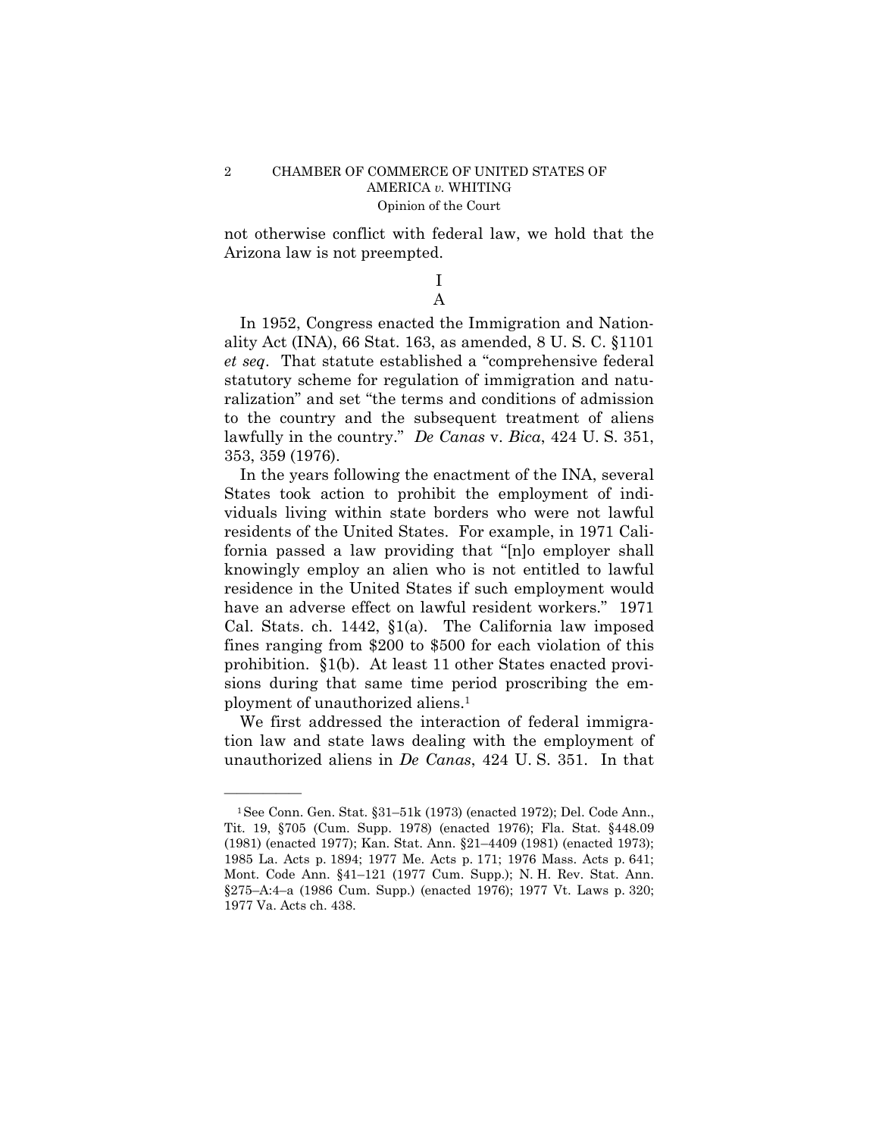not otherwise conflict with federal law, we hold that the Arizona law is not preempted.

## I A

In 1952, Congress enacted the Immigration and Nationality Act (INA), 66 Stat. 163, as amended, 8 U. S. C. §1101 *et seq*. That statute established a "comprehensive federal statutory scheme for regulation of immigration and naturalization" and set "the terms and conditions of admission to the country and the subsequent treatment of aliens lawfully in the country." *De Canas* v. *Bica*, 424 U. S. 351, 353, 359 (1976).

In the years following the enactment of the INA, several States took action to prohibit the employment of individuals living within state borders who were not lawful residents of the United States. For example, in 1971 California passed a law providing that "[n]o employer shall knowingly employ an alien who is not entitled to lawful residence in the United States if such employment would have an adverse effect on lawful resident workers." 1971 Cal. Stats. ch. 1442, §1(a). The California law imposed fines ranging from \$200 to \$500 for each violation of this prohibition. §1(b). At least 11 other States enacted provisions during that same time period proscribing the employment of unauthorized aliens.1

We first addressed the interaction of federal immigration law and state laws dealing with the employment of unauthorized aliens in *De Canas*, 424 U. S. 351. In that

<sup>1</sup>See Conn. Gen. Stat. §31–51k (1973) (enacted 1972); Del. Code Ann., Tit. 19, §705 (Cum. Supp. 1978) (enacted 1976); Fla. Stat. §448.09 (1981) (enacted 1977); Kan. Stat. Ann. §21–4409 (1981) (enacted 1973); 1985 La. Acts p. 1894; 1977 Me. Acts p. 171; 1976 Mass. Acts p. 641; Mont. Code Ann. §41–121 (1977 Cum. Supp.); N. H. Rev. Stat. Ann. §275–A:4–a (1986 Cum. Supp.) (enacted 1976); 1977 Vt. Laws p. 320; 1977 Va. Acts ch. 438.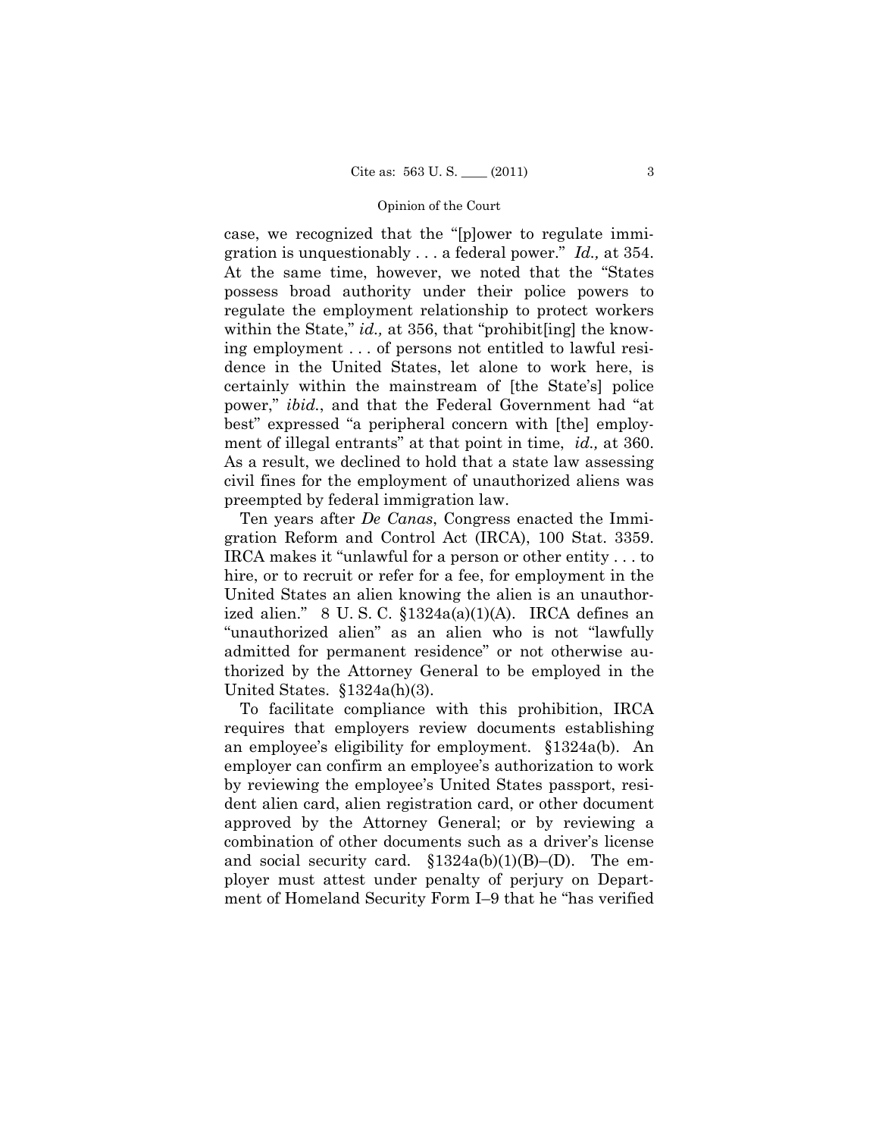#### Opinion of the Court

case, we recognized that the "[p]ower to regulate immigration is unquestionably . . . a federal power." *Id.,* at 354. At the same time, however, we noted that the "States possess broad authority under their police powers to regulate the employment relationship to protect workers within the State," *id.*, at 356, that "prohibit[ing] the knowing employment . . . of persons not entitled to lawful residence in the United States, let alone to work here, is certainly within the mainstream of [the State's] police power," *ibid.*, and that the Federal Government had "at best" expressed "a peripheral concern with [the] employment of illegal entrants" at that point in time, *id.,* at 360. As a result, we declined to hold that a state law assessing civil fines for the employment of unauthorized aliens was preempted by federal immigration law.

 Ten years after *De Canas*, Congress enacted the Immigration Reform and Control Act (IRCA), 100 Stat. 3359. IRCA makes it "unlawful for a person or other entity . . . to hire, or to recruit or refer for a fee, for employment in the United States an alien knowing the alien is an unauthorized alien." 8 U. S. C. §1324a(a)(1)(A). IRCA defines an "unauthorized alien" as an alien who is not "lawfully admitted for permanent residence" or not otherwise authorized by the Attorney General to be employed in the United States. §1324a(h)(3).

To facilitate compliance with this prohibition, IRCA requires that employers review documents establishing an employee's eligibility for employment. §1324a(b). An employer can confirm an employee's authorization to work by reviewing the employee's United States passport, resident alien card, alien registration card, or other document approved by the Attorney General; or by reviewing a combination of other documents such as a driver's license and social security card.  $$1324a(b)(1)(B)- (D)$ . The employer must attest under penalty of perjury on Department of Homeland Security Form I–9 that he "has verified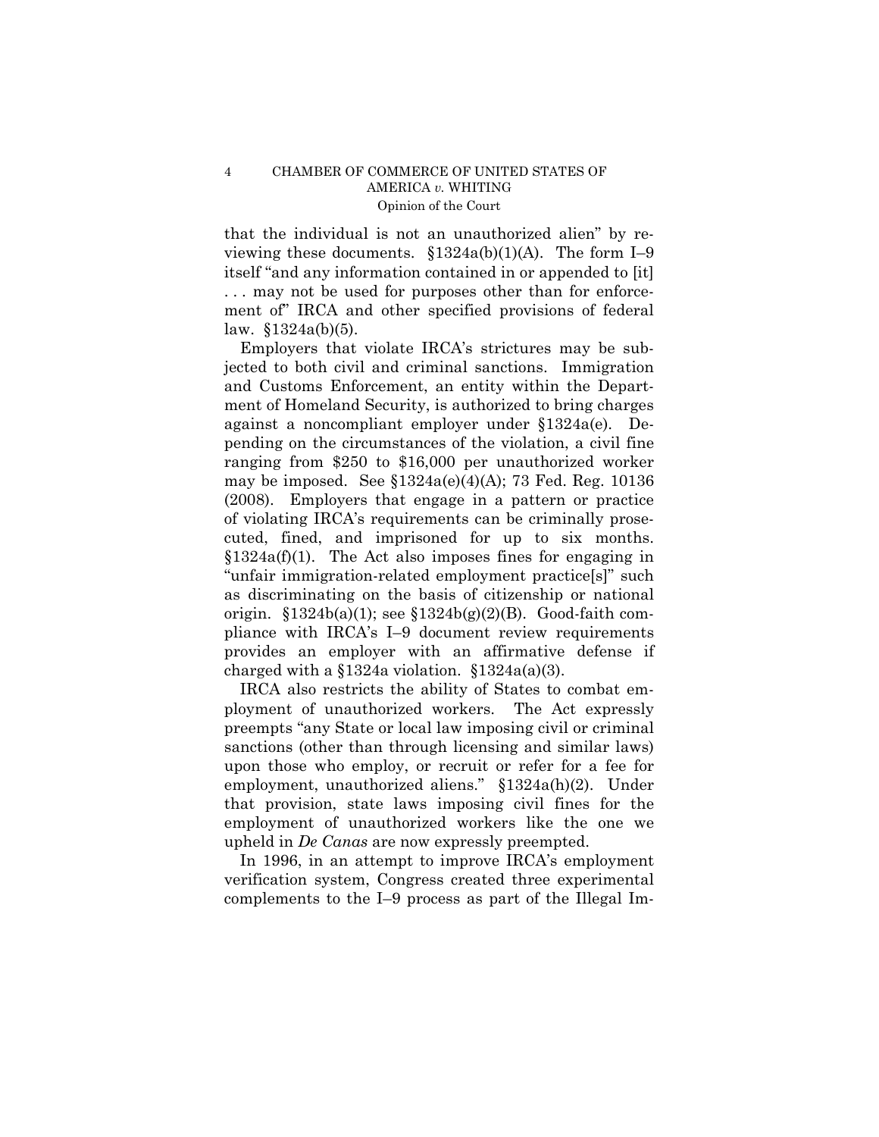that the individual is not an unauthorized alien" by reviewing these documents.  $$1324a(b)(1)(A)$ . The form I-9 itself "and any information contained in or appended to [it] . . . may not be used for purposes other than for enforcement of" IRCA and other specified provisions of federal law. §1324a(b)(5).

Employers that violate IRCA's strictures may be subjected to both civil and criminal sanctions. Immigration and Customs Enforcement, an entity within the Department of Homeland Security, is authorized to bring charges against a noncompliant employer under §1324a(e). Depending on the circumstances of the violation, a civil fine ranging from \$250 to \$16,000 per unauthorized worker may be imposed. See  $$1324a(e)(4)(A); 73$  Fed. Reg. 10136 (2008). Employers that engage in a pattern or practice of violating IRCA's requirements can be criminally prosecuted, fined, and imprisoned for up to six months.  $§1324a(f)(1)$ . The Act also imposes fines for engaging in "unfair immigration-related employment practice[s]" such as discriminating on the basis of citizenship or national origin.  $$1324b(a)(1)$ ; see  $$1324b(g)(2)(B)$ . Good-faith compliance with IRCA's I–9 document review requirements provides an employer with an affirmative defense if charged with a  $$1324a$  violation.  $$1324a(a)(3)$ .

IRCA also restricts the ability of States to combat employment of unauthorized workers. The Act expressly preempts "any State or local law imposing civil or criminal sanctions (other than through licensing and similar laws) upon those who employ, or recruit or refer for a fee for employment, unauthorized aliens." §1324a(h)(2). Under that provision, state laws imposing civil fines for the employment of unauthorized workers like the one we upheld in *De Canas* are now expressly preempted.

In 1996, in an attempt to improve IRCA's employment verification system, Congress created three experimental complements to the I–9 process as part of the Illegal Im-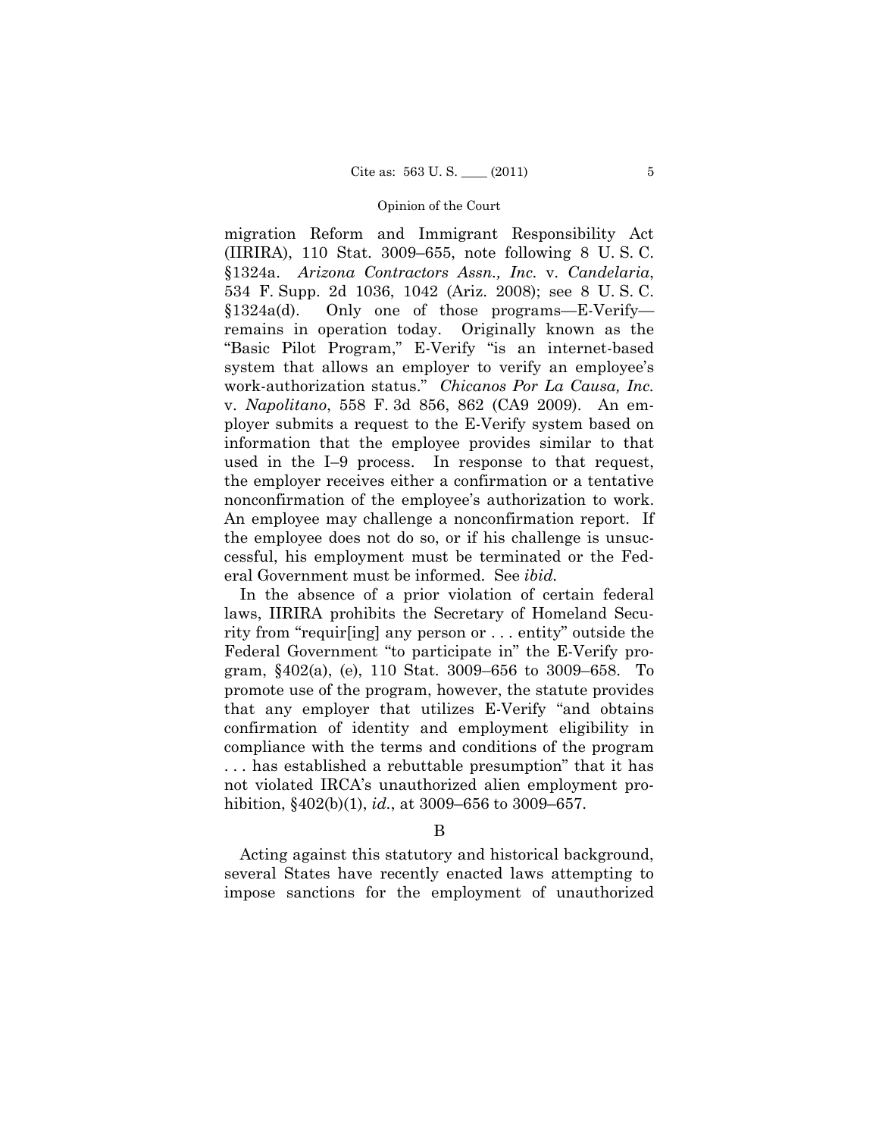#### Opinion of the Court

migration Reform and Immigrant Responsibility Act (IIRIRA), 110 Stat. 3009–655, note following 8 U. S. C. §1324a. *Arizona Contractors Assn., Inc.* v. *Candelaria*, 534 F. Supp. 2d 1036, 1042 (Ariz. 2008); see 8 U. S. C. §1324a(d). Only one of those programs—E-Verify remains in operation today. Originally known as the "Basic Pilot Program," E-Verify "is an internet-based system that allows an employer to verify an employee's work-authorization status." *Chicanos Por La Causa, Inc.*  v. *Napolitano*, 558 F. 3d 856, 862 (CA9 2009). An employer submits a request to the E-Verify system based on information that the employee provides similar to that used in the I–9 process. In response to that request, the employer receives either a confirmation or a tentative nonconfirmation of the employee's authorization to work. An employee may challenge a nonconfirmation report. If the employee does not do so, or if his challenge is unsuccessful, his employment must be terminated or the Federal Government must be informed. See *ibid.* 

In the absence of a prior violation of certain federal laws, IIRIRA prohibits the Secretary of Homeland Security from "requir[ing] any person or . . . entity" outside the Federal Government "to participate in" the E-Verify program, §402(a), (e), 110 Stat. 3009–656 to 3009–658. To promote use of the program, however, the statute provides that any employer that utilizes E-Verify "and obtains confirmation of identity and employment eligibility in compliance with the terms and conditions of the program . . . has established a rebuttable presumption" that it has not violated IRCA's unauthorized alien employment prohibition, §402(b)(1), *id.*, at 3009–656 to 3009–657.

## B

Acting against this statutory and historical background, several States have recently enacted laws attempting to impose sanctions for the employment of unauthorized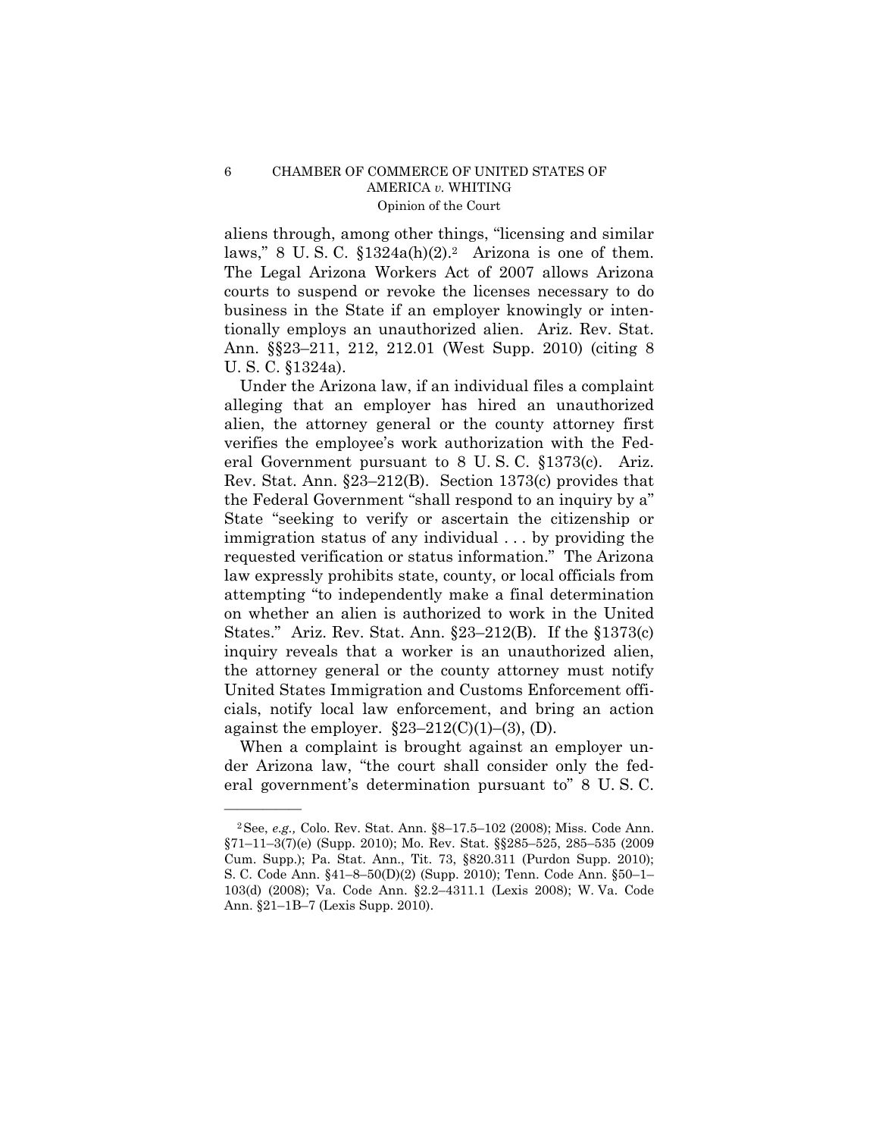## 6 CHAMBER OF COMMERCE OF UNITED STATES OF AMERICA *v.* WHITING Opinion of the Court

aliens through, among other things, "licensing and similar laws," 8 U.S.C.  $$1324a(h)(2).^{2}$  Arizona is one of them. The Legal Arizona Workers Act of 2007 allows Arizona courts to suspend or revoke the licenses necessary to do business in the State if an employer knowingly or intentionally employs an unauthorized alien. Ariz. Rev. Stat. Ann. §§23–211, 212, 212.01 (West Supp. 2010) (citing 8 U. S. C. §1324a).

Under the Arizona law, if an individual files a complaint alleging that an employer has hired an unauthorized alien, the attorney general or the county attorney first verifies the employee's work authorization with the Federal Government pursuant to 8 U. S. C. §1373(c). Ariz. Rev. Stat. Ann. §23–212(B). Section 1373(c) provides that the Federal Government "shall respond to an inquiry by a" State "seeking to verify or ascertain the citizenship or immigration status of any individual . . . by providing the requested verification or status information." The Arizona law expressly prohibits state, county, or local officials from attempting "to independently make a final determination on whether an alien is authorized to work in the United States." Ariz. Rev. Stat. Ann. §23–212(B)*.* If the §1373(c) inquiry reveals that a worker is an unauthorized alien, the attorney general or the county attorney must notify United States Immigration and Customs Enforcement officials, notify local law enforcement, and bring an action against the employer.  $\S 23 - 212(C)(1) - (3)$ , (D).

When a complaint is brought against an employer under Arizona law, "the court shall consider only the federal government's determination pursuant to" 8 U. S. C.

<sup>2</sup>See, *e.g.,* Colo. Rev. Stat. Ann. §8–17.5–102 (2008); Miss. Code Ann. §71–11–3(7)(e) (Supp. 2010); Mo. Rev. Stat. §§285–525, 285–535 (2009 Cum. Supp.); Pa. Stat. Ann., Tit. 73, §820.311 (Purdon Supp. 2010); S. C. Code Ann. §41–8–50(D)(2) (Supp. 2010); Tenn. Code Ann. §50–1– 103(d) (2008); Va. Code Ann. §2.2–4311.1 (Lexis 2008); W. Va. Code Ann. §21–1B–7 (Lexis Supp. 2010).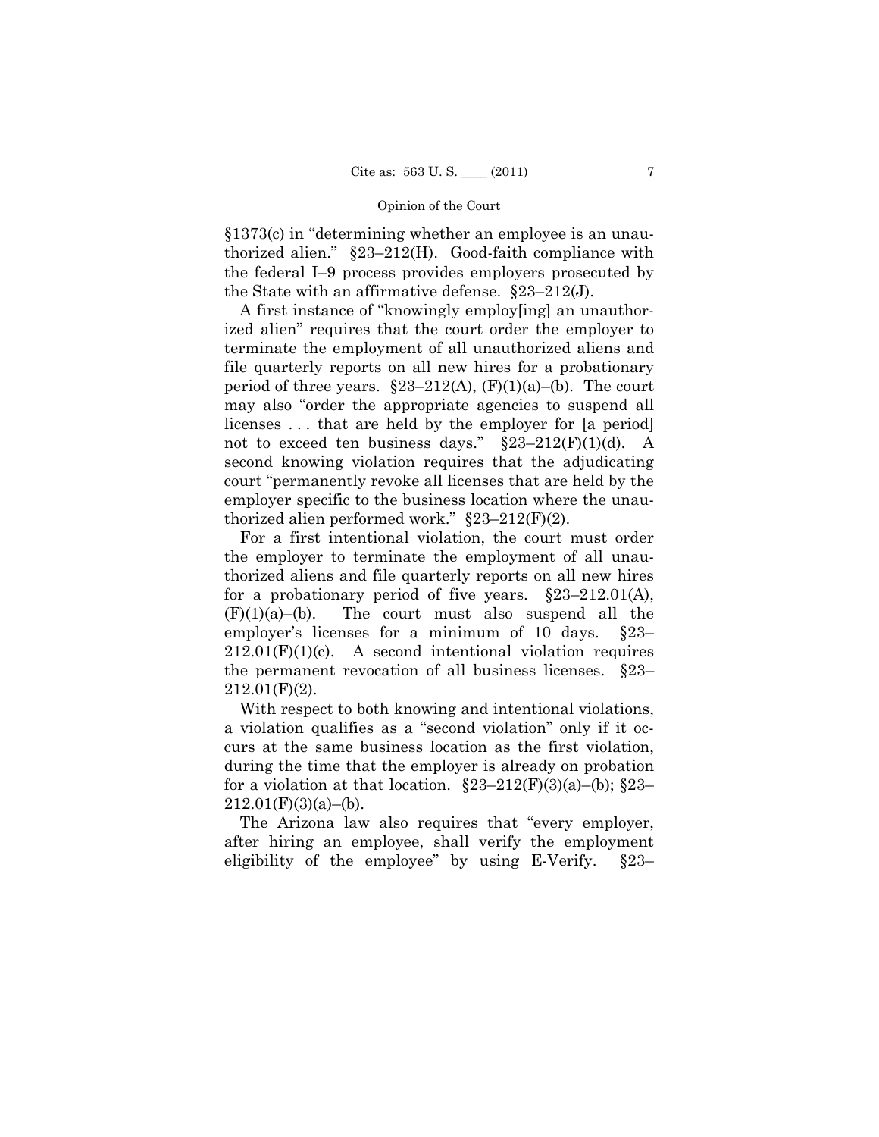## Opinion of the Court

§1373(c) in "determining whether an employee is an unauthorized alien." §23–212(H). Good-faith compliance with the federal I–9 process provides employers prosecuted by the State with an affirmative defense. §23–212(J).

A first instance of "knowingly employ[ing] an unauthorized alien" requires that the court order the employer to terminate the employment of all unauthorized aliens and file quarterly reports on all new hires for a probationary period of three years.  $\S23-212(A)$ ,  $(F)(1)(a)$ –(b). The court may also "order the appropriate agencies to suspend all licenses . . . that are held by the employer for [a period] not to exceed ten business days."  $\S 23-212(F)(1)(d)$ . A second knowing violation requires that the adjudicating court "permanently revoke all licenses that are held by the employer specific to the business location where the unauthorized alien performed work." §23–212(F)(2).

For a first intentional violation, the court must order the employer to terminate the employment of all unauthorized aliens and file quarterly reports on all new hires for a probationary period of five years.  $\S23-212.01(A)$ ,  $(F)(1)(a)$ –(b). The court must also suspend all the employer's licenses for a minimum of 10 days. §23–  $212.01(F)(1)(c)$ . A second intentional violation requires the permanent revocation of all business licenses. §23– 212.01(F)(2).

With respect to both knowing and intentional violations, a violation qualifies as a "second violation" only if it occurs at the same business location as the first violation, during the time that the employer is already on probation for a violation at that location.  $\S23-212(F)(3)(a)$ –(b);  $\S23 212.01(F)(3)(a)–(b).$ 

The Arizona law also requires that "every employer, after hiring an employee, shall verify the employment eligibility of the employee" by using E-Verify. §23–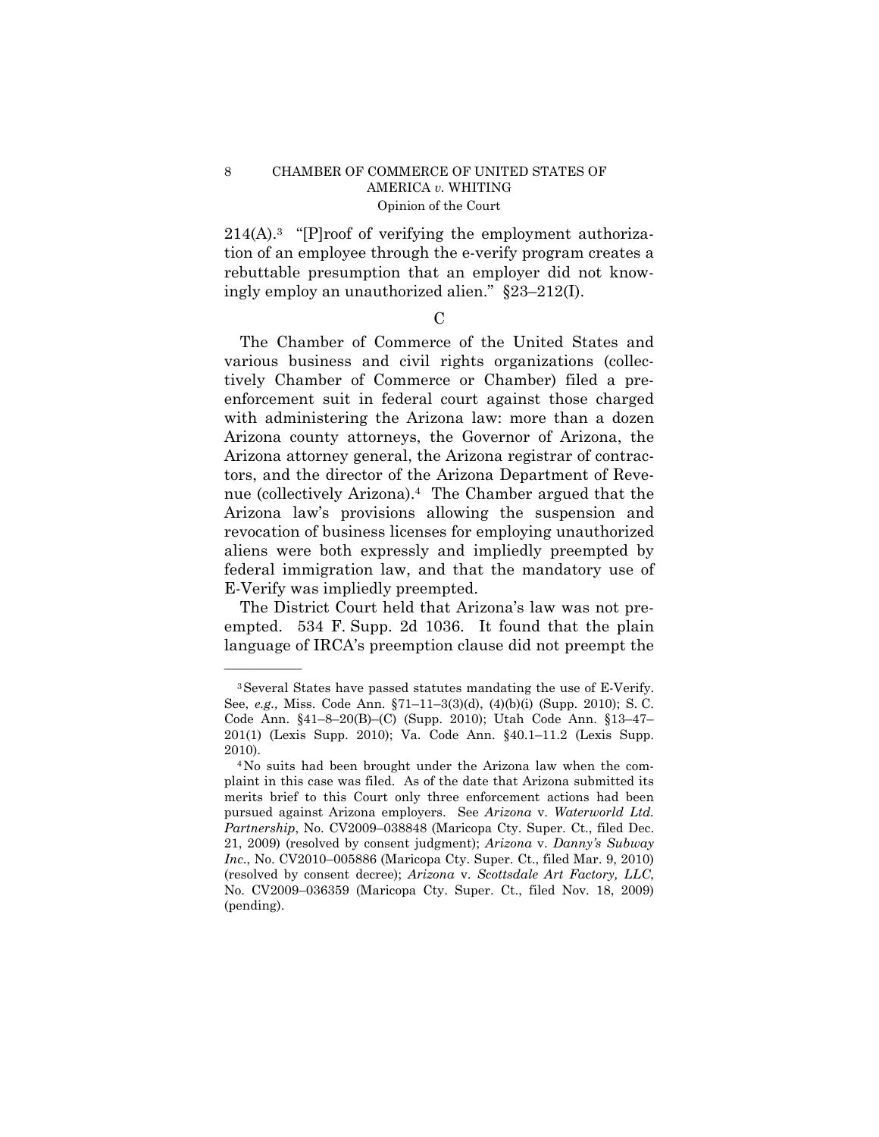## 8 CHAMBER OF COMMERCE OF UNITED STATES OF AMERICA *v.* WHITING Opinion of the Court

 $214(A).$ <sup>3</sup> "[P]roof of verifying the employment authorization of an employee through the e-verify program creates a rebuttable presumption that an employer did not knowingly employ an unauthorized alien." §23–212(I).

 $\mathcal{C}$ 

The Chamber of Commerce of the United States and various business and civil rights organizations (collectively Chamber of Commerce or Chamber) filed a preenforcement suit in federal court against those charged with administering the Arizona law: more than a dozen Arizona county attorneys, the Governor of Arizona, the Arizona attorney general, the Arizona registrar of contractors, and the director of the Arizona Department of Revenue (collectively Arizona).4 The Chamber argued that the Arizona law's provisions allowing the suspension and revocation of business licenses for employing unauthorized aliens were both expressly and impliedly preempted by federal immigration law, and that the mandatory use of E-Verify was impliedly preempted.

The District Court held that Arizona's law was not preempted. 534 F. Supp. 2d 1036. It found that the plain language of IRCA's preemption clause did not preempt the

<sup>3</sup>Several States have passed statutes mandating the use of E-Verify. See, *e.g.,* Miss. Code Ann. §71–11–3(3)(d), (4)(b)(i) (Supp. 2010); S. C. Code Ann. §41–8–20(B)–(C) (Supp. 2010); Utah Code Ann. §13–47– 201(1) (Lexis Supp. 2010); Va. Code Ann. §40.1–11.2 (Lexis Supp. 2010).

<sup>4</sup>No suits had been brought under the Arizona law when the complaint in this case was filed. As of the date that Arizona submitted its merits brief to this Court only three enforcement actions had been pursued against Arizona employers. See *Arizona* v. *Waterworld Ltd. Partnership*, No. CV2009-038848 (Maricopa Cty. Super. Ct., filed Dec. 21, 2009) (resolved by consent judgment); *Arizona* v. *Danny's Subway Inc*., No. CV2010–005886 (Maricopa Cty. Super. Ct., filed Mar. 9, 2010) (resolved by consent decree); *Arizona* v. *Scottsdale Art Factory, LLC*, No. CV2009–036359 (Maricopa Cty. Super. Ct., filed Nov. 18, 2009) (pending).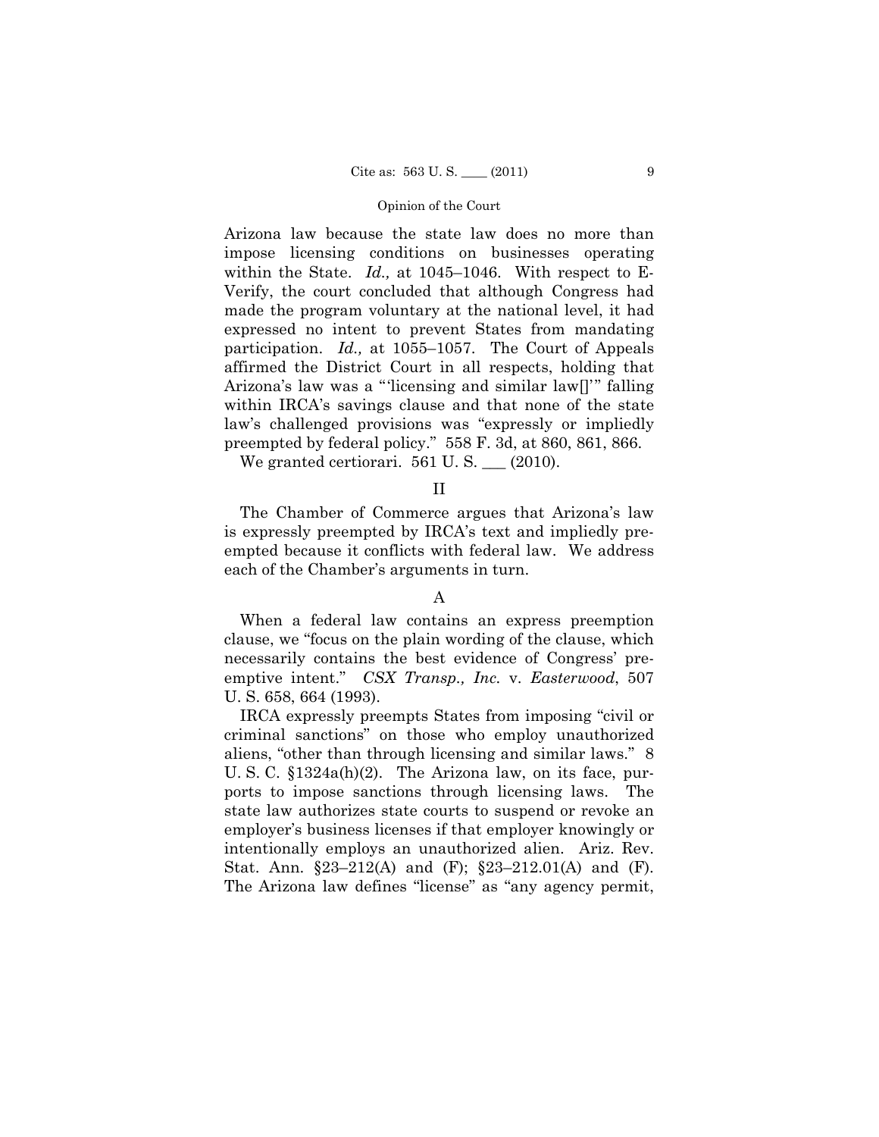## Opinion of the Court

Arizona law because the state law does no more than impose licensing conditions on businesses operating within the State. *Id.,* at 1045–1046. With respect to E-Verify, the court concluded that although Congress had made the program voluntary at the national level, it had expressed no intent to prevent States from mandating participation. *Id.,* at 1055–1057. The Court of Appeals affirmed the District Court in all respects, holding that Arizona's law was a "'licensing and similar law[]'" falling within IRCA's savings clause and that none of the state law's challenged provisions was "expressly or impliedly preempted by federal policy." 558 F. 3d, at 860, 861, 866.

We granted certiorari.  $561$  U.S.  $\_\_$  (2010).

II

The Chamber of Commerce argues that Arizona's law is expressly preempted by IRCA's text and impliedly preempted because it conflicts with federal law. We address each of the Chamber's arguments in turn.

## A

When a federal law contains an express preemption clause, we "focus on the plain wording of the clause, which necessarily contains the best evidence of Congress' preemptive intent." *CSX Transp., Inc.* v. *Easterwood*, 507 U. S. 658, 664 (1993).

IRCA expressly preempts States from imposing "civil or criminal sanctions" on those who employ unauthorized aliens, "other than through licensing and similar laws." 8 U. S. C. §1324a(h)(2). The Arizona law, on its face, purports to impose sanctions through licensing laws. The state law authorizes state courts to suspend or revoke an employer's business licenses if that employer knowingly or intentionally employs an unauthorized alien. Ariz. Rev. Stat. Ann. §23–212(A) and (F); §23–212.01(A) and (F). The Arizona law defines "license" as "any agency permit,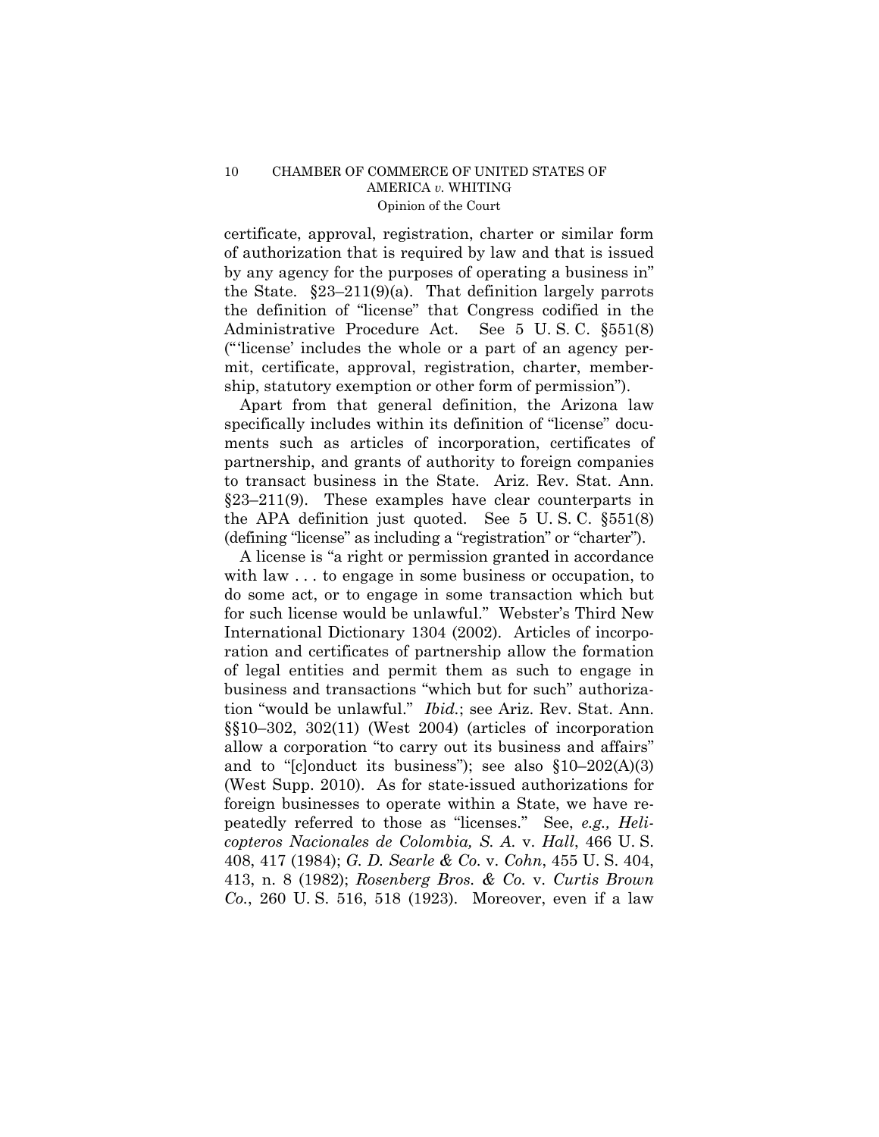certificate, approval, registration, charter or similar form of authorization that is required by law and that is issued by any agency for the purposes of operating a business in" the State.  $\S 23-211(9)(a)$ . That definition largely parrots the definition of "license" that Congress codified in the Administrative Procedure Act. See 5 U. S. C. §551(8) ("'license' includes the whole or a part of an agency permit, certificate, approval, registration, charter, membership, statutory exemption or other form of permission").

Apart from that general definition, the Arizona law specifically includes within its definition of "license" documents such as articles of incorporation, certificates of partnership, and grants of authority to foreign companies to transact business in the State. Ariz. Rev. Stat. Ann. §23–211(9). These examples have clear counterparts in the APA definition just quoted. See 5 U. S. C. §551(8) (defining "license" as including a "registration" or "charter").

A license is "a right or permission granted in accordance with law . . . to engage in some business or occupation, to do some act, or to engage in some transaction which but for such license would be unlawful." Webster's Third New International Dictionary 1304 (2002). Articles of incorporation and certificates of partnership allow the formation of legal entities and permit them as such to engage in business and transactions "which but for such" authorization "would be unlawful." *Ibid.*; see Ariz. Rev. Stat. Ann. §§10–302, 302(11) (West 2004) (articles of incorporation allow a corporation "to carry out its business and affairs" and to " $[cl]$ onduct its business"); see also  $$10-202(A)(3)$ (West Supp. 2010). As for state-issued authorizations for foreign businesses to operate within a State, we have repeatedly referred to those as "licenses." See, *e.g., Helicopteros Nacionales de Colombia, S. A.* v. *Hall*, 466 U. S. 408, 417 (1984); *G. D. Searle & Co.* v. *Cohn*, 455 U. S. 404, 413, n. 8 (1982); *Rosenberg Bros. & Co.* v. *Curtis Brown Co.*, 260 U. S. 516, 518 (1923). Moreover, even if a law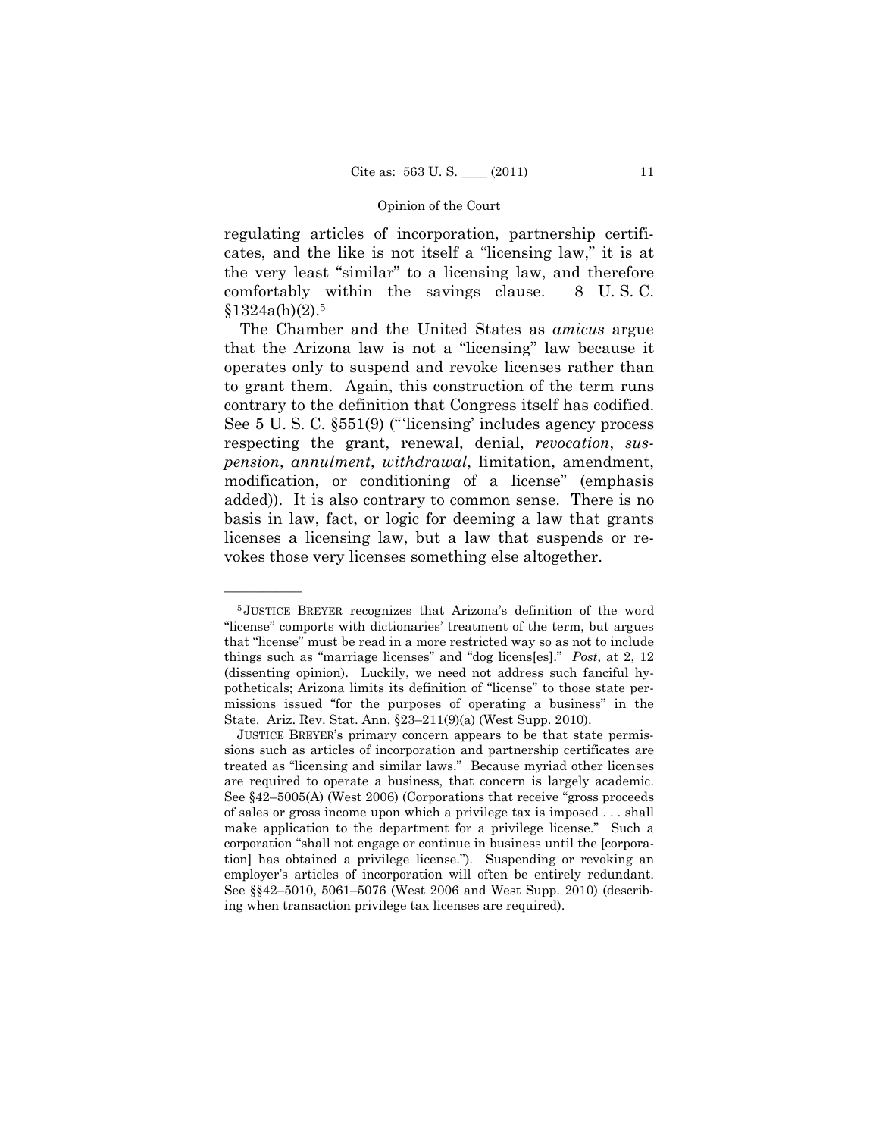#### Opinion of the Court

regulating articles of incorporation, partnership certificates, and the like is not itself a "licensing law," it is at the very least "similar" to a licensing law, and therefore comfortably within the savings clause. 8 U. S. C.  $$1324a(h)(2).5$ 

The Chamber and the United States as *amicus* argue that the Arizona law is not a "licensing" law because it operates only to suspend and revoke licenses rather than to grant them. Again, this construction of the term runs contrary to the definition that Congress itself has codified. See 5 U. S. C. §551(9) ("'licensing' includes agency process respecting the grant, renewal, denial, *revocation*, *suspension*, *annulment*, *withdrawal*, limitation, amendment, modification, or conditioning of a license" (emphasis added)). It is also contrary to common sense. There is no basis in law, fact, or logic for deeming a law that grants licenses a licensing law, but a law that suspends or revokes those very licenses something else altogether.

<sup>5</sup> JUSTICE BREYER recognizes that Arizona's definition of the word "license" comports with dictionaries' treatment of the term, but argues that "license" must be read in a more restricted way so as not to include things such as "marriage licenses" and "dog licens[es]." *Post*, at 2, 12 (dissenting opinion). Luckily, we need not address such fanciful hypotheticals; Arizona limits its definition of "license" to those state permissions issued "for the purposes of operating a business" in the State. Ariz. Rev. Stat. Ann. §23–211(9)(a) (West Supp. 2010).

JUSTICE BREYER's primary concern appears to be that state permissions such as articles of incorporation and partnership certificates are treated as "licensing and similar laws." Because myriad other licenses are required to operate a business, that concern is largely academic. See §42–5005(A) (West 2006) (Corporations that receive "gross proceeds of sales or gross income upon which a privilege tax is imposed . . . shall make application to the department for a privilege license." Such a corporation "shall not engage or continue in business until the [corporation] has obtained a privilege license."). Suspending or revoking an employer's articles of incorporation will often be entirely redundant. See §§42–5010, 5061–5076 (West 2006 and West Supp. 2010) (describing when transaction privilege tax licenses are required).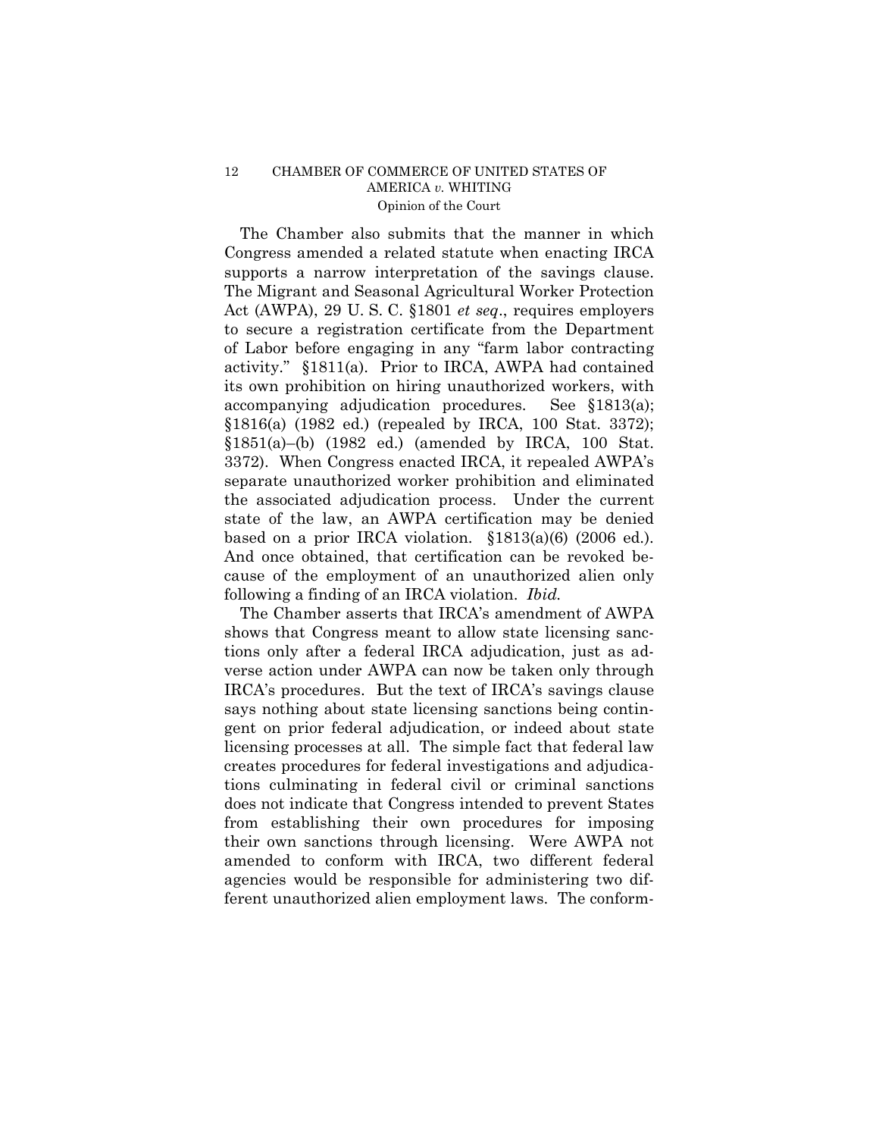## 12 CHAMBER OF COMMERCE OF UNITED STATES OF AMERICA *v.* WHITING Opinion of the Court

The Chamber also submits that the manner in which Congress amended a related statute when enacting IRCA supports a narrow interpretation of the savings clause. The Migrant and Seasonal Agricultural Worker Protection Act (AWPA), 29 U. S. C. §1801 *et seq*., requires employers to secure a registration certificate from the Department of Labor before engaging in any "farm labor contracting activity." §1811(a). Prior to IRCA, AWPA had contained its own prohibition on hiring unauthorized workers, with accompanying adjudication procedures. See §1813(a); §1816(a) (1982 ed.) (repealed by IRCA, 100 Stat. 3372);  $$1851(a)-(b)$  (1982 ed.) (amended by IRCA, 100 Stat. 3372). When Congress enacted IRCA, it repealed AWPA's separate unauthorized worker prohibition and eliminated the associated adjudication process. Under the current state of the law, an AWPA certification may be denied based on a prior IRCA violation. §1813(a)(6) (2006 ed.). And once obtained, that certification can be revoked because of the employment of an unauthorized alien only following a finding of an IRCA violation. *Ibid.* 

The Chamber asserts that IRCA's amendment of AWPA shows that Congress meant to allow state licensing sanctions only after a federal IRCA adjudication, just as adverse action under AWPA can now be taken only through IRCA's procedures. But the text of IRCA's savings clause says nothing about state licensing sanctions being contingent on prior federal adjudication, or indeed about state licensing processes at all. The simple fact that federal law creates procedures for federal investigations and adjudications culminating in federal civil or criminal sanctions does not indicate that Congress intended to prevent States from establishing their own procedures for imposing their own sanctions through licensing. Were AWPA not amended to conform with IRCA, two different federal agencies would be responsible for administering two different unauthorized alien employment laws. The conform-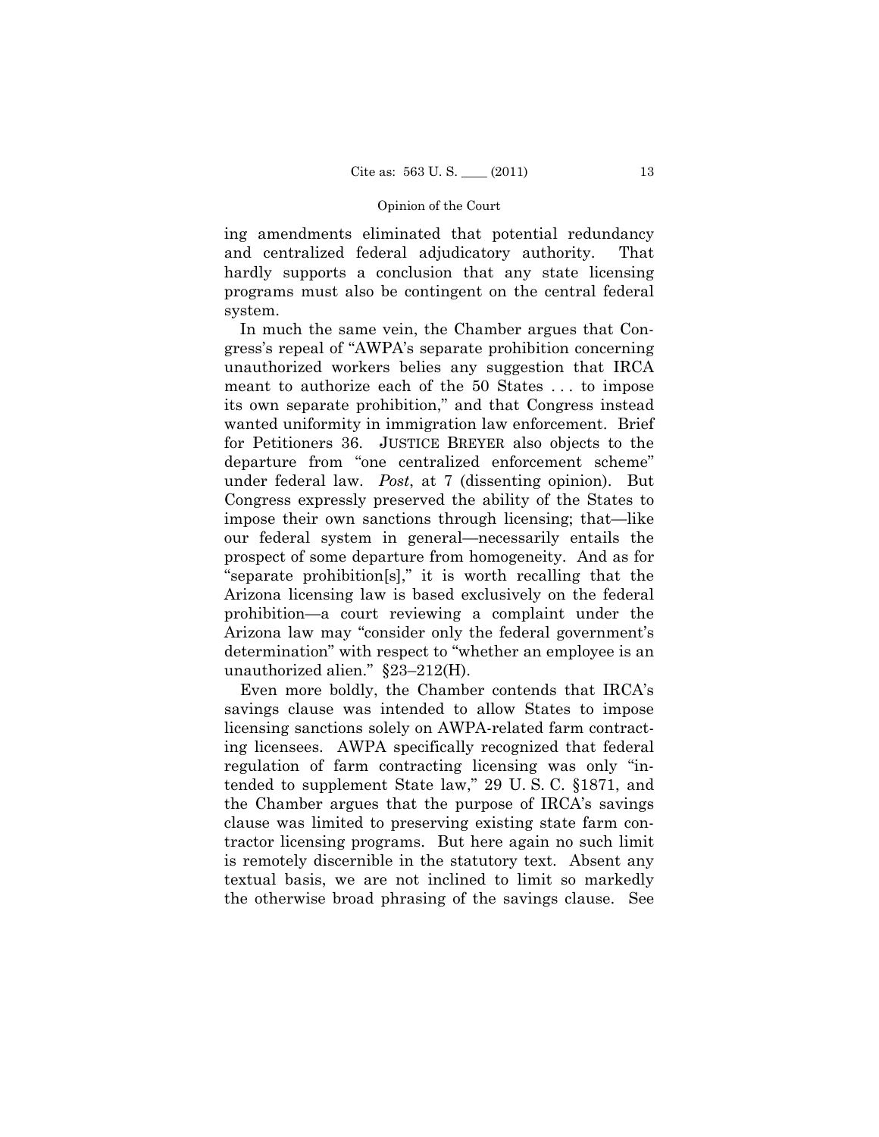#### Opinion of the Court

ing amendments eliminated that potential redundancy and centralized federal adjudicatory authority. That hardly supports a conclusion that any state licensing programs must also be contingent on the central federal system.

In much the same vein, the Chamber argues that Congress's repeal of "AWPA's separate prohibition concerning unauthorized workers belies any suggestion that IRCA meant to authorize each of the 50 States . . . to impose its own separate prohibition," and that Congress instead wanted uniformity in immigration law enforcement. Brief for Petitioners 36. JUSTICE BREYER also objects to the departure from "one centralized enforcement scheme" under federal law. *Post*, at 7 (dissenting opinion). But Congress expressly preserved the ability of the States to impose their own sanctions through licensing; that—like our federal system in general—necessarily entails the prospect of some departure from homogeneity. And as for "separate prohibition[s]," it is worth recalling that the Arizona licensing law is based exclusively on the federal prohibition—a court reviewing a complaint under the Arizona law may "consider only the federal government's determination" with respect to "whether an employee is an unauthorized alien." §23–212(H).

Even more boldly, the Chamber contends that IRCA's savings clause was intended to allow States to impose licensing sanctions solely on AWPA-related farm contracting licensees. AWPA specifically recognized that federal regulation of farm contracting licensing was only "intended to supplement State law," 29 U. S. C. §1871, and the Chamber argues that the purpose of IRCA's savings clause was limited to preserving existing state farm contractor licensing programs. But here again no such limit is remotely discernible in the statutory text. Absent any textual basis, we are not inclined to limit so markedly the otherwise broad phrasing of the savings clause. See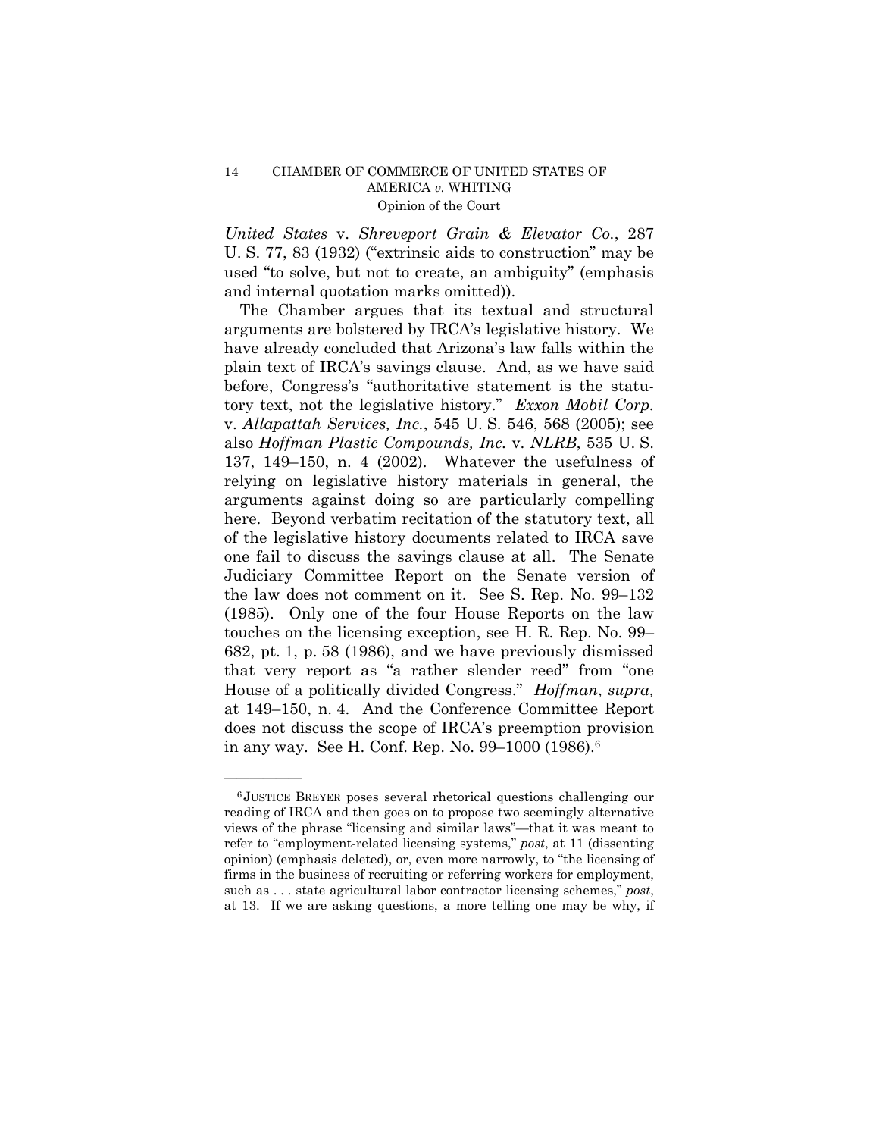## 14 CHAMBER OF COMMERCE OF UNITED STATES OF AMERICA *v.* WHITING Opinion of the Court

*United States* v. *Shreveport Grain & Elevator Co.*, 287 U. S. 77, 83 (1932) ("extrinsic aids to construction" may be used "to solve, but not to create, an ambiguity" (emphasis and internal quotation marks omitted)).

The Chamber argues that its textual and structural arguments are bolstered by IRCA's legislative history. We have already concluded that Arizona's law falls within the plain text of IRCA's savings clause. And, as we have said before, Congress's "authoritative statement is the statutory text, not the legislative history." *Exxon Mobil Corp.*  v. *Allapattah Services, Inc.*, 545 U. S. 546, 568 (2005); see also *Hoffman Plastic Compounds, Inc.* v. *NLRB*, 535 U. S. 137, 149–150, n. 4 (2002). Whatever the usefulness of relying on legislative history materials in general, the arguments against doing so are particularly compelling here. Beyond verbatim recitation of the statutory text, all of the legislative history documents related to IRCA save one fail to discuss the savings clause at all. The Senate Judiciary Committee Report on the Senate version of the law does not comment on it. See S. Rep. No. 99–132 (1985). Only one of the four House Reports on the law touches on the licensing exception, see H. R. Rep. No. 99– 682, pt. 1, p. 58 (1986), and we have previously dismissed that very report as "a rather slender reed" from "one House of a politically divided Congress." *Hoffman*, *supra,*  at 149–150, n. 4. And the Conference Committee Report does not discuss the scope of IRCA's preemption provision in any way. See H. Conf. Rep. No. 99–1000 (1986).6

<sup>6</sup> JUSTICE BREYER poses several rhetorical questions challenging our reading of IRCA and then goes on to propose two seemingly alternative views of the phrase "licensing and similar laws"—that it was meant to refer to "employment-related licensing systems," *post*, at 11 (dissenting opinion) (emphasis deleted), or, even more narrowly, to "the licensing of firms in the business of recruiting or referring workers for employment, such as . . . state agricultural labor contractor licensing schemes," *post*, at 13. If we are asking questions, a more telling one may be why, if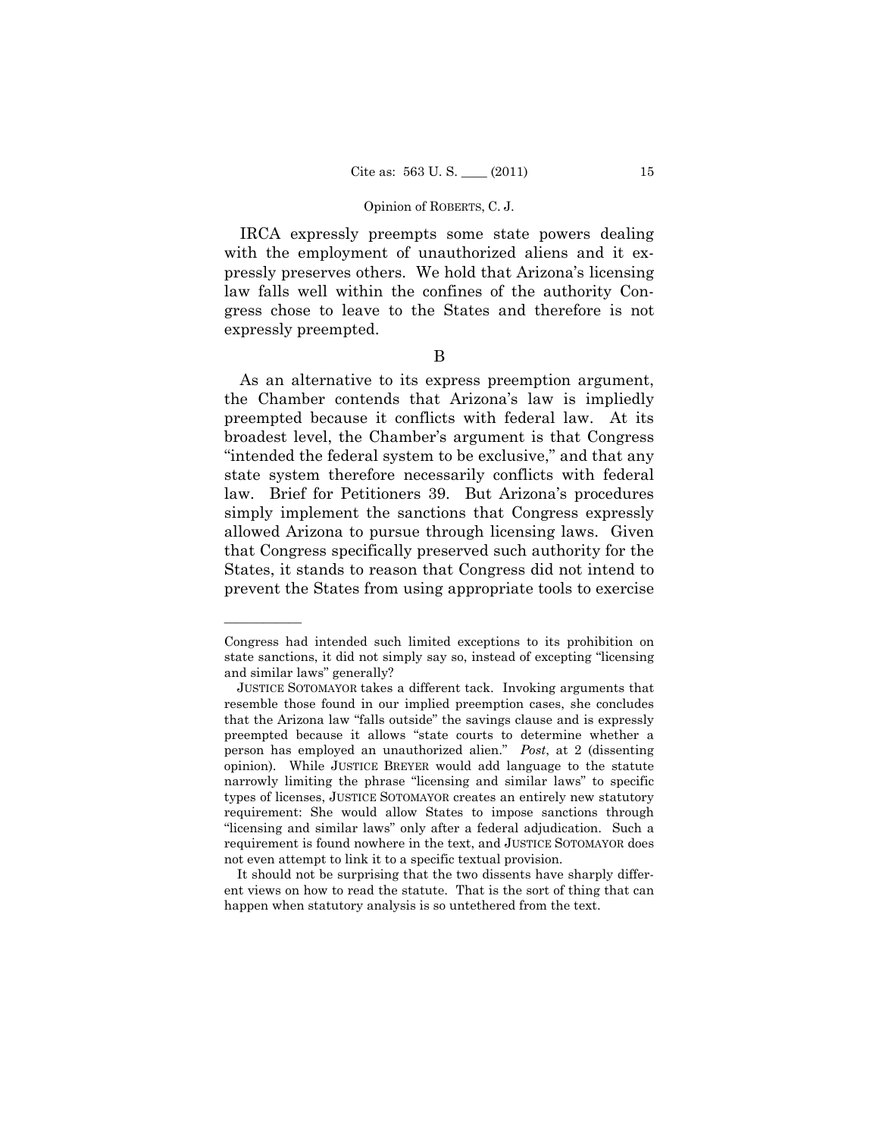#### Opinion of ROBERTS, C. J.

IRCA expressly preempts some state powers dealing with the employment of unauthorized aliens and it expressly preserves others. We hold that Arizona's licensing law falls well within the confines of the authority Congress chose to leave to the States and therefore is not expressly preempted.

B

As an alternative to its express preemption argument, the Chamber contends that Arizona's law is impliedly preempted because it conflicts with federal law. At its broadest level, the Chamber's argument is that Congress "intended the federal system to be exclusive," and that any state system therefore necessarily conflicts with federal law. Brief for Petitioners 39. But Arizona's procedures simply implement the sanctions that Congress expressly allowed Arizona to pursue through licensing laws. Given that Congress specifically preserved such authority for the States, it stands to reason that Congress did not intend to prevent the States from using appropriate tools to exercise

Congress had intended such limited exceptions to its prohibition on state sanctions, it did not simply say so, instead of excepting "licensing and similar laws" generally?

JUSTICE SOTOMAYOR takes a different tack. Invoking arguments that resemble those found in our implied preemption cases, she concludes that the Arizona law "falls outside" the savings clause and is expressly preempted because it allows "state courts to determine whether a person has employed an unauthorized alien." *Post*, at 2 (dissenting opinion). While JUSTICE BREYER would add language to the statute narrowly limiting the phrase "licensing and similar laws" to specific types of licenses, JUSTICE SOTOMAYOR creates an entirely new statutory requirement: She would allow States to impose sanctions through "licensing and similar laws" only after a federal adjudication. Such a requirement is found nowhere in the text, and JUSTICE SOTOMAYOR does not even attempt to link it to a specific textual provision.

It should not be surprising that the two dissents have sharply different views on how to read the statute. That is the sort of thing that can happen when statutory analysis is so untethered from the text.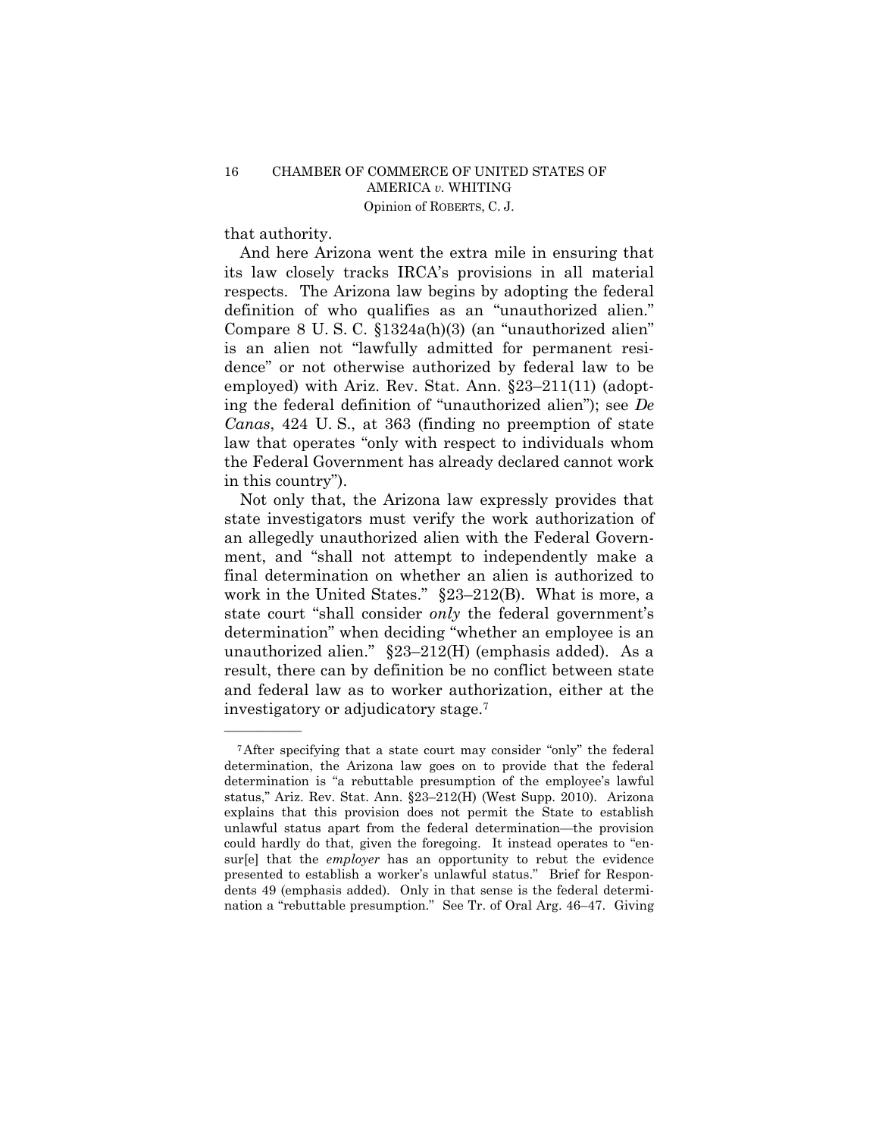that authority.

——————

And here Arizona went the extra mile in ensuring that its law closely tracks IRCA's provisions in all material respects. The Arizona law begins by adopting the federal definition of who qualifies as an "unauthorized alien." Compare 8 U. S. C. §1324a(h)(3) (an "unauthorized alien" is an alien not "lawfully admitted for permanent residence" or not otherwise authorized by federal law to be employed) with Ariz. Rev. Stat. Ann. §23–211(11) (adopting the federal definition of "unauthorized alien"); see *De Canas*, 424 U. S., at 363 (finding no preemption of state law that operates "only with respect to individuals whom the Federal Government has already declared cannot work in this country").

Not only that, the Arizona law expressly provides that state investigators must verify the work authorization of an allegedly unauthorized alien with the Federal Government, and "shall not attempt to independently make a final determination on whether an alien is authorized to work in the United States." §23–212(B). What is more, a state court "shall consider *only* the federal government's determination" when deciding "whether an employee is an unauthorized alien." §23–212(H) (emphasis added). As a result, there can by definition be no conflict between state and federal law as to worker authorization, either at the investigatory or adjudicatory stage.7

<sup>7</sup>After specifying that a state court may consider "only" the federal determination, the Arizona law goes on to provide that the federal determination is "a rebuttable presumption of the employee's lawful status," Ariz. Rev. Stat. Ann. §23–212(H) (West Supp. 2010). Arizona explains that this provision does not permit the State to establish unlawful status apart from the federal determination—the provision could hardly do that, given the foregoing. It instead operates to "ensur[e] that the *employer* has an opportunity to rebut the evidence presented to establish a worker's unlawful status." Brief for Respondents 49 (emphasis added). Only in that sense is the federal determination a "rebuttable presumption." See Tr. of Oral Arg. 46–47. Giving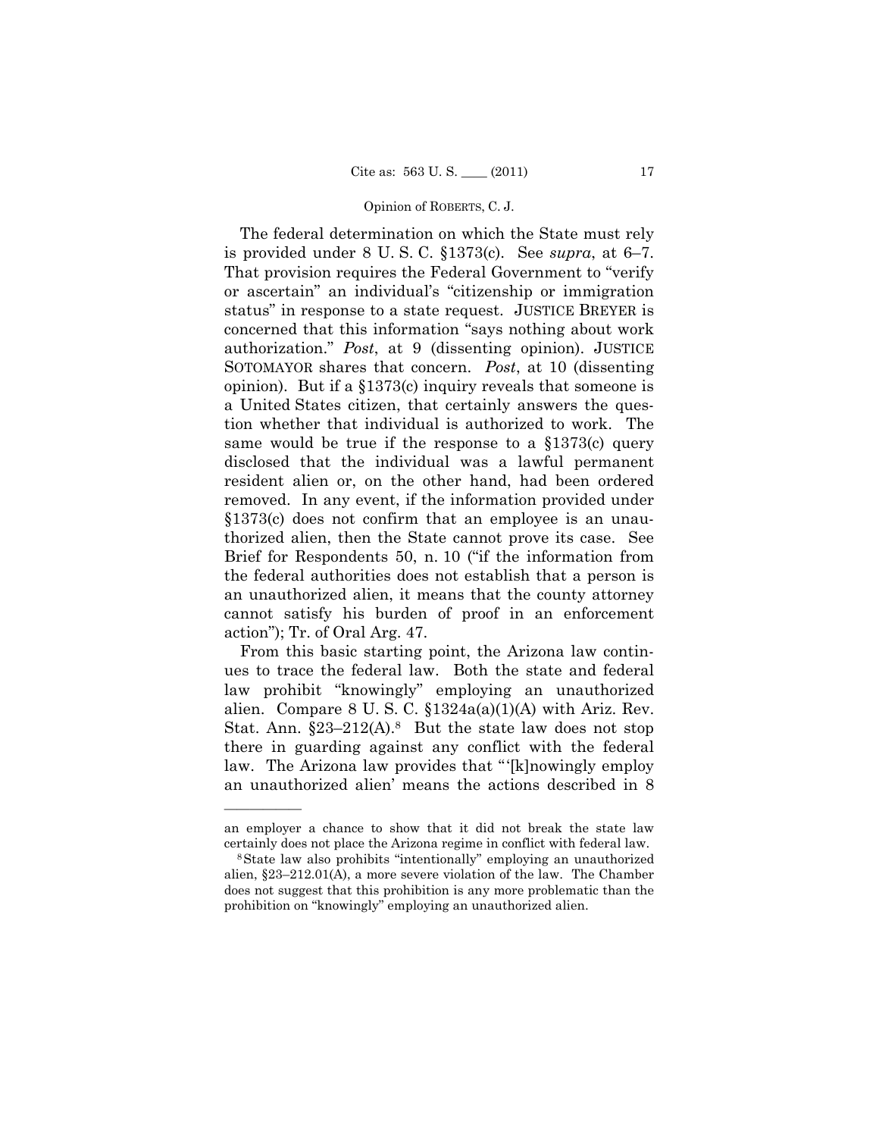#### Opinion of ROBERTS, C. J.

The federal determination on which the State must rely is provided under 8 U. S. C. §1373(c). See *supra*, at 6–7. That provision requires the Federal Government to "verify or ascertain" an individual's "citizenship or immigration status" in response to a state request. JUSTICE BREYER is concerned that this information "says nothing about work authorization." *Post*, at 9 (dissenting opinion). JUSTICE SOTOMAYOR shares that concern. *Post*, at 10 (dissenting opinion). But if a §1373(c) inquiry reveals that someone is a United States citizen, that certainly answers the question whether that individual is authorized to work. The same would be true if the response to a  $$1373(c)$  query disclosed that the individual was a lawful permanent resident alien or, on the other hand, had been ordered removed. In any event, if the information provided under §1373(c) does not confirm that an employee is an unauthorized alien, then the State cannot prove its case. See Brief for Respondents 50, n. 10 ("if the information from the federal authorities does not establish that a person is an unauthorized alien, it means that the county attorney cannot satisfy his burden of proof in an enforcement action"); Tr. of Oral Arg. 47.

From this basic starting point, the Arizona law continues to trace the federal law. Both the state and federal law prohibit "knowingly" employing an unauthorized alien. Compare 8 U.S.C.  $$1324a(a)(1)(A)$  with Ariz. Rev. Stat. Ann.  $\S 23-212(A).$ <sup>8</sup> But the state law does not stop there in guarding against any conflict with the federal law. The Arizona law provides that "'[k]nowingly employ an unauthorized alien' means the actions described in 8

an employer a chance to show that it did not break the state law certainly does not place the Arizona regime in conflict with federal law. 8State law also prohibits "intentionally" employing an unauthorized

alien, §23–212.01(A), a more severe violation of the law. The Chamber does not suggest that this prohibition is any more problematic than the prohibition on "knowingly" employing an unauthorized alien.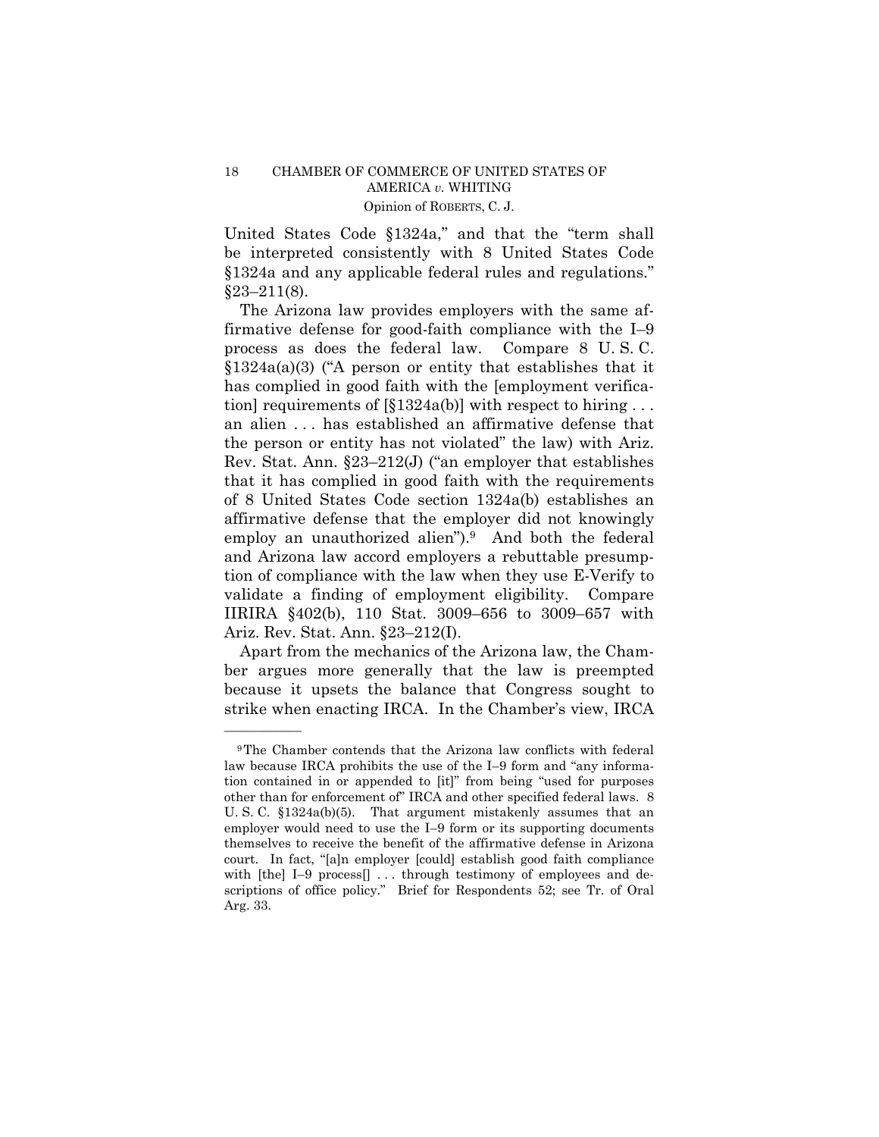United States Code §1324a," and that the "term shall be interpreted consistently with 8 United States Code §1324a and any applicable federal rules and regulations."  $§23-211(8).$ 

The Arizona law provides employers with the same affirmative defense for good-faith compliance with the I–9 process as does the federal law. Compare 8 U. S. C. §1324a(a)(3) ("A person or entity that establishes that it has complied in good faith with the [employment verification] requirements of  $[\S1324a(b)]$  with respect to hiring ... an alien . . . has established an affirmative defense that the person or entity has not violated" the law) with Ariz. Rev. Stat. Ann. §23–212(J) ("an employer that establishes that it has complied in good faith with the requirements of 8 United States Code section 1324a(b) establishes an affirmative defense that the employer did not knowingly employ an unauthorized alien").<sup>9</sup> And both the federal and Arizona law accord employers a rebuttable presumption of compliance with the law when they use E-Verify to validate a finding of employment eligibility. Compare IIRIRA §402(b), 110 Stat. 3009–656 to 3009–657 with Ariz. Rev. Stat. Ann. §23–212(I).

Apart from the mechanics of the Arizona law, the Chamber argues more generally that the law is preempted because it upsets the balance that Congress sought to strike when enacting IRCA. In the Chamber's view, IRCA

<sup>9</sup>The Chamber contends that the Arizona law conflicts with federal law because IRCA prohibits the use of the I–9 form and "any information contained in or appended to [it]" from being "used for purposes other than for enforcement of" IRCA and other specified federal laws. 8 U. S. C. §1324a(b)(5). That argument mistakenly assumes that an employer would need to use the I–9 form or its supporting documents themselves to receive the benefit of the affirmative defense in Arizona court. In fact, "[a]n employer [could] establish good faith compliance with [the] I-9 process[] ... through testimony of employees and descriptions of office policy." Brief for Respondents 52; see Tr. of Oral Arg. 33.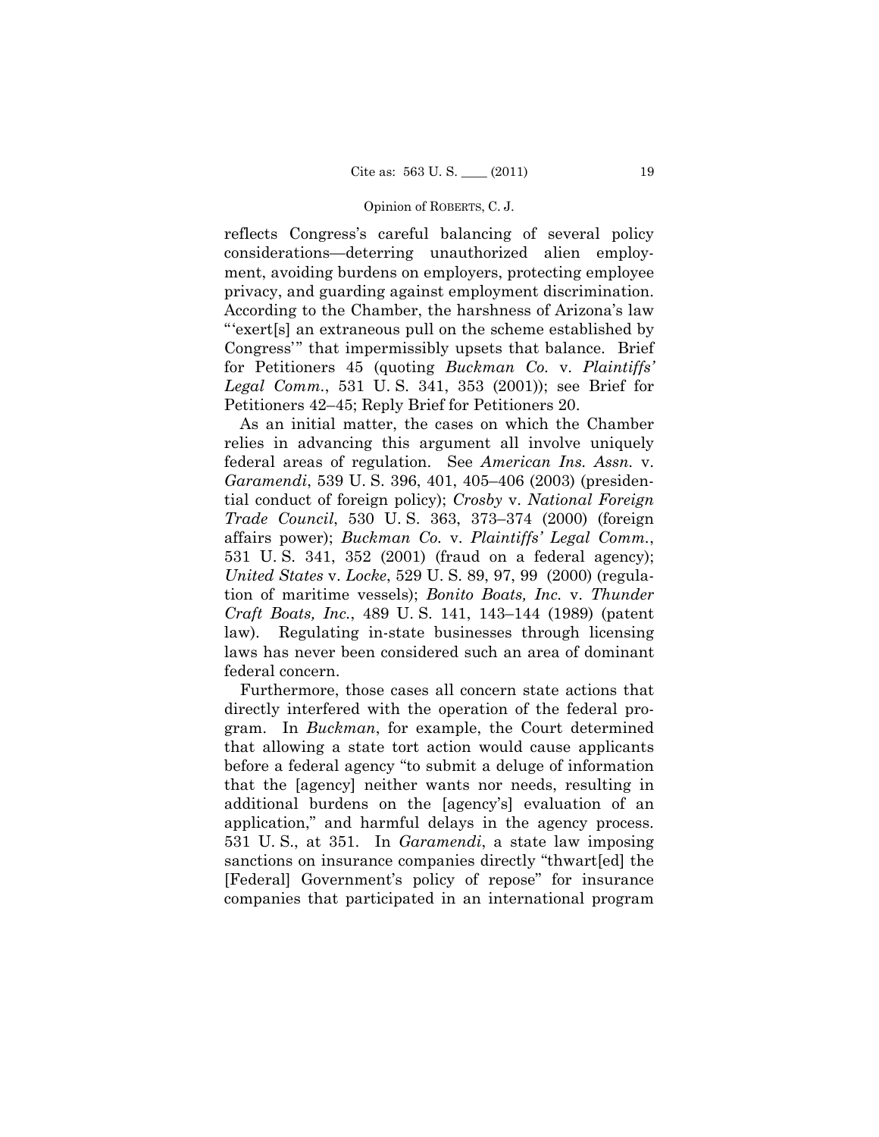#### Opinion of ROBERTS, C. J.

reflects Congress's careful balancing of several policy considerations—deterring unauthorized alien employment, avoiding burdens on employers, protecting employee privacy, and guarding against employment discrimination. According to the Chamber, the harshness of Arizona's law "'exert[s] an extraneous pull on the scheme established by Congress'" that impermissibly upsets that balance. Brief for Petitioners 45 (quoting *Buckman Co.* v. *Plaintiffs' Legal Comm.*, 531 U. S. 341, 353 (2001)); see Brief for Petitioners 42–45; Reply Brief for Petitioners 20.

As an initial matter, the cases on which the Chamber relies in advancing this argument all involve uniquely federal areas of regulation. See *American Ins. Assn.* v. *Garamendi*, 539 U. S. 396, 401, 405–406 (2003) (presidential conduct of foreign policy); *Crosby* v. *National Foreign Trade Council*, 530 U. S. 363, 373–374 (2000) (foreign affairs power); *Buckman Co.* v. *Plaintiffs' Legal Comm.*, 531 U. S. 341, 352 (2001) (fraud on a federal agency); *United States* v. *Locke*, 529 U. S. 89, 97, 99 (2000) (regulation of maritime vessels); *Bonito Boats, Inc.* v. *Thunder Craft Boats, Inc.*, 489 U. S. 141, 143–144 (1989) (patent law). Regulating in-state businesses through licensing laws has never been considered such an area of dominant federal concern.

Furthermore, those cases all concern state actions that directly interfered with the operation of the federal program. In *Buckman*, for example, the Court determined that allowing a state tort action would cause applicants before a federal agency "to submit a deluge of information that the [agency] neither wants nor needs, resulting in additional burdens on the [agency's] evaluation of an application," and harmful delays in the agency process. 531 U. S., at 351. In *Garamendi*, a state law imposing sanctions on insurance companies directly "thwart[ed] the [Federal] Government's policy of repose" for insurance companies that participated in an international program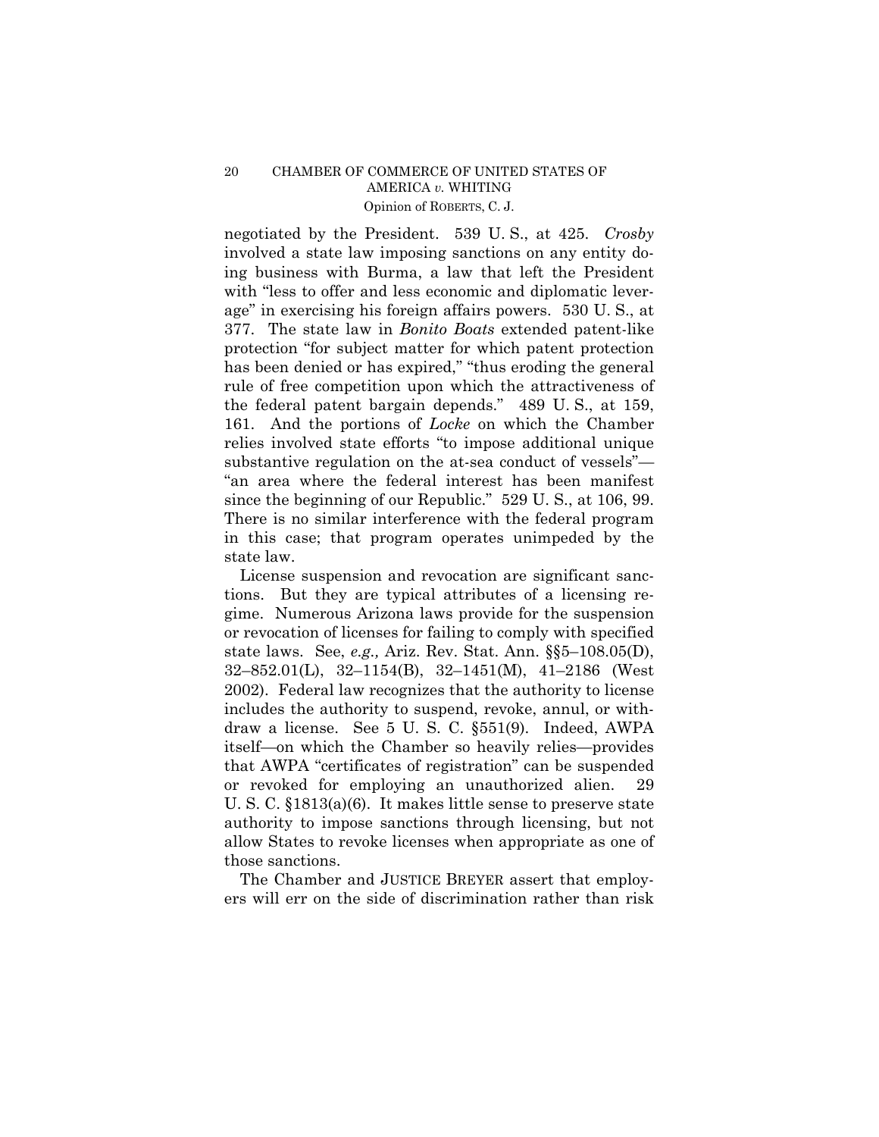negotiated by the President. 539 U. S., at 425. *Crosby* involved a state law imposing sanctions on any entity doing business with Burma, a law that left the President with "less to offer and less economic and diplomatic leverage" in exercising his foreign affairs powers. 530 U. S., at 377. The state law in *Bonito Boats* extended patent-like protection "for subject matter for which patent protection has been denied or has expired," "thus eroding the general rule of free competition upon which the attractiveness of the federal patent bargain depends." 489 U. S., at 159, 161. And the portions of *Locke* on which the Chamber relies involved state efforts "to impose additional unique substantive regulation on the at-sea conduct of vessels"— "an area where the federal interest has been manifest since the beginning of our Republic." 529 U. S., at 106, 99. There is no similar interference with the federal program in this case; that program operates unimpeded by the state law.

License suspension and revocation are significant sanctions. But they are typical attributes of a licensing regime. Numerous Arizona laws provide for the suspension or revocation of licenses for failing to comply with specified state laws. See, *e.g.,* Ariz. Rev. Stat. Ann. §§5–108.05(D), 32–852.01(L), 32–1154(B), 32–1451(M), 41–2186 (West 2002). Federal law recognizes that the authority to license includes the authority to suspend, revoke, annul, or withdraw a license. See 5 U. S. C. §551(9). Indeed, AWPA itself—on which the Chamber so heavily relies—provides that AWPA "certificates of registration" can be suspended or revoked for employing an unauthorized alien. 29 U. S. C. §1813(a)(6). It makes little sense to preserve state authority to impose sanctions through licensing, but not allow States to revoke licenses when appropriate as one of those sanctions.

The Chamber and JUSTICE BREYER assert that employers will err on the side of discrimination rather than risk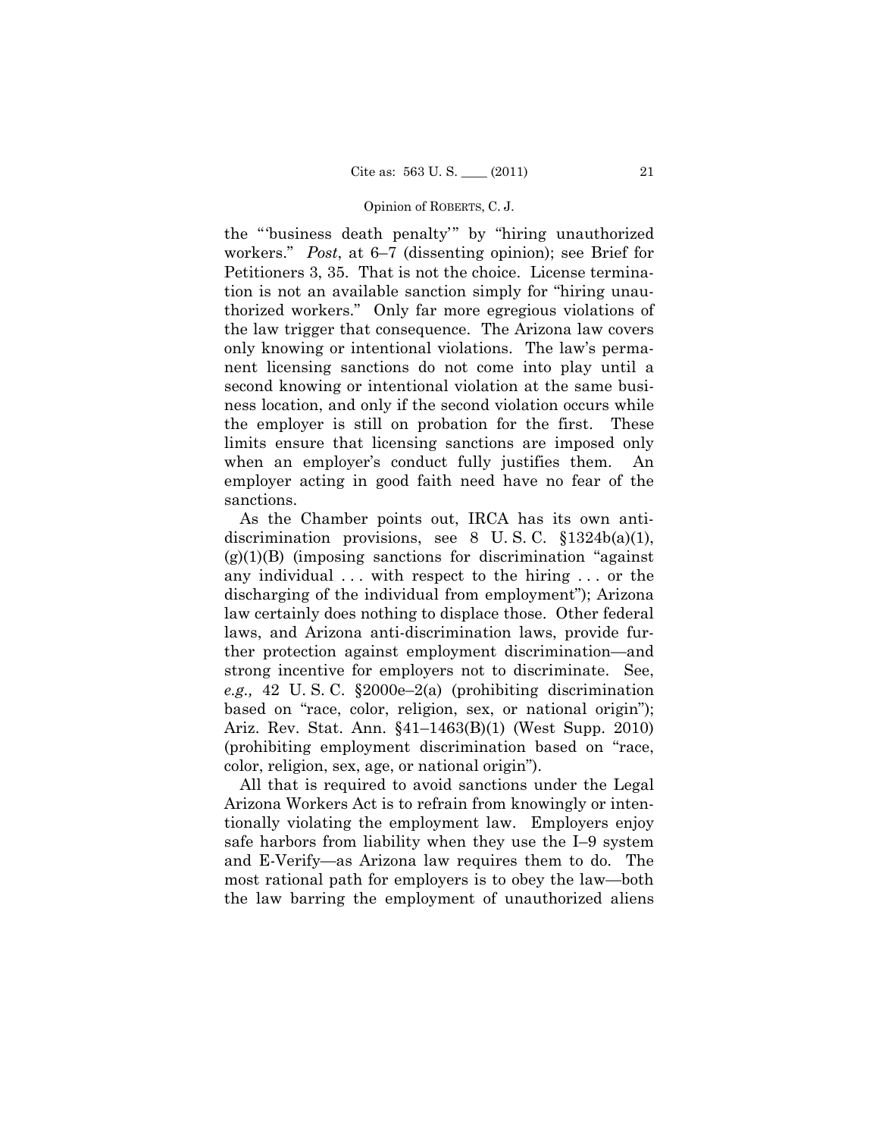#### Opinion of ROBERTS, C. J.

the "'business death penalty'" by "hiring unauthorized workers." *Post*, at 6–7 (dissenting opinion); see Brief for Petitioners 3, 35. That is not the choice. License termination is not an available sanction simply for "hiring unauthorized workers." Only far more egregious violations of the law trigger that consequence. The Arizona law covers only knowing or intentional violations. The law's permanent licensing sanctions do not come into play until a second knowing or intentional violation at the same business location, and only if the second violation occurs while the employer is still on probation for the first. These limits ensure that licensing sanctions are imposed only when an employer's conduct fully justifies them. An employer acting in good faith need have no fear of the sanctions.

As the Chamber points out, IRCA has its own antidiscrimination provisions, see 8 U.S.C.  $\S 1324b(a)(1)$ ,  $(g)(1)(B)$  (imposing sanctions for discrimination "against") any individual ... with respect to the hiring ... or the discharging of the individual from employment"); Arizona law certainly does nothing to displace those. Other federal laws, and Arizona anti-discrimination laws, provide further protection against employment discrimination—and strong incentive for employers not to discriminate. See, *e.g.,* 42 U. S. C. §2000e–2(a) (prohibiting discrimination based on "race, color, religion, sex, or national origin"); Ariz. Rev. Stat. Ann. §41–1463(B)(1) (West Supp. 2010) (prohibiting employment discrimination based on "race, color, religion, sex, age, or national origin").

All that is required to avoid sanctions under the Legal Arizona Workers Act is to refrain from knowingly or intentionally violating the employment law. Employers enjoy safe harbors from liability when they use the I–9 system and E-Verify—as Arizona law requires them to do. The most rational path for employers is to obey the law—both the law barring the employment of unauthorized aliens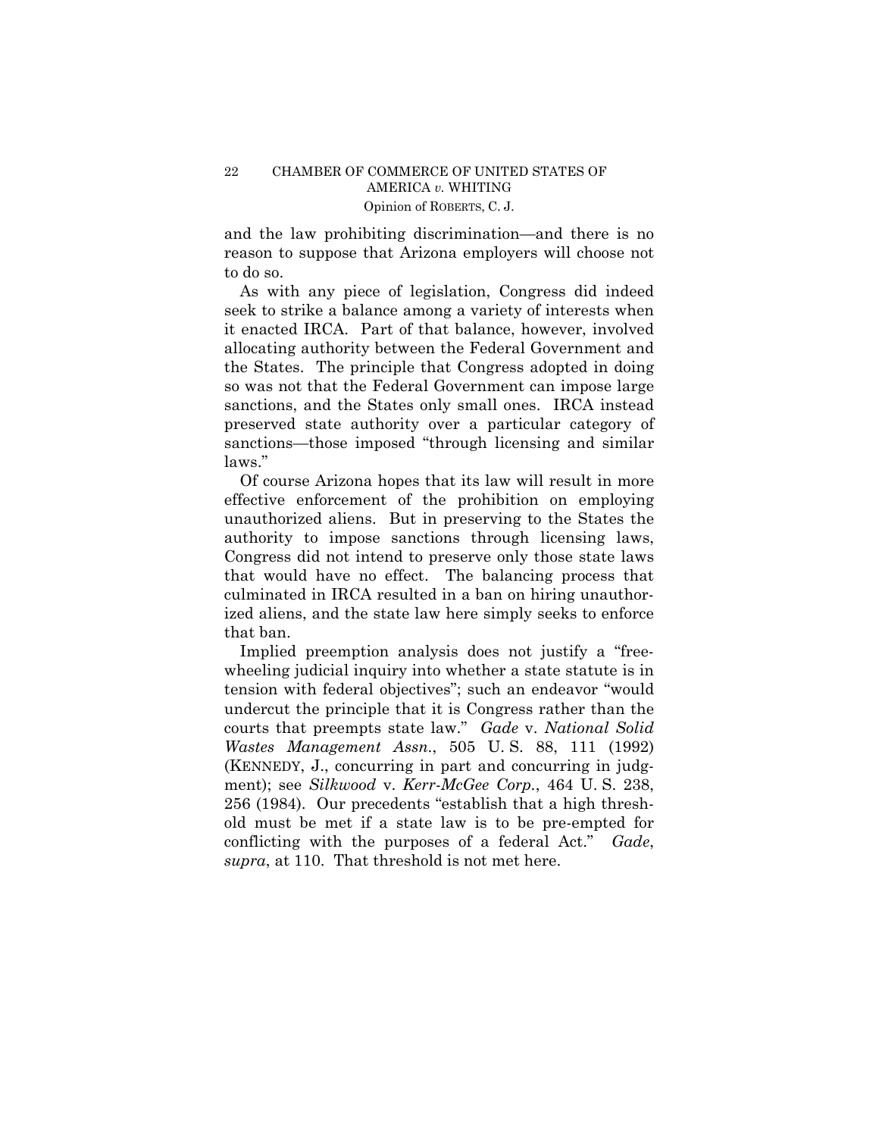and the law prohibiting discrimination—and there is no reason to suppose that Arizona employers will choose not to do so.

As with any piece of legislation, Congress did indeed seek to strike a balance among a variety of interests when it enacted IRCA. Part of that balance, however, involved allocating authority between the Federal Government and the States. The principle that Congress adopted in doing so was not that the Federal Government can impose large sanctions, and the States only small ones. IRCA instead preserved state authority over a particular category of sanctions—those imposed "through licensing and similar laws."

Of course Arizona hopes that its law will result in more effective enforcement of the prohibition on employing unauthorized aliens. But in preserving to the States the authority to impose sanctions through licensing laws, Congress did not intend to preserve only those state laws that would have no effect. The balancing process that culminated in IRCA resulted in a ban on hiring unauthorized aliens, and the state law here simply seeks to enforce that ban.

Implied preemption analysis does not justify a "freewheeling judicial inquiry into whether a state statute is in tension with federal objectives"; such an endeavor "would undercut the principle that it is Congress rather than the courts that preempts state law." *Gade* v. *National Solid Wastes Management Assn.*, 505 U. S. 88, 111 (1992) (KENNEDY, J., concurring in part and concurring in judgment); see *Silkwood* v. *Kerr-McGee Corp.*, 464 U. S. 238, 256 (1984). Our precedents "establish that a high threshold must be met if a state law is to be pre-empted for conflicting with the purposes of a federal Act." *Gade*, *supra*, at 110. That threshold is not met here.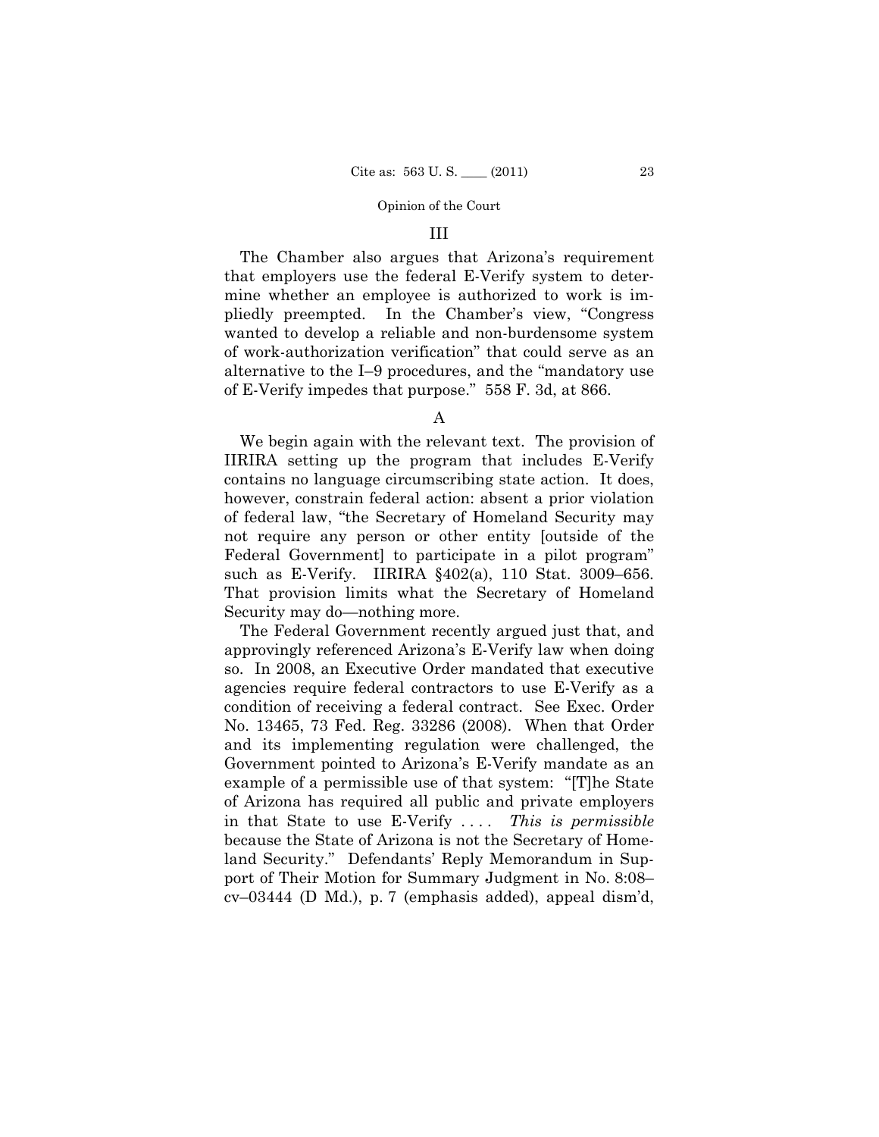#### Opinion of the Court

## III

The Chamber also argues that Arizona's requirement that employers use the federal E-Verify system to determine whether an employee is authorized to work is impliedly preempted. In the Chamber's view, "Congress wanted to develop a reliable and non-burdensome system of work-authorization verification" that could serve as an alternative to the I–9 procedures, and the "mandatory use of E-Verify impedes that purpose." 558 F. 3d, at 866.

A

We begin again with the relevant text. The provision of IIRIRA setting up the program that includes E-Verify contains no language circumscribing state action. It does, however, constrain federal action: absent a prior violation of federal law, "the Secretary of Homeland Security may not require any person or other entity [outside of the Federal Government] to participate in a pilot program" such as E-Verify. IIRIRA §402(a), 110 Stat. 3009–656. That provision limits what the Secretary of Homeland Security may do—nothing more.

The Federal Government recently argued just that, and approvingly referenced Arizona's E-Verify law when doing so. In 2008, an Executive Order mandated that executive agencies require federal contractors to use E-Verify as a condition of receiving a federal contract. See Exec. Order No. 13465, 73 Fed. Reg. 33286 (2008). When that Order and its implementing regulation were challenged, the Government pointed to Arizona's E-Verify mandate as an example of a permissible use of that system: "[T]he State of Arizona has required all public and private employers in that State to use E-Verify . . . . *This is permissible* because the State of Arizona is not the Secretary of Homeland Security." Defendants' Reply Memorandum in Support of Their Motion for Summary Judgment in No. 8:08– cv–03444 (D Md.), p. 7 (emphasis added), appeal dism'd,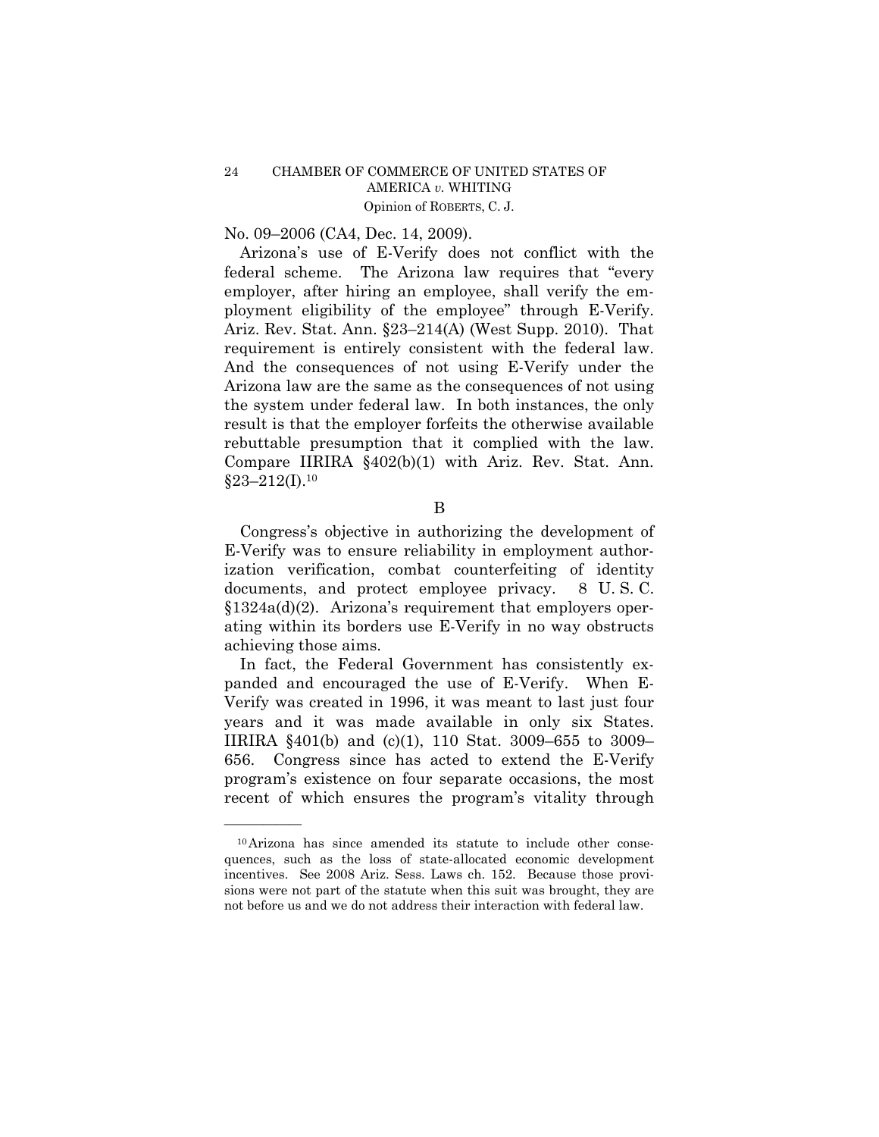No. 09–2006 (CA4, Dec. 14, 2009).

Arizona's use of E-Verify does not conflict with the federal scheme. The Arizona law requires that "every employer, after hiring an employee, shall verify the employment eligibility of the employee" through E-Verify. Ariz. Rev. Stat. Ann. §23–214(A) (West Supp. 2010). That requirement is entirely consistent with the federal law. And the consequences of not using E-Verify under the Arizona law are the same as the consequences of not using the system under federal law. In both instances, the only result is that the employer forfeits the otherwise available rebuttable presumption that it complied with the law. Compare IIRIRA §402(b)(1) with Ariz. Rev. Stat. Ann.  $§23-212(I).10$ 

B

Congress's objective in authorizing the development of E-Verify was to ensure reliability in employment authorization verification, combat counterfeiting of identity documents, and protect employee privacy. 8 U. S. C. §1324a(d)(2). Arizona's requirement that employers operating within its borders use E-Verify in no way obstructs achieving those aims.

In fact, the Federal Government has consistently expanded and encouraged the use of E-Verify. When E-Verify was created in 1996, it was meant to last just four years and it was made available in only six States. IIRIRA §401(b) and (c)(1), 110 Stat. 3009–655 to 3009– 656. Congress since has acted to extend the E-Verify program's existence on four separate occasions, the most recent of which ensures the program's vitality through

<sup>10</sup>Arizona has since amended its statute to include other consequences, such as the loss of state-allocated economic development incentives. See 2008 Ariz. Sess. Laws ch. 152. Because those provisions were not part of the statute when this suit was brought, they are not before us and we do not address their interaction with federal law.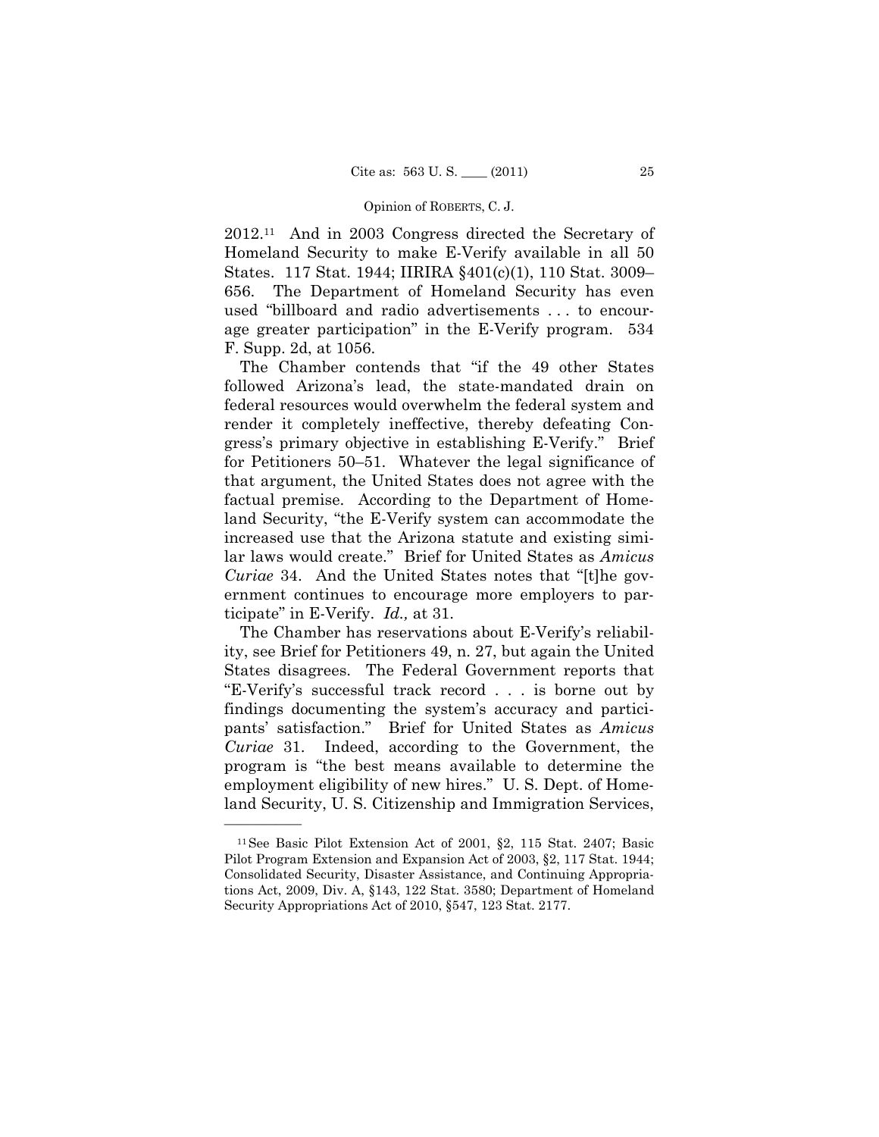#### Opinion of ROBERTS, C. J.

2012.11 And in 2003 Congress directed the Secretary of Homeland Security to make E-Verify available in all 50 States. 117 Stat. 1944; IIRIRA §401(c)(1), 110 Stat. 3009– 656. The Department of Homeland Security has even used "billboard and radio advertisements . . . to encourage greater participation" in the E-Verify program. 534 F. Supp. 2d, at 1056.

The Chamber contends that "if the 49 other States followed Arizona's lead, the state-mandated drain on federal resources would overwhelm the federal system and render it completely ineffective, thereby defeating Congress's primary objective in establishing E-Verify." Brief for Petitioners 50–51. Whatever the legal significance of that argument, the United States does not agree with the factual premise. According to the Department of Homeland Security, "the E-Verify system can accommodate the increased use that the Arizona statute and existing similar laws would create." Brief for United States as *Amicus Curiae* 34. And the United States notes that "[t]he government continues to encourage more employers to participate" in E-Verify. *Id.,* at 31.

The Chamber has reservations about E-Verify's reliability, see Brief for Petitioners 49, n. 27, but again the United States disagrees. The Federal Government reports that "E-Verify's successful track record . . . is borne out by findings documenting the system's accuracy and participants' satisfaction." Brief for United States as *Amicus Curiae* 31. Indeed, according to the Government, the program is "the best means available to determine the employment eligibility of new hires." U. S. Dept. of Homeland Security, U. S. Citizenship and Immigration Services,

<sup>11</sup>See Basic Pilot Extension Act of 2001, §2, 115 Stat. 2407; Basic Pilot Program Extension and Expansion Act of 2003, §2, 117 Stat. 1944; Consolidated Security, Disaster Assistance, and Continuing Appropriations Act, 2009, Div. A, §143, 122 Stat. 3580; Department of Homeland Security Appropriations Act of 2010, §547, 123 Stat. 2177.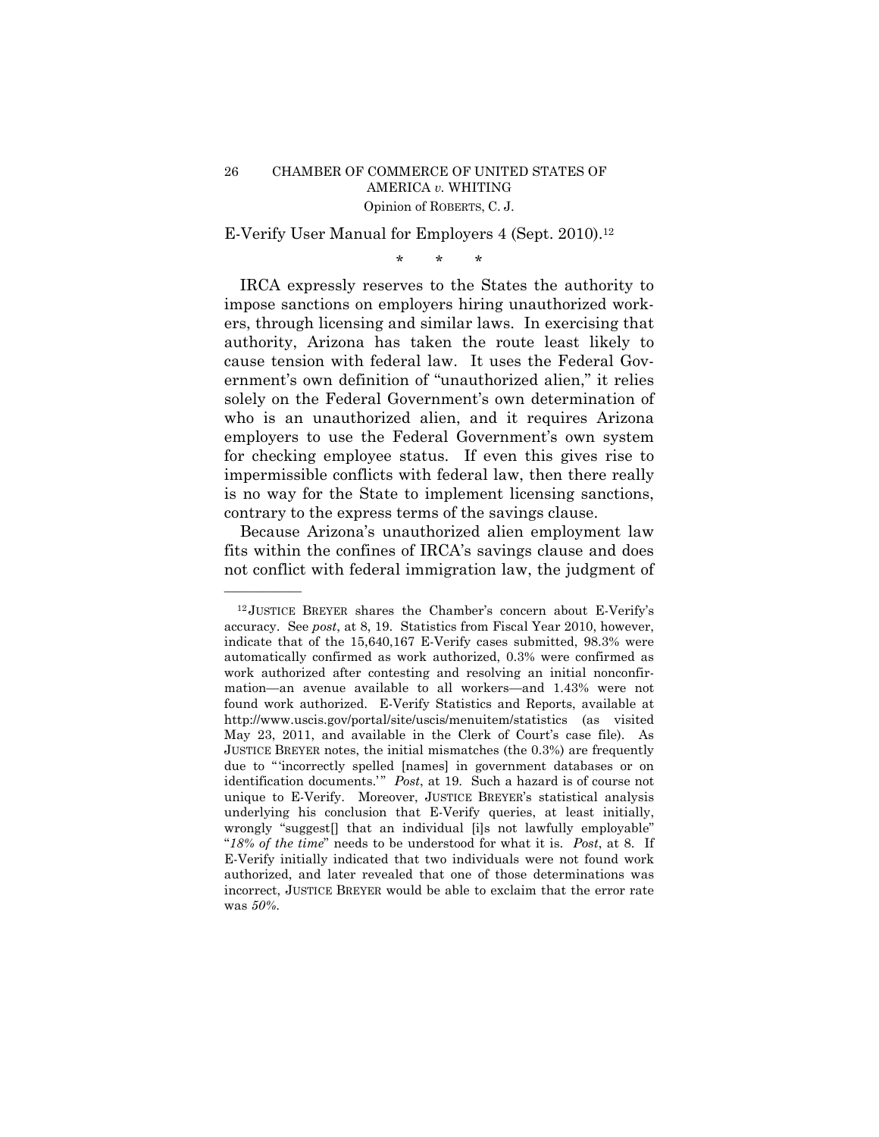E-Verify User Manual for Employers 4 (Sept. 2010).12

\* \* \*

IRCA expressly reserves to the States the authority to impose sanctions on employers hiring unauthorized workers, through licensing and similar laws. In exercising that authority, Arizona has taken the route least likely to cause tension with federal law. It uses the Federal Government's own definition of "unauthorized alien," it relies solely on the Federal Government's own determination of who is an unauthorized alien, and it requires Arizona employers to use the Federal Government's own system for checking employee status. If even this gives rise to impermissible conflicts with federal law, then there really is no way for the State to implement licensing sanctions, contrary to the express terms of the savings clause.

Because Arizona's unauthorized alien employment law fits within the confines of IRCA's savings clause and does not conflict with federal immigration law, the judgment of

<sup>12</sup> JUSTICE BREYER shares the Chamber's concern about E-Verify's accuracy. See *post*, at 8, 19. Statistics from Fiscal Year 2010, however, indicate that of the 15,640,167 E-Verify cases submitted, 98.3% were automatically confirmed as work authorized, 0.3% were confirmed as work authorized after contesting and resolving an initial nonconfirmation—an avenue available to all workers—and 1.43% were not found work authorized. E-Verify Statistics and Reports, available at http://www.uscis.gov/portal/site/uscis/menuitem/statistics (as visited May 23, 2011, and available in the Clerk of Court's case file). As JUSTICE BREYER notes, the initial mismatches (the 0.3%) are frequently due to "incorrectly spelled [names] in government databases or on identification documents.'" Post, at 19. Such a hazard is of course not unique to E-Verify. Moreover, JUSTICE BREYER's statistical analysis underlying his conclusion that E-Verify queries, at least initially, wrongly "suggest[] that an individual [i]s not lawfully employable" "*18% of the time*" needs to be understood for what it is. *Post*, at 8. If E-Verify initially indicated that two individuals were not found work authorized, and later revealed that one of those determinations was incorrect, JUSTICE BREYER would be able to exclaim that the error rate was *50%*.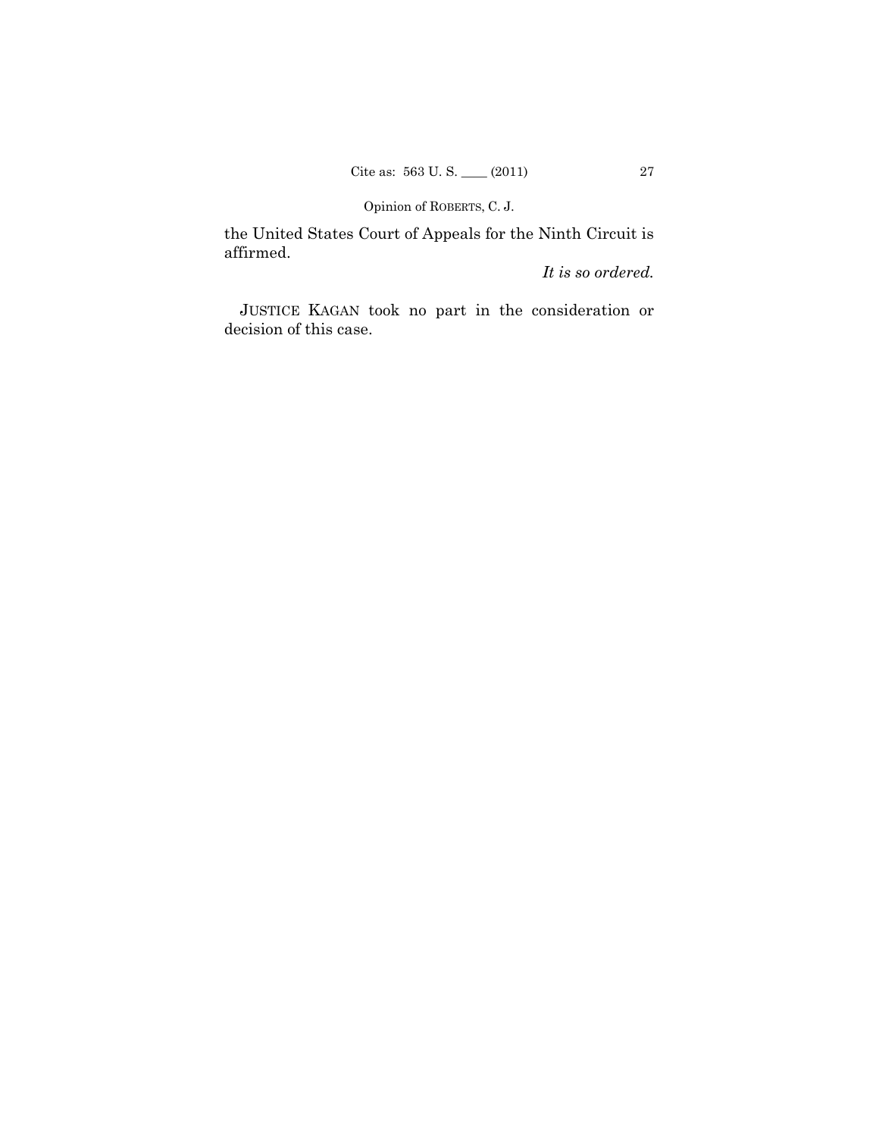Opinion of ROBERTS, C. J.

the United States Court of Appeals for the Ninth Circuit is affirmed.

*It is so ordered.*

 JUSTICE KAGAN took no part in the consideration or decision of this case.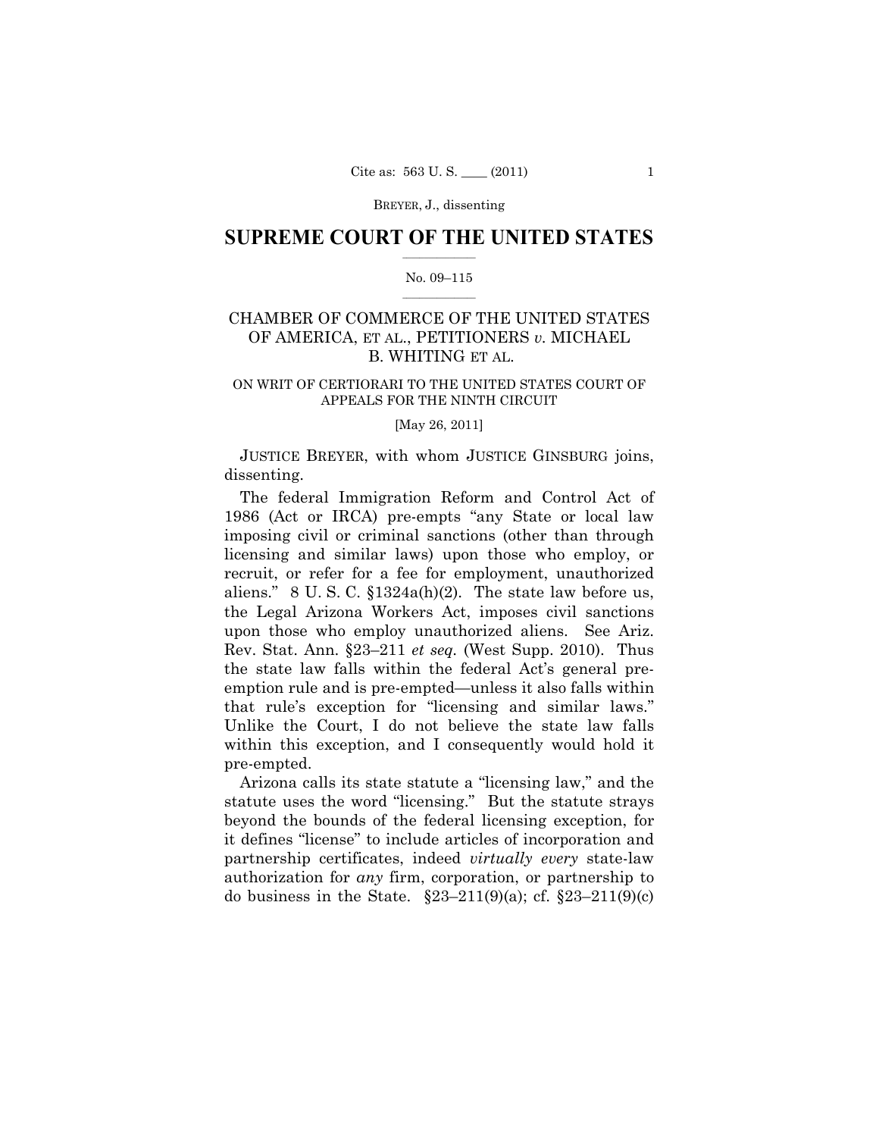BREYER, J., dissenting

## $\frac{1}{2}$  ,  $\frac{1}{2}$  ,  $\frac{1}{2}$  ,  $\frac{1}{2}$  ,  $\frac{1}{2}$  ,  $\frac{1}{2}$  ,  $\frac{1}{2}$ **SUPREME COURT OF THE UNITED STATES**

## $\frac{1}{2}$  ,  $\frac{1}{2}$  ,  $\frac{1}{2}$  ,  $\frac{1}{2}$  ,  $\frac{1}{2}$  ,  $\frac{1}{2}$ No. 09–115

# CHAMBER OF COMMERCE OF THE UNITED STATES OF AMERICA, ET AL., PETITIONERS *v.* MICHAEL B. WHITING ET AL.

## ON WRIT OF CERTIORARI TO THE UNITED STATES COURT OF APPEALS FOR THE NINTH CIRCUIT

[May 26, 2011]

 JUSTICE BREYER, with whom JUSTICE GINSBURG joins, dissenting.

The federal Immigration Reform and Control Act of 1986 (Act or IRCA) pre-empts "any State or local law imposing civil or criminal sanctions (other than through licensing and similar laws) upon those who employ, or recruit, or refer for a fee for employment, unauthorized aliens." 8 U. S. C. §1324a(h)(2). The state law before us, the Legal Arizona Workers Act, imposes civil sanctions upon those who employ unauthorized aliens. See Ariz. Rev. Stat. Ann. §23–211 *et seq.* (West Supp. 2010). Thus the state law falls within the federal Act's general preemption rule and is pre-empted—unless it also falls within that rule's exception for "licensing and similar laws." Unlike the Court, I do not believe the state law falls within this exception, and I consequently would hold it pre-empted.

Arizona calls its state statute a "licensing law," and the statute uses the word "licensing." But the statute strays beyond the bounds of the federal licensing exception, for it defines "license" to include articles of incorporation and partnership certificates, indeed *virtually every* state-law authorization for *any* firm, corporation, or partnership to do business in the State.  $\S 23 - 211(9)(a)$ ; cf.  $\S 23 - 211(9)(c)$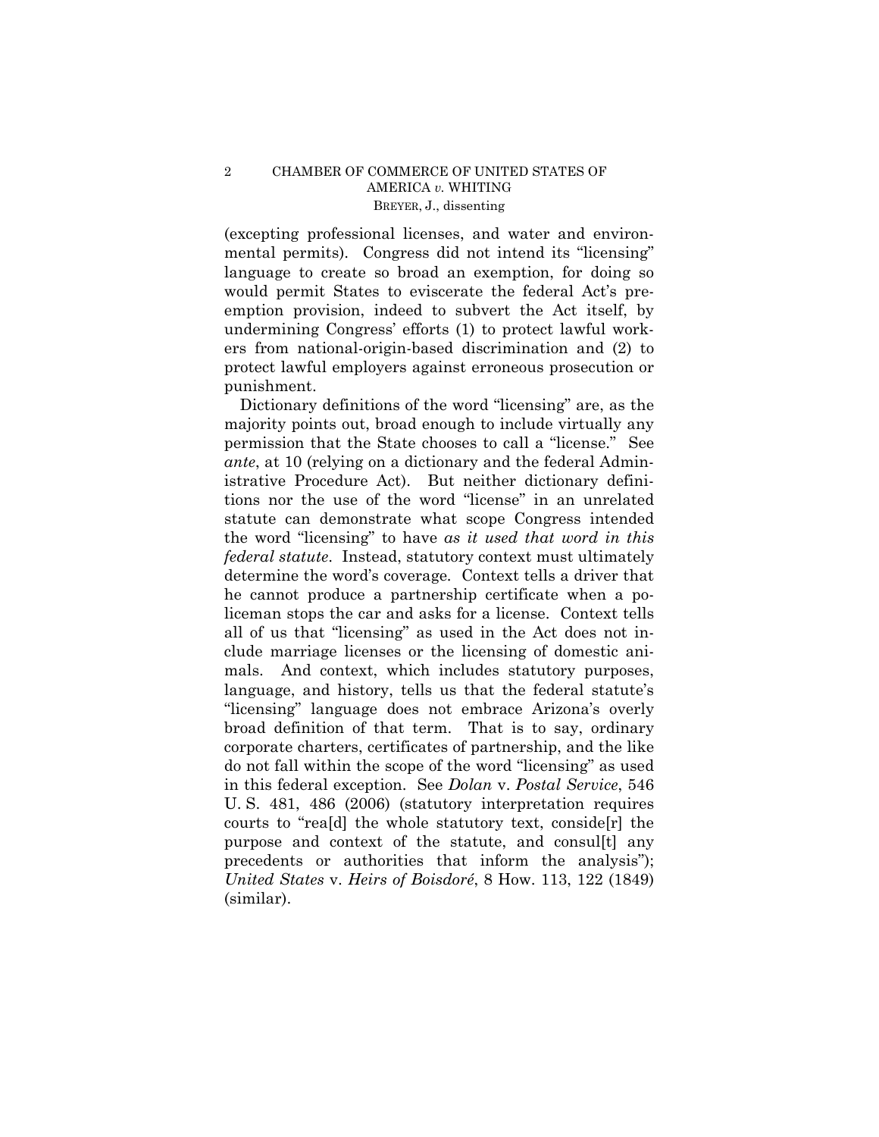## 2 CHAMBER OF COMMERCE OF UNITED STATES OF AMERICA *v.* WHITING BREYER, J., dissenting

(excepting professional licenses, and water and environmental permits). Congress did not intend its "licensing" language to create so broad an exemption, for doing so would permit States to eviscerate the federal Act's preemption provision, indeed to subvert the Act itself, by undermining Congress' efforts (1) to protect lawful workers from national-origin-based discrimination and (2) to protect lawful employers against erroneous prosecution or punishment.

Dictionary definitions of the word "licensing" are, as the majority points out, broad enough to include virtually any permission that the State chooses to call a "license." See *ante*, at 10 (relying on a dictionary and the federal Administrative Procedure Act). But neither dictionary definitions nor the use of the word "license" in an unrelated statute can demonstrate what scope Congress intended the word "licensing" to have *as it used that word in this federal statute*. Instead, statutory context must ultimately determine the word's coverage*.* Context tells a driver that he cannot produce a partnership certificate when a policeman stops the car and asks for a license. Context tells all of us that "licensing" as used in the Act does not include marriage licenses or the licensing of domestic animals. And context, which includes statutory purposes, language, and history, tells us that the federal statute's "licensing" language does not embrace Arizona's overly broad definition of that term. That is to say, ordinary corporate charters, certificates of partnership, and the like do not fall within the scope of the word "licensing" as used in this federal exception. See *Dolan* v. *Postal Service*, 546 U. S. 481, 486 (2006) (statutory interpretation requires courts to "rea[d] the whole statutory text, conside[r] the purpose and context of the statute, and consul[t] any precedents or authorities that inform the analysis"); *United States* v. *Heirs of Boisdoré*, 8 How. 113, 122 (1849) (similar).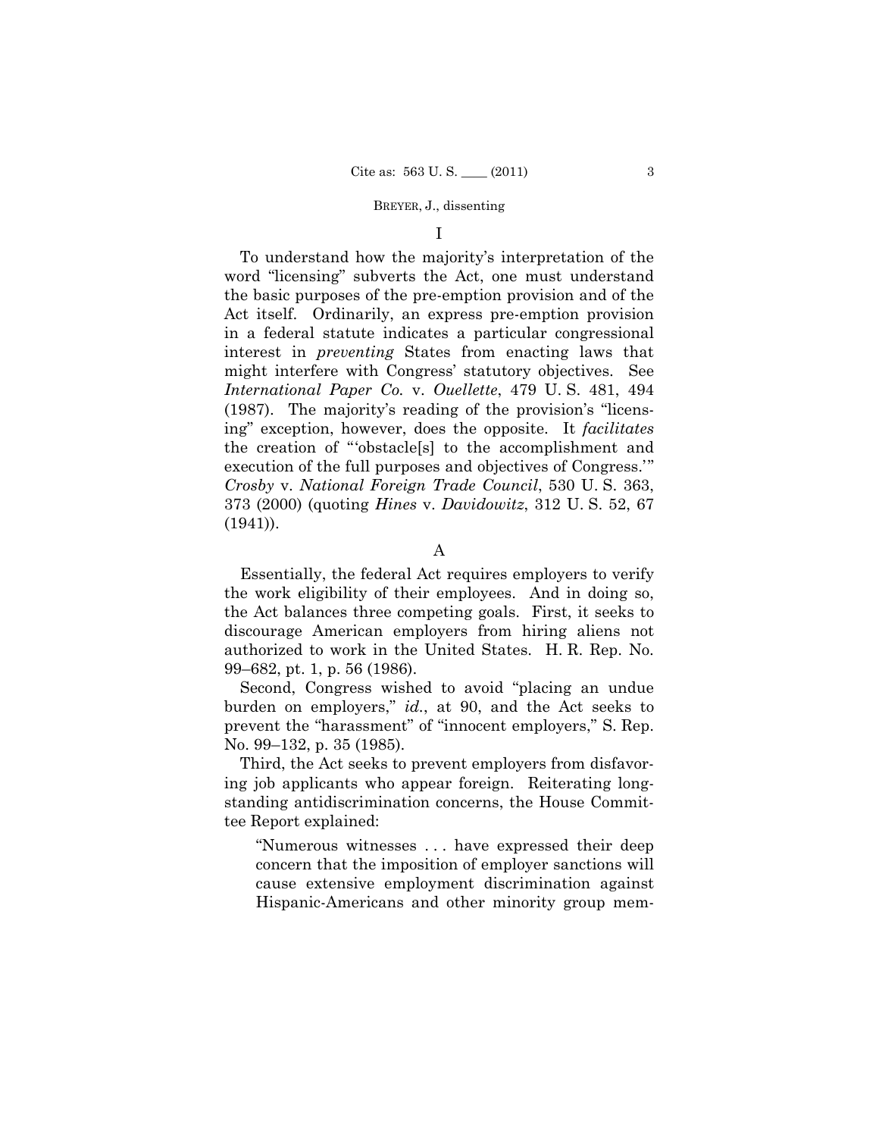#### BREYER, J., dissenting

I

To understand how the majority's interpretation of the word "licensing" subverts the Act, one must understand the basic purposes of the pre-emption provision and of the Act itself. Ordinarily, an express pre-emption provision in a federal statute indicates a particular congressional interest in *preventing* States from enacting laws that might interfere with Congress' statutory objectives. See *International Paper Co.* v. *Ouellette*, 479 U. S. 481, 494 (1987). The majority's reading of the provision's "licensing" exception, however, does the opposite. It *facilitates*  the creation of "'obstacle[s] to the accomplishment and execution of the full purposes and objectives of Congress.'" *Crosby* v. *National Foreign Trade Council*, 530 U. S. 363, 373 (2000) (quoting *Hines* v. *Davidowitz*, 312 U. S. 52, 67 (1941)).

Essentially, the federal Act requires employers to verify the work eligibility of their employees. And in doing so, the Act balances three competing goals. First, it seeks to discourage American employers from hiring aliens not authorized to work in the United States. H. R. Rep. No. 99–682, pt. 1, p. 56 (1986).

Second, Congress wished to avoid "placing an undue burden on employers," *id.*, at 90, and the Act seeks to prevent the "harassment" of "innocent employers," S. Rep. No. 99–132, p. 35 (1985).

Third, the Act seeks to prevent employers from disfavoring job applicants who appear foreign. Reiterating longstanding antidiscrimination concerns, the House Committee Report explained:

"Numerous witnesses . . . have expressed their deep concern that the imposition of employer sanctions will cause extensive employment discrimination against Hispanic-Americans and other minority group mem-

A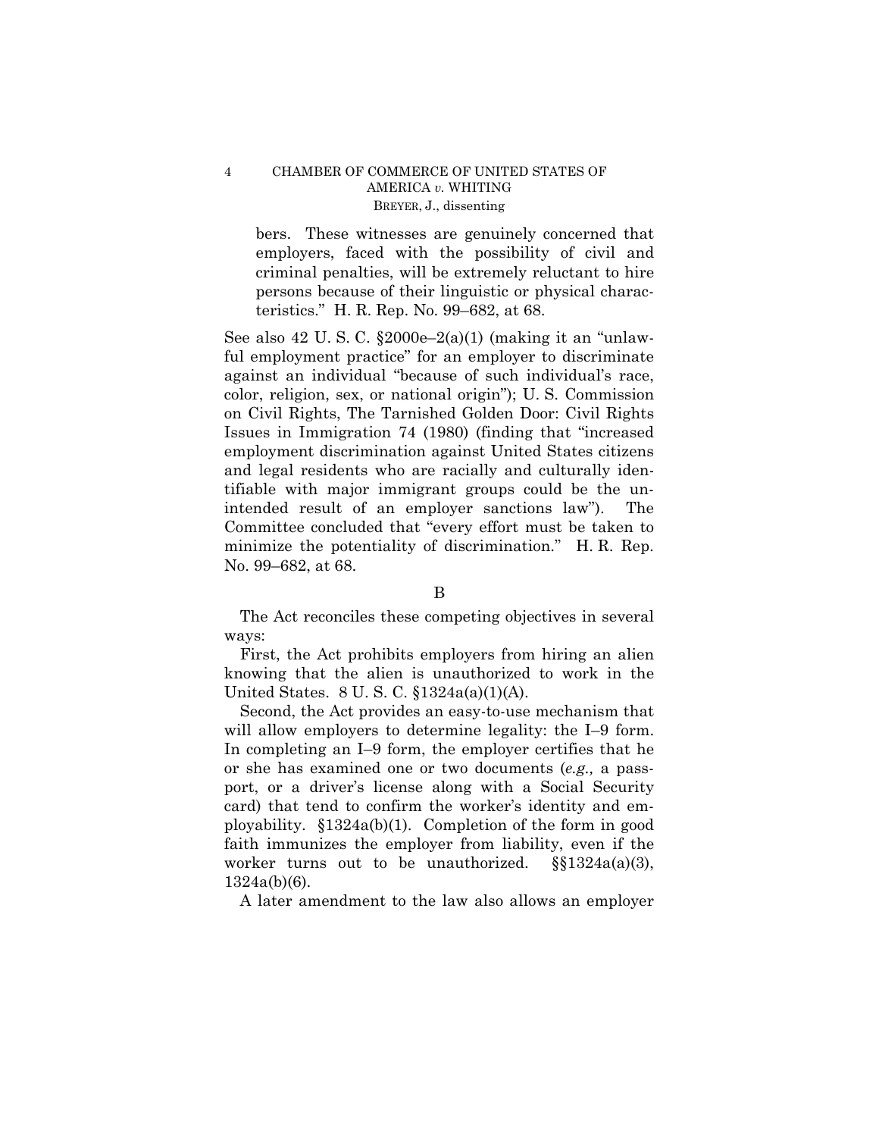## 4 CHAMBER OF COMMERCE OF UNITED STATES OF AMERICA *v.* WHITING BREYER, J., dissenting

bers. These witnesses are genuinely concerned that employers, faced with the possibility of civil and criminal penalties, will be extremely reluctant to hire persons because of their linguistic or physical characteristics." H. R. Rep. No. 99–682, at 68.

See also  $42$  U.S.C.  $\S2000e-2(a)(1)$  (making it an "unlawful employment practice" for an employer to discriminate against an individual "because of such individual's race, color, religion, sex, or national origin"); U. S. Commission on Civil Rights, The Tarnished Golden Door: Civil Rights Issues in Immigration 74 (1980) (finding that "increased employment discrimination against United States citizens and legal residents who are racially and culturally identifiable with major immigrant groups could be the unintended result of an employer sanctions law"). The Committee concluded that "every effort must be taken to minimize the potentiality of discrimination." H. R. Rep. No. 99–682, at 68.

## B

The Act reconciles these competing objectives in several ways:

First, the Act prohibits employers from hiring an alien knowing that the alien is unauthorized to work in the United States. 8 U. S. C. §1324a(a)(1)(A).

Second, the Act provides an easy-to-use mechanism that will allow employers to determine legality: the I-9 form. In completing an I–9 form, the employer certifies that he or she has examined one or two documents (*e.g.,* a passport, or a driver's license along with a Social Security card) that tend to confirm the worker's identity and employability. §1324a(b)(1). Completion of the form in good faith immunizes the employer from liability, even if the worker turns out to be unauthorized.  $\S(1324a(a)(3))$ , 1324a(b)(6).

A later amendment to the law also allows an employer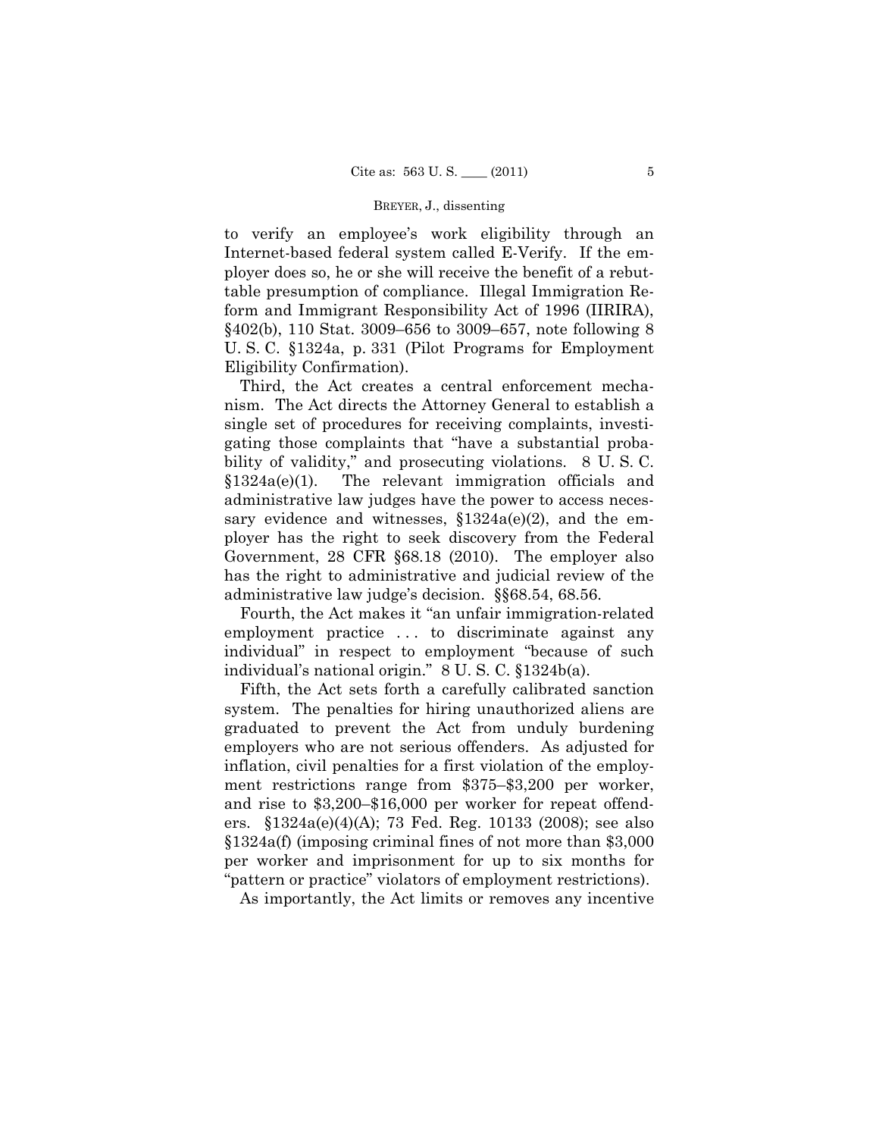#### BREYER, J., dissenting

to verify an employee's work eligibility through an Internet-based federal system called E-Verify. If the employer does so, he or she will receive the benefit of a rebuttable presumption of compliance. Illegal Immigration Reform and Immigrant Responsibility Act of 1996 (IIRIRA), §402(b), 110 Stat. 3009–656 to 3009–657, note following 8 U. S. C. §1324a, p. 331 (Pilot Programs for Employment Eligibility Confirmation).

Third, the Act creates a central enforcement mechanism. The Act directs the Attorney General to establish a single set of procedures for receiving complaints, investigating those complaints that "have a substantial probability of validity," and prosecuting violations. 8 U. S. C. §1324a(e)(1). The relevant immigration officials and administrative law judges have the power to access necessary evidence and witnesses,  $$1324a(e)(2)$ , and the employer has the right to seek discovery from the Federal Government, 28 CFR §68.18 (2010). The employer also has the right to administrative and judicial review of the administrative law judge's decision. §§68.54, 68.56.

Fourth, the Act makes it "an unfair immigration-related employment practice . . . to discriminate against any individual" in respect to employment "because of such individual's national origin." 8 U. S. C. §1324b(a).

Fifth, the Act sets forth a carefully calibrated sanction system. The penalties for hiring unauthorized aliens are graduated to prevent the Act from unduly burdening employers who are not serious offenders. As adjusted for inflation, civil penalties for a first violation of the employment restrictions range from \$375–\$3,200 per worker, and rise to \$3,200–\$16,000 per worker for repeat offenders. §1324a(e)(4)(A); 73 Fed. Reg. 10133 (2008); see also §1324a(f) (imposing criminal fines of not more than \$3,000 per worker and imprisonment for up to six months for "pattern or practice" violators of employment restrictions).

As importantly, the Act limits or removes any incentive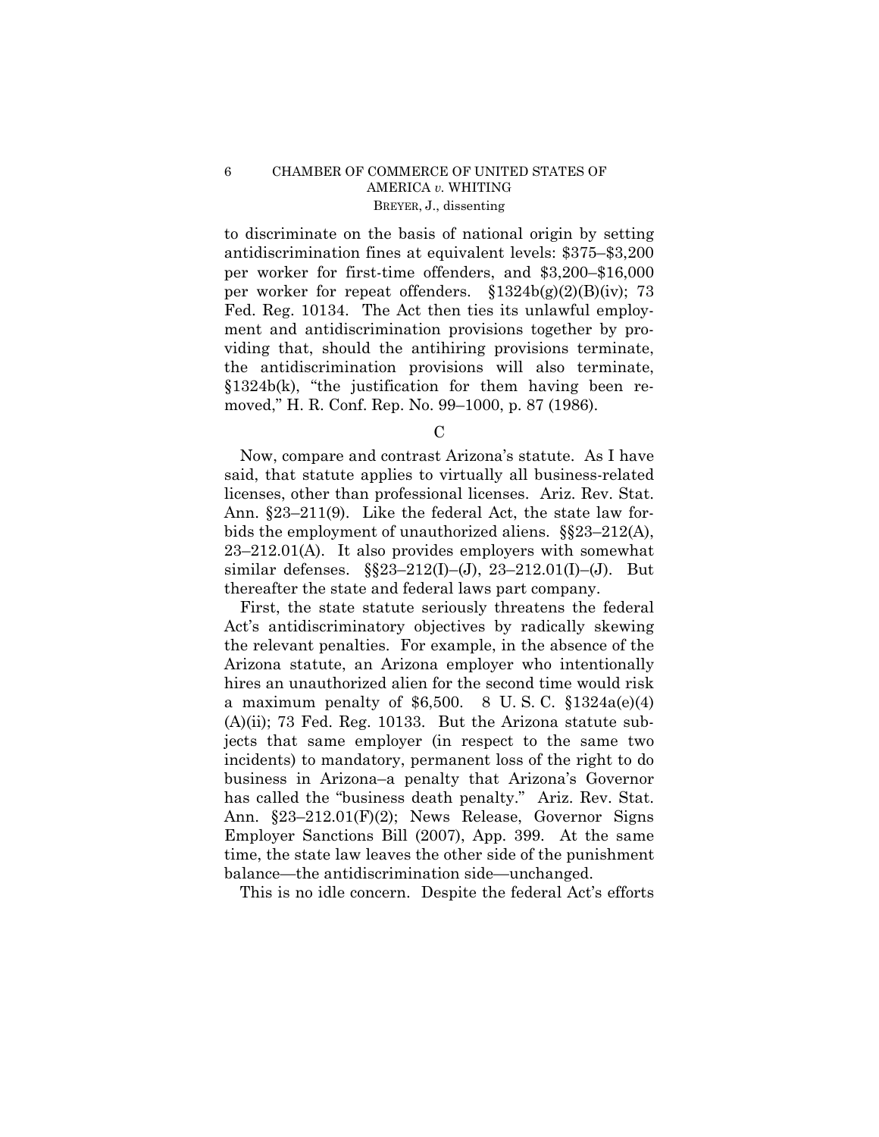## 6 CHAMBER OF COMMERCE OF UNITED STATES OF AMERICA *v.* WHITING BREYER, J., dissenting

to discriminate on the basis of national origin by setting antidiscrimination fines at equivalent levels: \$375–\$3,200 per worker for first-time offenders, and \$3,200–\$16,000 per worker for repeat offenders.  $\S 1324b(g)(2)(B)(iv)$ ; 73 Fed. Reg. 10134. The Act then ties its unlawful employment and antidiscrimination provisions together by providing that, should the antihiring provisions terminate, the antidiscrimination provisions will also terminate, §1324b(k), "the justification for them having been removed," H. R. Conf. Rep. No. 99–1000, p. 87 (1986).

C

Now, compare and contrast Arizona's statute. As I have said, that statute applies to virtually all business-related licenses, other than professional licenses. Ariz. Rev. Stat. Ann. §23–211(9). Like the federal Act, the state law forbids the employment of unauthorized aliens. §§23–212(A), 23–212.01(A). It also provides employers with somewhat similar defenses. §§23–212(I)–(J), 23–212.01(I)–(J). But thereafter the state and federal laws part company.

First, the state statute seriously threatens the federal Act's antidiscriminatory objectives by radically skewing the relevant penalties. For example, in the absence of the Arizona statute, an Arizona employer who intentionally hires an unauthorized alien for the second time would risk a maximum penalty of \$6,500. 8 U.S.C.  $$1324a(e)(4)$  $(A)(ii)$ ; 73 Fed. Reg. 10133. But the Arizona statute subjects that same employer (in respect to the same two incidents) to mandatory, permanent loss of the right to do business in Arizona–a penalty that Arizona's Governor has called the "business death penalty." Ariz. Rev. Stat. Ann. §23–212.01(F)(2); News Release, Governor Signs Employer Sanctions Bill (2007), App. 399. At the same time, the state law leaves the other side of the punishment balance—the antidiscrimination side—unchanged.

This is no idle concern. Despite the federal Act's efforts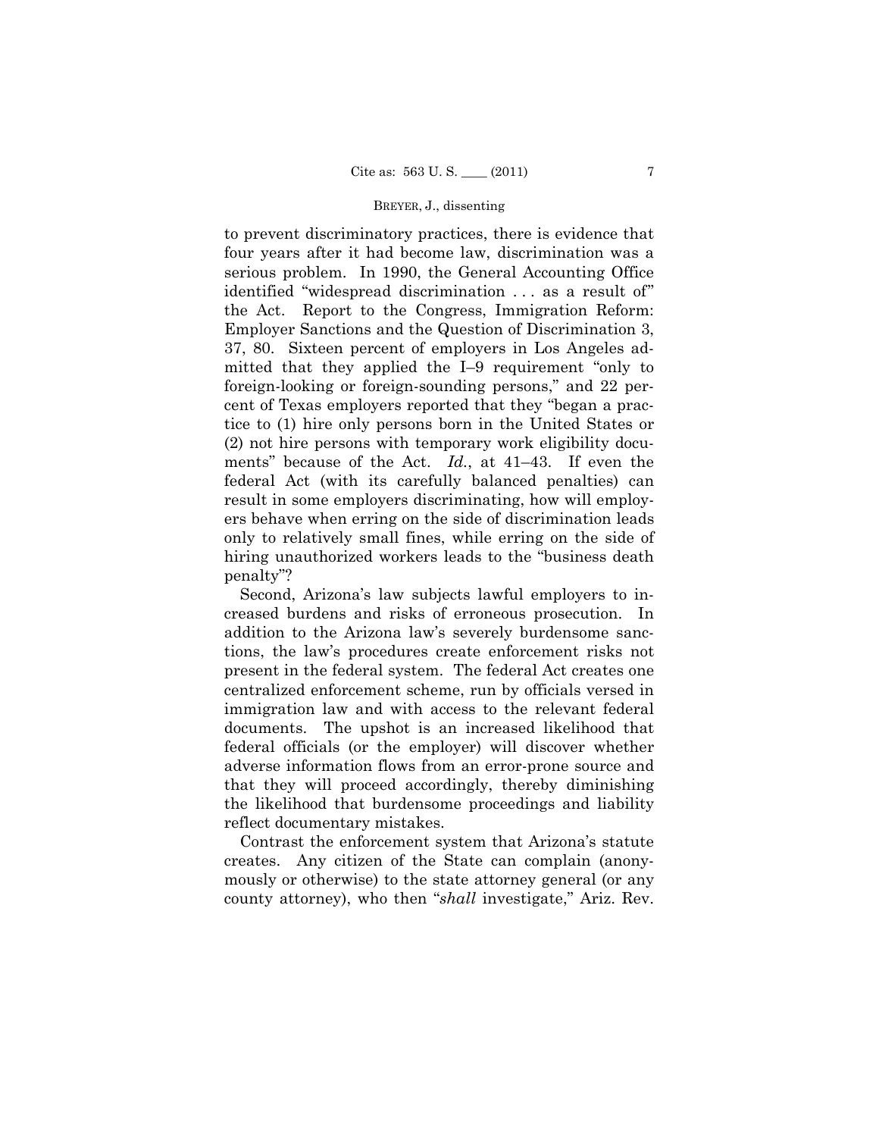### BREYER, J., dissenting

to prevent discriminatory practices, there is evidence that four years after it had become law, discrimination was a serious problem. In 1990, the General Accounting Office identified "widespread discrimination . . . as a result of" the Act. Report to the Congress, Immigration Reform: Employer Sanctions and the Question of Discrimination 3, 37, 80. Sixteen percent of employers in Los Angeles admitted that they applied the I–9 requirement "only to foreign-looking or foreign-sounding persons," and 22 percent of Texas employers reported that they "began a practice to (1) hire only persons born in the United States or (2) not hire persons with temporary work eligibility documents" because of the Act. *Id.*, at 41–43. If even the federal Act (with its carefully balanced penalties) can result in some employers discriminating, how will employers behave when erring on the side of discrimination leads only to relatively small fines, while erring on the side of hiring unauthorized workers leads to the "business death penalty"?

Second, Arizona's law subjects lawful employers to increased burdens and risks of erroneous prosecution. In addition to the Arizona law's severely burdensome sanctions, the law's procedures create enforcement risks not present in the federal system. The federal Act creates one centralized enforcement scheme, run by officials versed in immigration law and with access to the relevant federal documents. The upshot is an increased likelihood that federal officials (or the employer) will discover whether adverse information flows from an error-prone source and that they will proceed accordingly, thereby diminishing the likelihood that burdensome proceedings and liability reflect documentary mistakes.

Contrast the enforcement system that Arizona's statute creates. Any citizen of the State can complain (anonymously or otherwise) to the state attorney general (or any county attorney), who then "*shall* investigate," Ariz. Rev.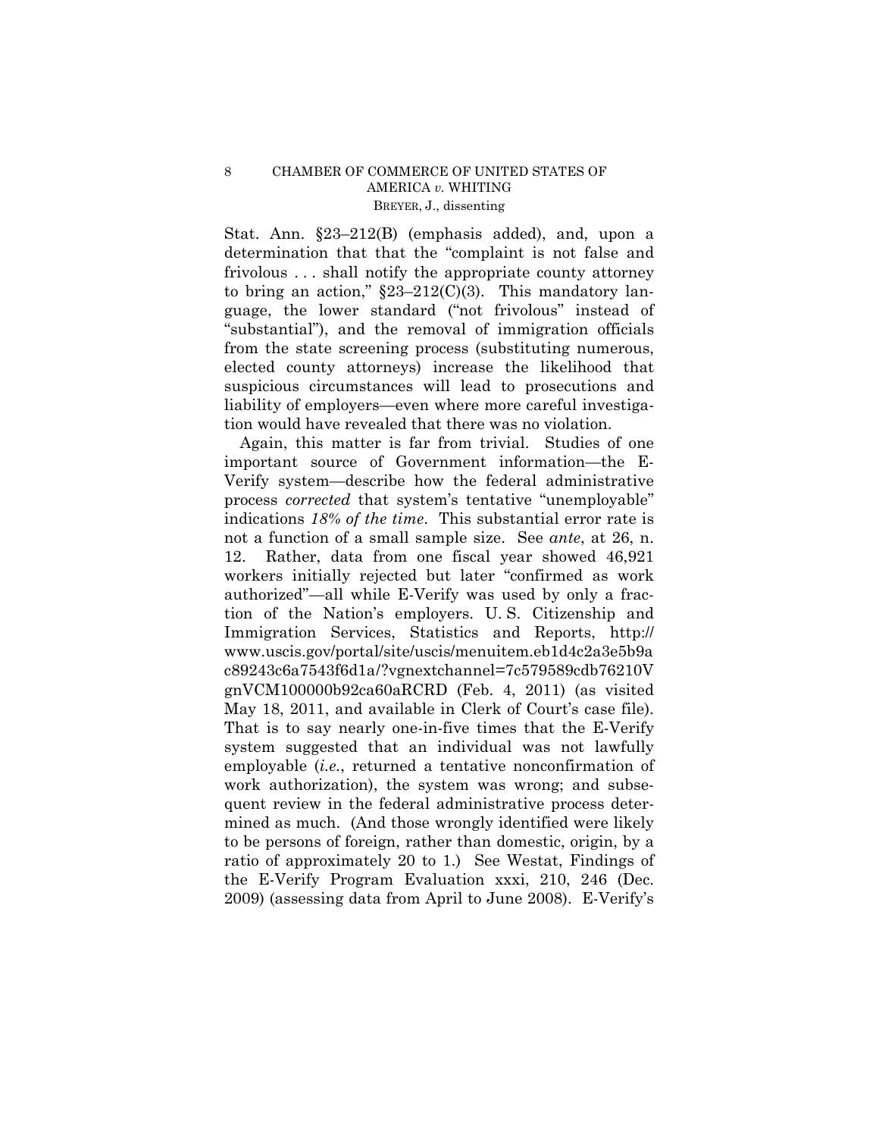Stat. Ann. §23–212(B) (emphasis added), and, upon a determination that that the "complaint is not false and frivolous . . . shall notify the appropriate county attorney to bring an action,"  $\S23-212(C)(3)$ . This mandatory language, the lower standard ("not frivolous" instead of "substantial"), and the removal of immigration officials from the state screening process (substituting numerous, elected county attorneys) increase the likelihood that suspicious circumstances will lead to prosecutions and liability of employers—even where more careful investigation would have revealed that there was no violation.

Again, this matter is far from trivial. Studies of one important source of Government information—the E-Verify system—describe how the federal administrative process *corrected* that system's tentative "unemployable" indications *18% of the time*. This substantial error rate is not a function of a small sample size. See *ante*, at 26, n. 12. Rather, data from one fiscal year showed 46,921 workers initially rejected but later "confirmed as work authorized"—all while E-Verify was used by only a fraction of the Nation's employers. U. S. Citizenship and Immigration Services, Statistics and Reports, http:// www.uscis.gov/portal/site/uscis/menuitem.eb1d4c2a3e5b9a c89243c6a7543f6d1a/?vgnextchannel=7c579589cdb76210V gnVCM100000b92ca60aRCRD (Feb. 4, 2011) (as visited May 18, 2011, and available in Clerk of Court's case file). That is to say nearly one-in-five times that the E-Verify system suggested that an individual was not lawfully employable (*i.e.*, returned a tentative nonconfirmation of work authorization), the system was wrong; and subsequent review in the federal administrative process determined as much. (And those wrongly identified were likely to be persons of foreign, rather than domestic, origin, by a ratio of approximately 20 to 1.) See Westat, Findings of the E-Verify Program Evaluation xxxi, 210, 246 (Dec. 2009) (assessing data from April to June 2008). E-Verify's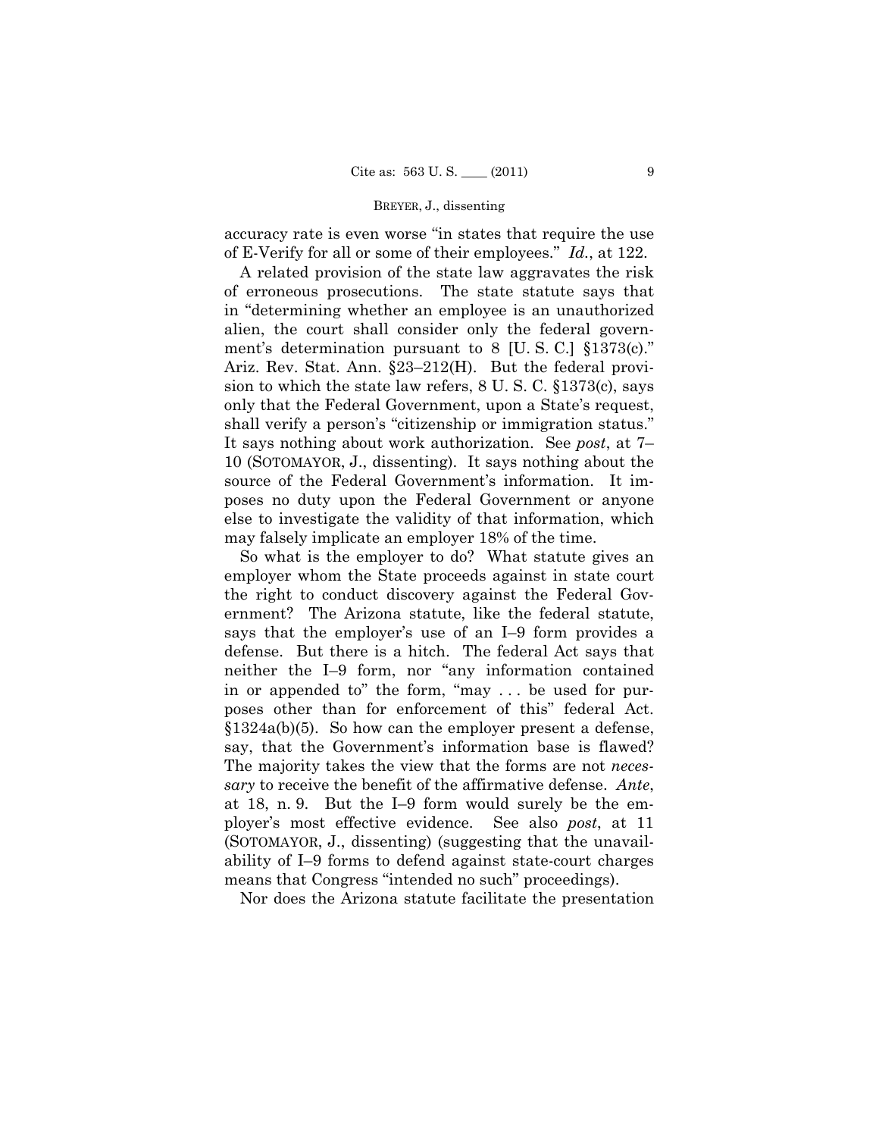#### BREYER, J., dissenting

accuracy rate is even worse "in states that require the use of E-Verify for all or some of their employees." *Id.*, at 122.

A related provision of the state law aggravates the risk of erroneous prosecutions. The state statute says that in "determining whether an employee is an unauthorized alien, the court shall consider only the federal government's determination pursuant to 8 [U. S. C.] §1373(c)." Ariz. Rev. Stat. Ann. §23–212(H). But the federal provision to which the state law refers, 8 U. S. C. §1373(c), says only that the Federal Government, upon a State's request, shall verify a person's "citizenship or immigration status." It says nothing about work authorization. See *post*, at 7– 10 (SOTOMAYOR, J., dissenting). It says nothing about the source of the Federal Government's information. It imposes no duty upon the Federal Government or anyone else to investigate the validity of that information, which may falsely implicate an employer 18% of the time.

So what is the employer to do? What statute gives an employer whom the State proceeds against in state court the right to conduct discovery against the Federal Government? The Arizona statute, like the federal statute, says that the employer's use of an I–9 form provides a defense. But there is a hitch. The federal Act says that neither the I–9 form, nor "any information contained in or appended to" the form, "may . . . be used for purposes other than for enforcement of this" federal Act. §1324a(b)(5). So how can the employer present a defense, say, that the Government's information base is flawed? The majority takes the view that the forms are not *necessary* to receive the benefit of the affirmative defense. *Ante*, at 18, n. 9. But the I–9 form would surely be the employer's most effective evidence. See also *post*, at 11 (SOTOMAYOR, J., dissenting) (suggesting that the unavailability of I–9 forms to defend against state-court charges means that Congress "intended no such" proceedings).

Nor does the Arizona statute facilitate the presentation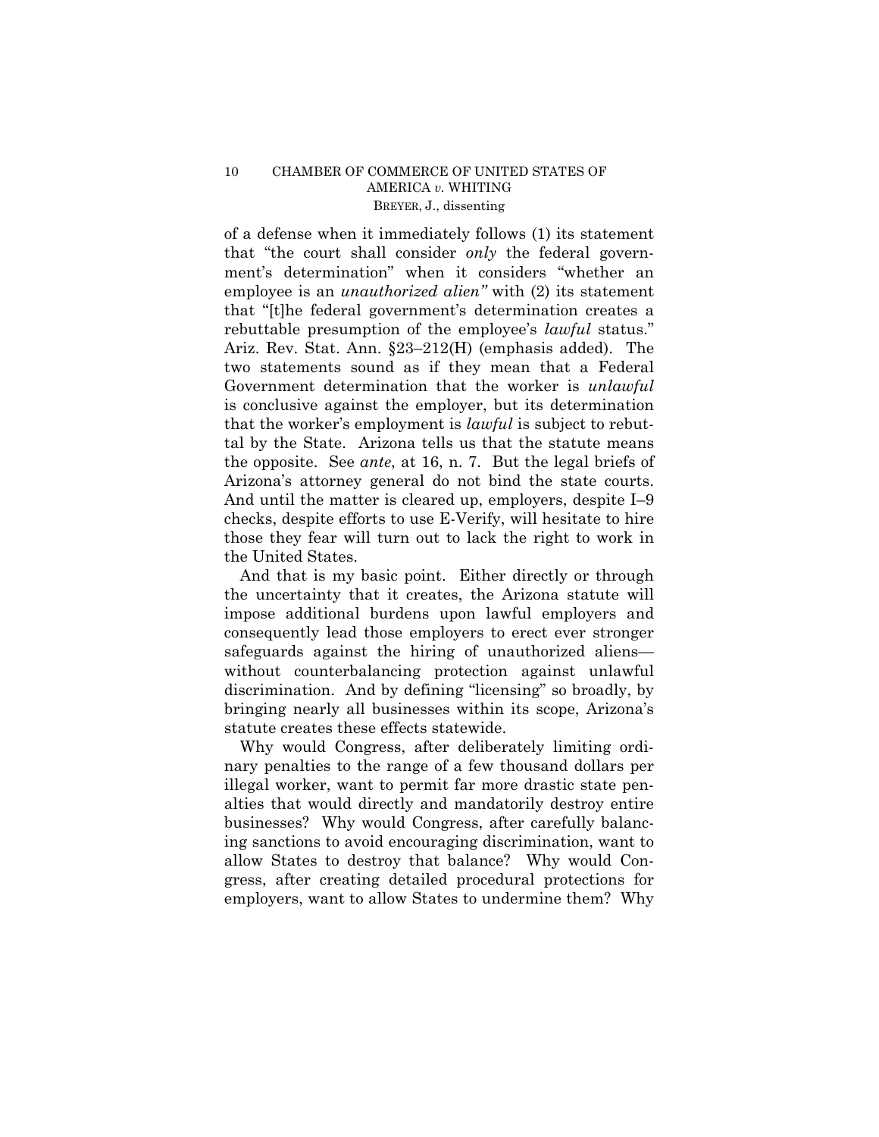## 10 CHAMBER OF COMMERCE OF UNITED STATES OF AMERICA *v.* WHITING BREYER, J., dissenting

of a defense when it immediately follows (1) its statement that "the court shall consider *only* the federal government's determination" when it considers "whether an employee is an *unauthorized alien"* with (2) its statement that "[t]he federal government's determination creates a rebuttable presumption of the employee's *lawful* status." Ariz. Rev. Stat. Ann. §23–212(H) (emphasis added). The two statements sound as if they mean that a Federal Government determination that the worker is *unlawful*  is conclusive against the employer, but its determination that the worker's employment is *lawful* is subject to rebuttal by the State. Arizona tells us that the statute means the opposite. See *ante*, at 16, n. 7. But the legal briefs of Arizona's attorney general do not bind the state courts. And until the matter is cleared up, employers, despite I–9 checks, despite efforts to use E-Verify, will hesitate to hire those they fear will turn out to lack the right to work in the United States.

And that is my basic point. Either directly or through the uncertainty that it creates, the Arizona statute will impose additional burdens upon lawful employers and consequently lead those employers to erect ever stronger safeguards against the hiring of unauthorized aliens without counterbalancing protection against unlawful discrimination. And by defining "licensing" so broadly, by bringing nearly all businesses within its scope, Arizona's statute creates these effects statewide.

Why would Congress, after deliberately limiting ordinary penalties to the range of a few thousand dollars per illegal worker, want to permit far more drastic state penalties that would directly and mandatorily destroy entire businesses? Why would Congress, after carefully balancing sanctions to avoid encouraging discrimination, want to allow States to destroy that balance? Why would Congress, after creating detailed procedural protections for employers, want to allow States to undermine them? Why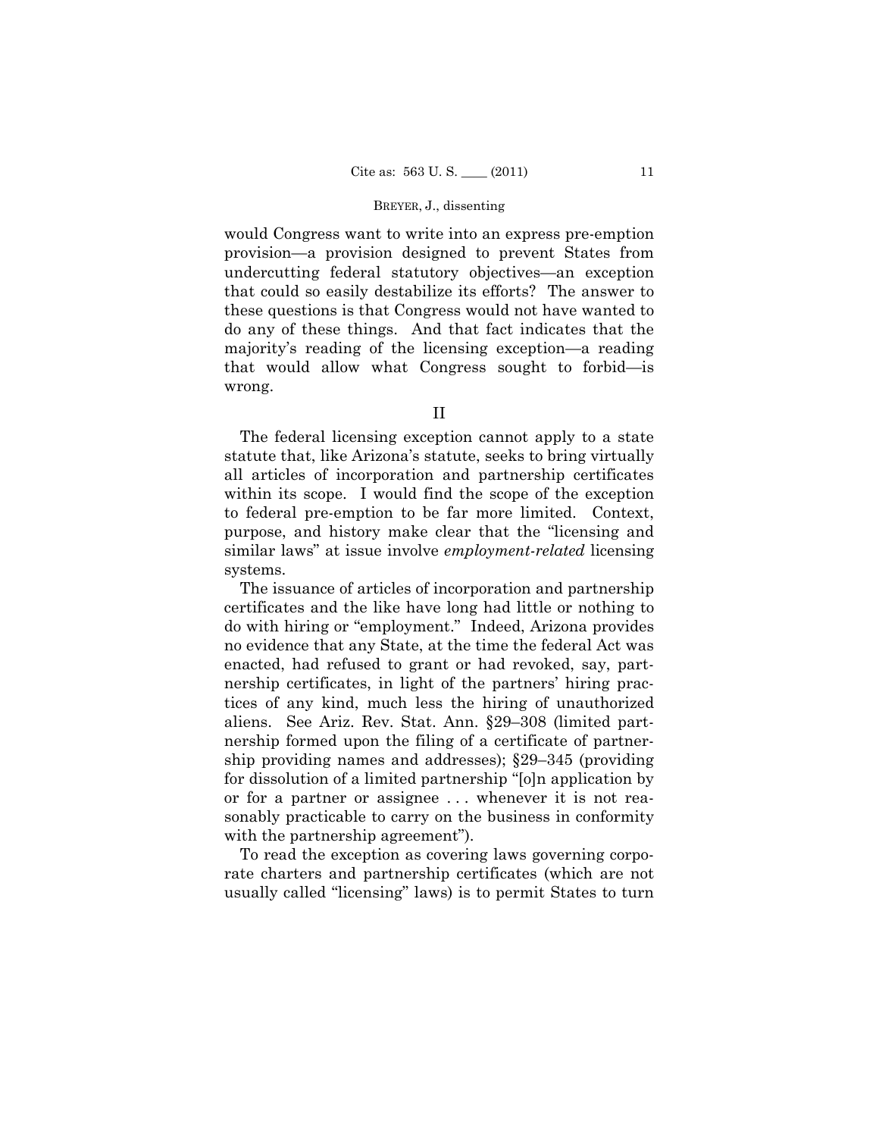#### BREYER, J., dissenting

would Congress want to write into an express pre-emption provision—a provision designed to prevent States from undercutting federal statutory objectives—an exception that could so easily destabilize its efforts? The answer to these questions is that Congress would not have wanted to do any of these things. And that fact indicates that the majority's reading of the licensing exception—a reading that would allow what Congress sought to forbid—is wrong.

II

The federal licensing exception cannot apply to a state statute that, like Arizona's statute, seeks to bring virtually all articles of incorporation and partnership certificates within its scope. I would find the scope of the exception to federal pre-emption to be far more limited. Context, purpose, and history make clear that the "licensing and similar laws" at issue involve *employment-related* licensing systems.

The issuance of articles of incorporation and partnership certificates and the like have long had little or nothing to do with hiring or "employment." Indeed, Arizona provides no evidence that any State, at the time the federal Act was enacted, had refused to grant or had revoked, say, partnership certificates, in light of the partners' hiring practices of any kind, much less the hiring of unauthorized aliens. See Ariz. Rev. Stat. Ann. §29–308 (limited partnership formed upon the filing of a certificate of partnership providing names and addresses); §29–345 (providing for dissolution of a limited partnership "[o]n application by or for a partner or assignee . . . whenever it is not reasonably practicable to carry on the business in conformity with the partnership agreement").

To read the exception as covering laws governing corporate charters and partnership certificates (which are not usually called "licensing" laws) is to permit States to turn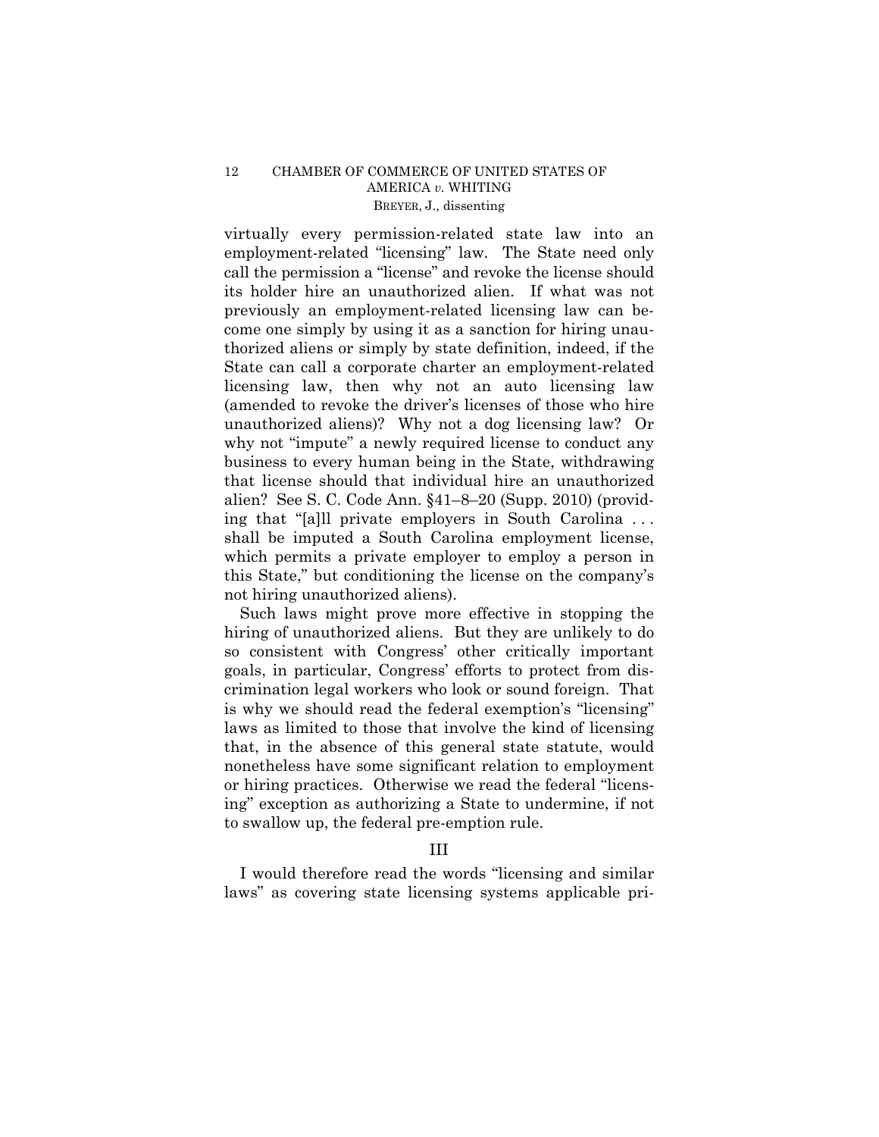## 12 CHAMBER OF COMMERCE OF UNITED STATES OF AMERICA *v.* WHITING BREYER, J., dissenting

virtually every permission-related state law into an employment-related "licensing" law. The State need only call the permission a "license" and revoke the license should its holder hire an unauthorized alien. If what was not previously an employment-related licensing law can become one simply by using it as a sanction for hiring unauthorized aliens or simply by state definition, indeed, if the State can call a corporate charter an employment-related licensing law, then why not an auto licensing law (amended to revoke the driver's licenses of those who hire unauthorized aliens)? Why not a dog licensing law? Or why not "impute" a newly required license to conduct any business to every human being in the State, withdrawing that license should that individual hire an unauthorized alien? See S. C. Code Ann. §41–8–20 (Supp. 2010) (providing that "[a]ll private employers in South Carolina . . . shall be imputed a South Carolina employment license, which permits a private employer to employ a person in this State," but conditioning the license on the company's not hiring unauthorized aliens).

Such laws might prove more effective in stopping the hiring of unauthorized aliens. But they are unlikely to do so consistent with Congress' other critically important goals, in particular, Congress' efforts to protect from discrimination legal workers who look or sound foreign. That is why we should read the federal exemption's "licensing" laws as limited to those that involve the kind of licensing that, in the absence of this general state statute, would nonetheless have some significant relation to employment or hiring practices. Otherwise we read the federal "licensing" exception as authorizing a State to undermine, if not to swallow up, the federal pre-emption rule.

## III

I would therefore read the words "licensing and similar laws" as covering state licensing systems applicable pri-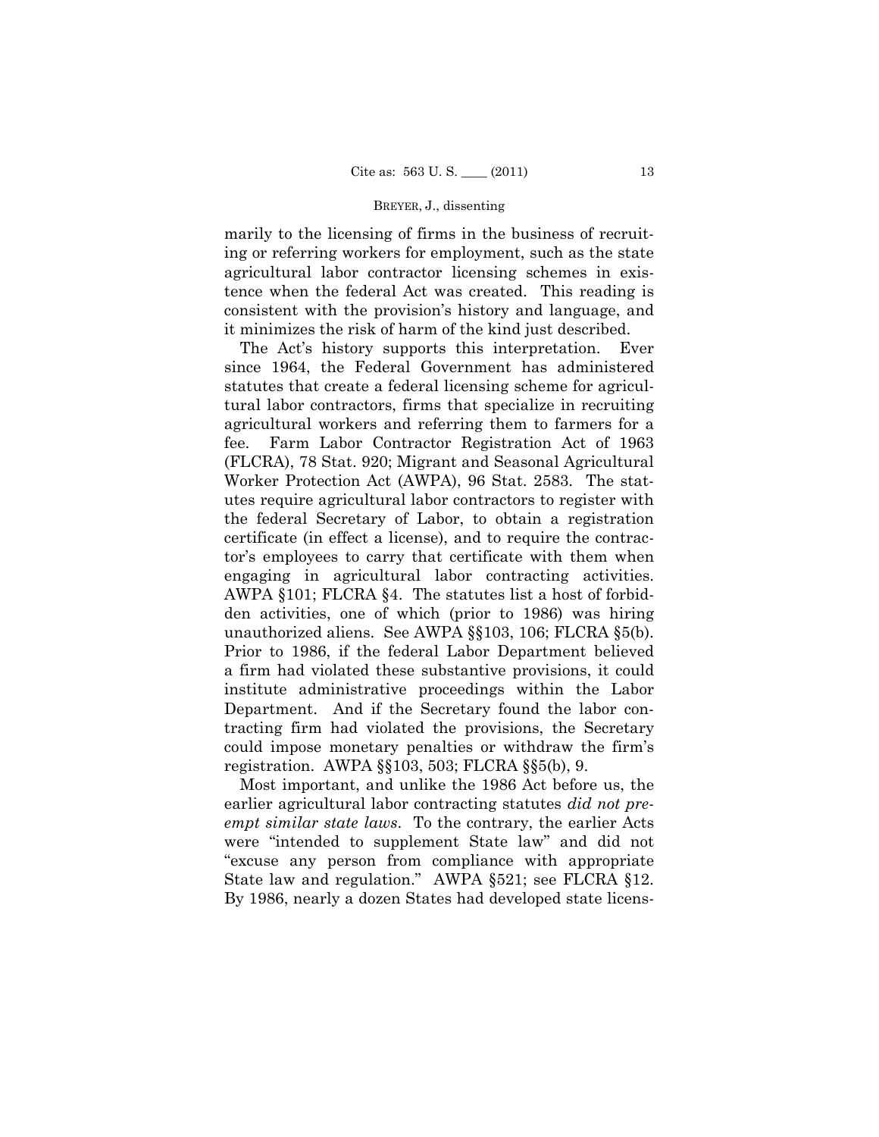### BREYER, J., dissenting

marily to the licensing of firms in the business of recruiting or referring workers for employment, such as the state agricultural labor contractor licensing schemes in existence when the federal Act was created. This reading is consistent with the provision's history and language, and it minimizes the risk of harm of the kind just described.

The Act's history supports this interpretation. Ever since 1964, the Federal Government has administered statutes that create a federal licensing scheme for agricultural labor contractors, firms that specialize in recruiting agricultural workers and referring them to farmers for a fee. Farm Labor Contractor Registration Act of 1963 (FLCRA), 78 Stat. 920; Migrant and Seasonal Agricultural Worker Protection Act (AWPA), 96 Stat. 2583. The statutes require agricultural labor contractors to register with the federal Secretary of Labor, to obtain a registration certificate (in effect a license), and to require the contractor's employees to carry that certificate with them when engaging in agricultural labor contracting activities. AWPA §101; FLCRA §4. The statutes list a host of forbidden activities, one of which (prior to 1986) was hiring unauthorized aliens. See AWPA §§103, 106; FLCRA §5(b). Prior to 1986, if the federal Labor Department believed a firm had violated these substantive provisions, it could institute administrative proceedings within the Labor Department. And if the Secretary found the labor contracting firm had violated the provisions, the Secretary could impose monetary penalties or withdraw the firm's registration. AWPA §§103, 503; FLCRA §§5(b), 9.

Most important, and unlike the 1986 Act before us, the earlier agricultural labor contracting statutes *did not preempt similar state laws*. To the contrary, the earlier Acts were "intended to supplement State law" and did not "excuse any person from compliance with appropriate State law and regulation." AWPA §521; see FLCRA §12. By 1986, nearly a dozen States had developed state licens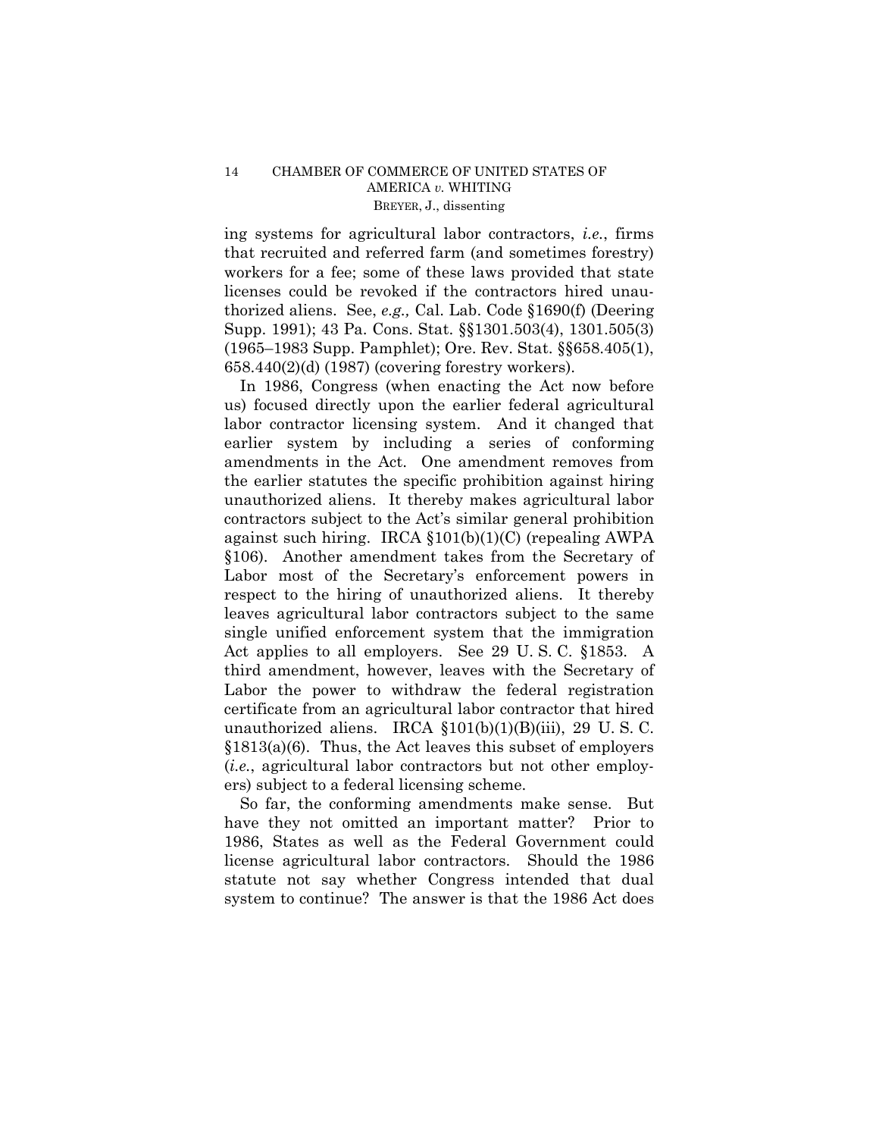ing systems for agricultural labor contractors, *i.e.*, firms that recruited and referred farm (and sometimes forestry) workers for a fee; some of these laws provided that state licenses could be revoked if the contractors hired unauthorized aliens. See, *e.g.,* Cal. Lab. Code §1690(f) (Deering Supp. 1991); 43 Pa. Cons. Stat. §§1301.503(4), 1301.505(3) (1965–1983 Supp. Pamphlet); Ore. Rev. Stat. §§658.405(1), 658.440(2)(d) (1987) (covering forestry workers).

In 1986, Congress (when enacting the Act now before us) focused directly upon the earlier federal agricultural labor contractor licensing system. And it changed that earlier system by including a series of conforming amendments in the Act. One amendment removes from the earlier statutes the specific prohibition against hiring unauthorized aliens. It thereby makes agricultural labor contractors subject to the Act's similar general prohibition against such hiring. IRCA §101(b)(1)(C) (repealing AWPA §106). Another amendment takes from the Secretary of Labor most of the Secretary's enforcement powers in respect to the hiring of unauthorized aliens. It thereby leaves agricultural labor contractors subject to the same single unified enforcement system that the immigration Act applies to all employers. See 29 U. S. C. §1853. A third amendment, however, leaves with the Secretary of Labor the power to withdraw the federal registration certificate from an agricultural labor contractor that hired unauthorized aliens. IRCA  $$101(b)(1)(B)(iii)$ , 29 U.S.C. §1813(a)(6). Thus, the Act leaves this subset of employers (*i.e.*, agricultural labor contractors but not other employers) subject to a federal licensing scheme.

So far, the conforming amendments make sense. But have they not omitted an important matter? Prior to 1986, States as well as the Federal Government could license agricultural labor contractors. Should the 1986 statute not say whether Congress intended that dual system to continue? The answer is that the 1986 Act does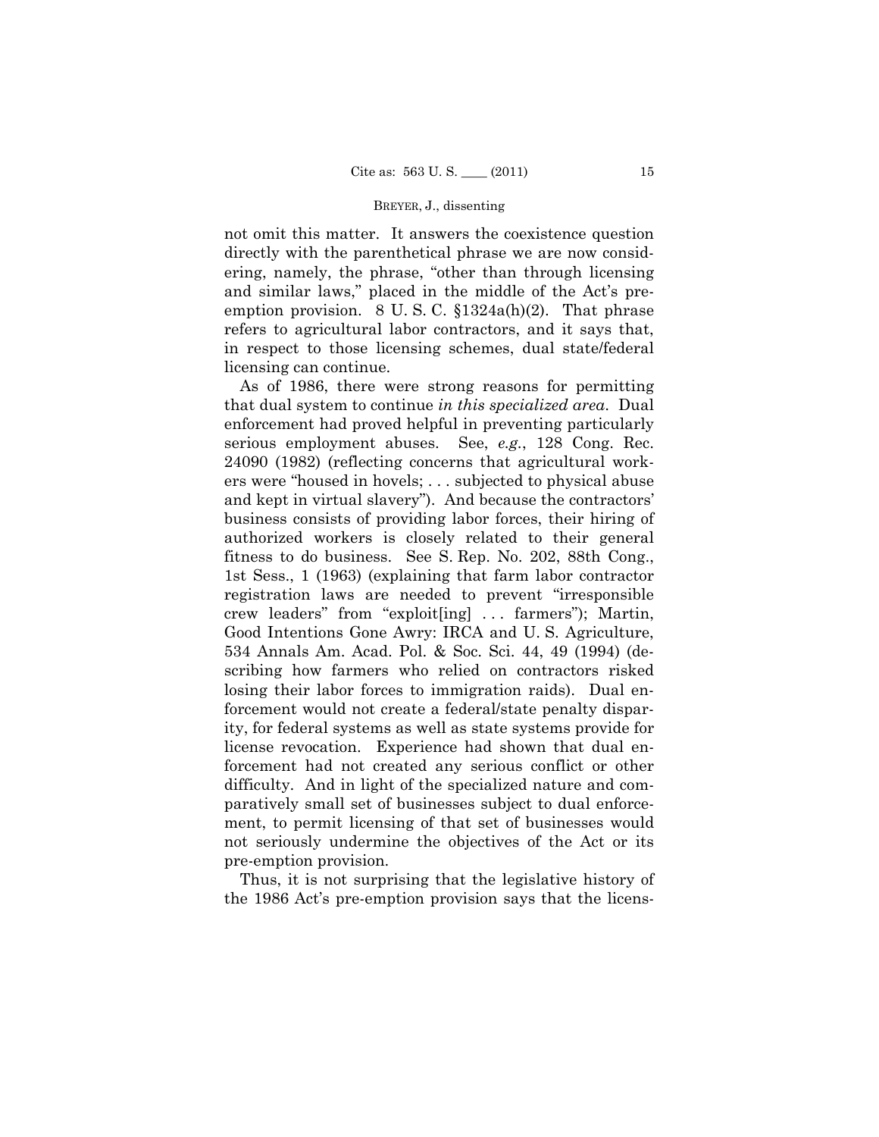#### BREYER, J., dissenting

not omit this matter. It answers the coexistence question directly with the parenthetical phrase we are now considering, namely, the phrase, "other than through licensing and similar laws," placed in the middle of the Act's preemption provision. 8 U.S.C.  $$1324a(h)(2)$ . That phrase refers to agricultural labor contractors, and it says that, in respect to those licensing schemes, dual state/federal licensing can continue.

As of 1986, there were strong reasons for permitting that dual system to continue *in this specialized area*. Dual enforcement had proved helpful in preventing particularly serious employment abuses. See, *e.g.*, 128 Cong. Rec. 24090 (1982) (reflecting concerns that agricultural workers were "housed in hovels; . . . subjected to physical abuse and kept in virtual slavery"). And because the contractors' business consists of providing labor forces, their hiring of authorized workers is closely related to their general fitness to do business. See S. Rep. No. 202, 88th Cong., 1st Sess., 1 (1963) (explaining that farm labor contractor registration laws are needed to prevent "irresponsible crew leaders" from "exploit[ing] . . . farmers"); Martin, Good Intentions Gone Awry: IRCA and U. S. Agriculture, 534 Annals Am. Acad. Pol. & Soc. Sci. 44, 49 (1994) (describing how farmers who relied on contractors risked losing their labor forces to immigration raids). Dual enforcement would not create a federal/state penalty disparity, for federal systems as well as state systems provide for license revocation. Experience had shown that dual enforcement had not created any serious conflict or other difficulty. And in light of the specialized nature and comparatively small set of businesses subject to dual enforcement, to permit licensing of that set of businesses would not seriously undermine the objectives of the Act or its pre-emption provision.

Thus, it is not surprising that the legislative history of the 1986 Act's pre-emption provision says that the licens-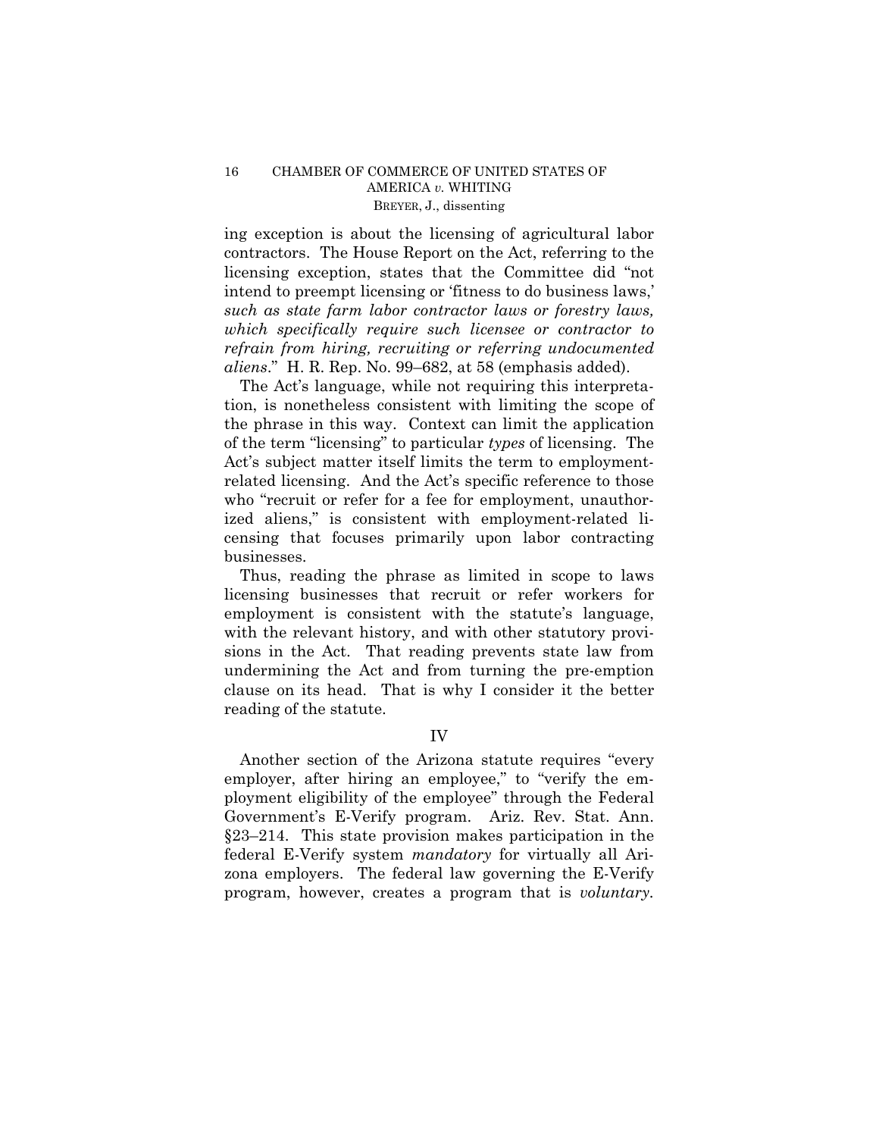## 16 CHAMBER OF COMMERCE OF UNITED STATES OF AMERICA *v.* WHITING BREYER, J., dissenting

ing exception is about the licensing of agricultural labor contractors. The House Report on the Act, referring to the licensing exception, states that the Committee did "not intend to preempt licensing or 'fitness to do business laws,' *such as state farm labor contractor laws or forestry laws, which specifically require such licensee or contractor to refrain from hiring, recruiting or referring undocumented aliens*." H. R. Rep. No. 99–682, at 58 (emphasis added).

The Act's language, while not requiring this interpretation, is nonetheless consistent with limiting the scope of the phrase in this way. Context can limit the application of the term "licensing" to particular *types* of licensing. The Act's subject matter itself limits the term to employmentrelated licensing. And the Act's specific reference to those who "recruit or refer for a fee for employment, unauthorized aliens," is consistent with employment-related licensing that focuses primarily upon labor contracting businesses.

Thus, reading the phrase as limited in scope to laws licensing businesses that recruit or refer workers for employment is consistent with the statute's language, with the relevant history, and with other statutory provisions in the Act. That reading prevents state law from undermining the Act and from turning the pre-emption clause on its head. That is why I consider it the better reading of the statute.

IV

Another section of the Arizona statute requires "every employer, after hiring an employee," to "verify the employment eligibility of the employee" through the Federal Government's E-Verify program. Ariz. Rev. Stat. Ann. §23–214. This state provision makes participation in the federal E-Verify system *mandatory* for virtually all Arizona employers. The federal law governing the E-Verify program, however, creates a program that is *voluntary.*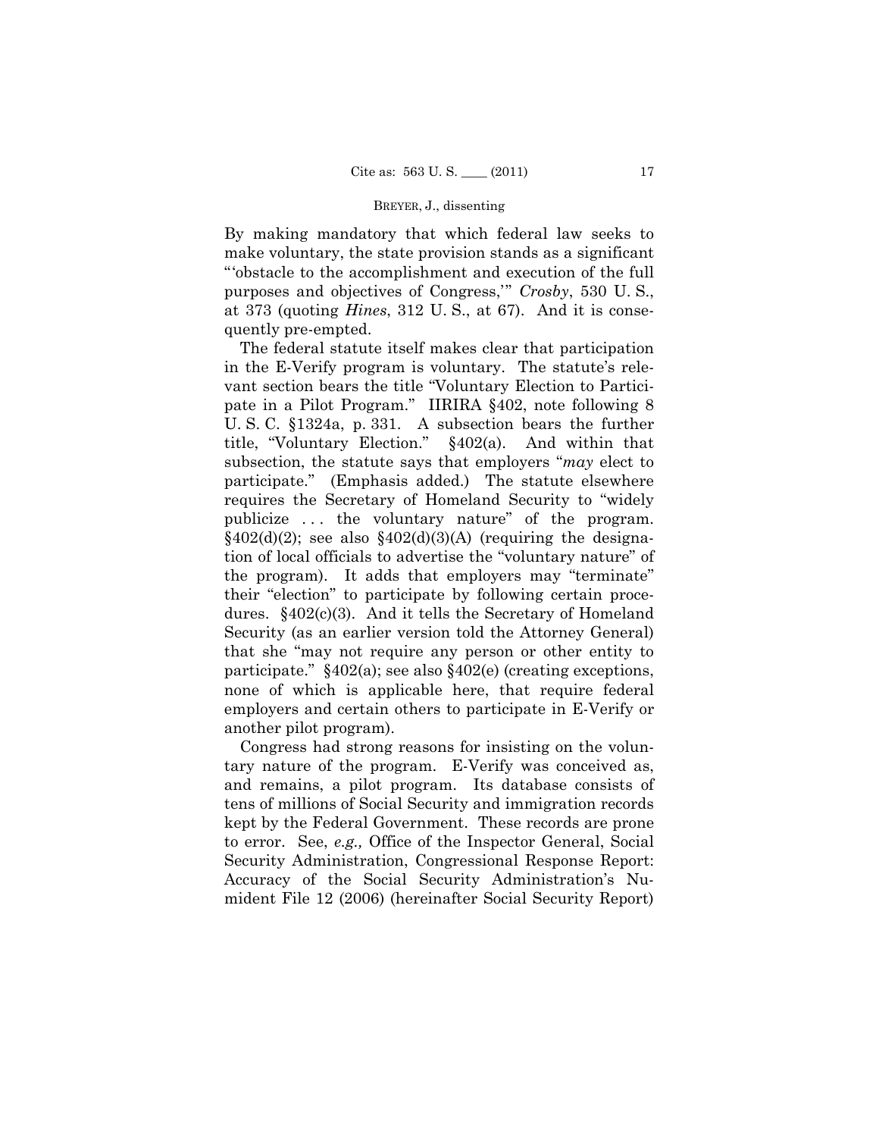#### BREYER, J., dissenting

By making mandatory that which federal law seeks to make voluntary, the state provision stands as a significant "'obstacle to the accomplishment and execution of the full purposes and objectives of Congress,'" *Crosby*, 530 U. S., at 373 (quoting *Hines*, 312 U. S., at 67). And it is consequently pre-empted.

The federal statute itself makes clear that participation in the E-Verify program is voluntary. The statute's relevant section bears the title "Voluntary Election to Participate in a Pilot Program." IIRIRA §402, note following 8 U. S. C. §1324a, p. 331. A subsection bears the further title, "Voluntary Election." §402(a). And within that subsection, the statute says that employers "*may* elect to participate." (Emphasis added.) The statute elsewhere requires the Secretary of Homeland Security to "widely publicize . . . the voluntary nature" of the program.  $§402(d)(2)$ ; see also  $§402(d)(3)(A)$  (requiring the designation of local officials to advertise the "voluntary nature" of the program). It adds that employers may "terminate" their "election" to participate by following certain procedures. §402(c)(3). And it tells the Secretary of Homeland Security (as an earlier version told the Attorney General) that she "may not require any person or other entity to participate." §402(a); see also §402(e) (creating exceptions, none of which is applicable here, that require federal employers and certain others to participate in E-Verify or another pilot program).

Congress had strong reasons for insisting on the voluntary nature of the program. E-Verify was conceived as, and remains, a pilot program. Its database consists of tens of millions of Social Security and immigration records kept by the Federal Government. These records are prone to error. See, *e.g.,* Office of the Inspector General, Social Security Administration, Congressional Response Report: Accuracy of the Social Security Administration's Numident File 12 (2006) (hereinafter Social Security Report)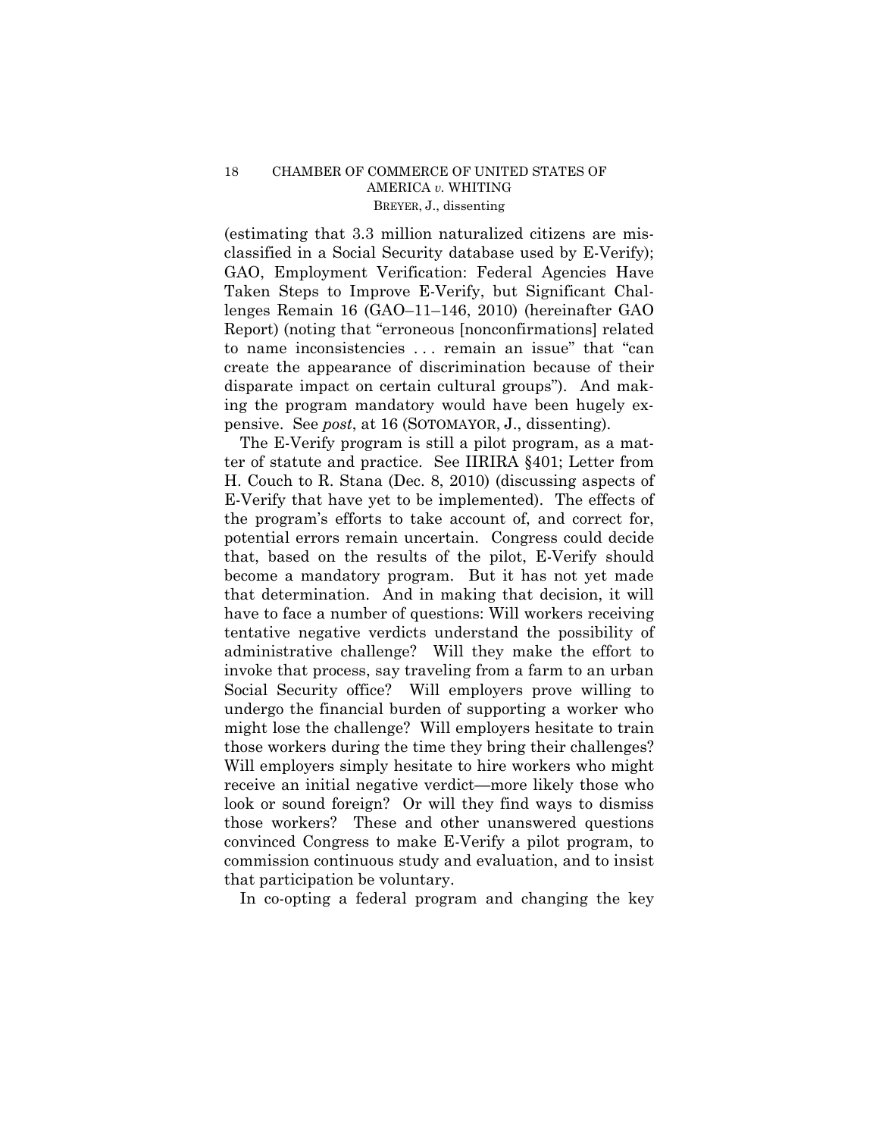## 18 CHAMBER OF COMMERCE OF UNITED STATES OF AMERICA *v.* WHITING BREYER, J., dissenting

(estimating that 3.3 million naturalized citizens are misclassified in a Social Security database used by E-Verify); GAO, Employment Verification: Federal Agencies Have Taken Steps to Improve E-Verify, but Significant Challenges Remain 16 (GAO–11–146, 2010) (hereinafter GAO Report) (noting that "erroneous [nonconfirmations] related to name inconsistencies . . . remain an issue" that "can create the appearance of discrimination because of their disparate impact on certain cultural groups"). And making the program mandatory would have been hugely expensive. See *post*, at 16 (SOTOMAYOR, J., dissenting).

The E-Verify program is still a pilot program, as a matter of statute and practice. See IIRIRA §401; Letter from H. Couch to R. Stana (Dec. 8, 2010) (discussing aspects of E-Verify that have yet to be implemented). The effects of the program's efforts to take account of, and correct for, potential errors remain uncertain. Congress could decide that, based on the results of the pilot, E-Verify should become a mandatory program. But it has not yet made that determination. And in making that decision, it will have to face a number of questions: Will workers receiving tentative negative verdicts understand the possibility of administrative challenge? Will they make the effort to invoke that process, say traveling from a farm to an urban Social Security office? Will employers prove willing to undergo the financial burden of supporting a worker who might lose the challenge? Will employers hesitate to train those workers during the time they bring their challenges? Will employers simply hesitate to hire workers who might receive an initial negative verdict—more likely those who look or sound foreign? Or will they find ways to dismiss those workers? These and other unanswered questions convinced Congress to make E-Verify a pilot program, to commission continuous study and evaluation, and to insist that participation be voluntary.

In co-opting a federal program and changing the key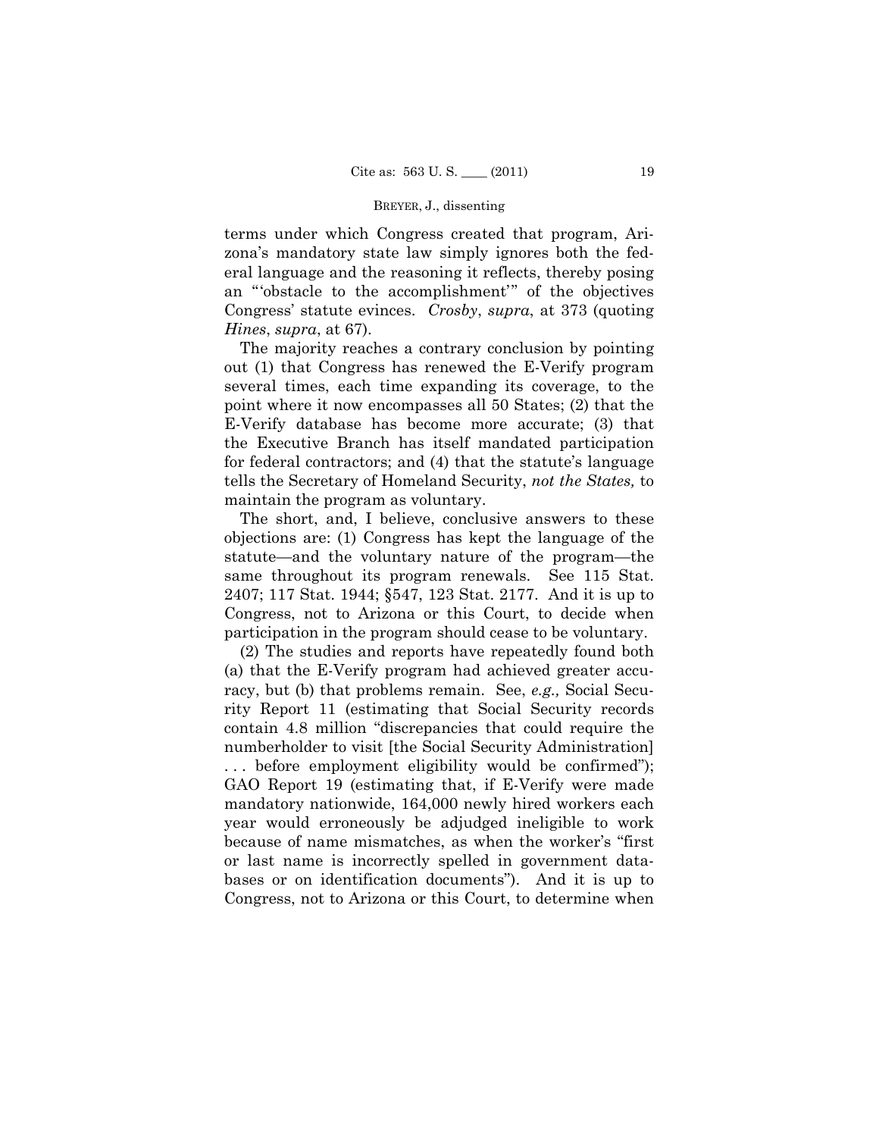#### BREYER, J., dissenting

terms under which Congress created that program, Arizona's mandatory state law simply ignores both the federal language and the reasoning it reflects, thereby posing an "'obstacle to the accomplishment'" of the objectives Congress' statute evinces. *Crosby*, *supra*, at 373 (quoting *Hines*, *supra*, at 67).

The majority reaches a contrary conclusion by pointing out (1) that Congress has renewed the E-Verify program several times, each time expanding its coverage, to the point where it now encompasses all 50 States; (2) that the E-Verify database has become more accurate; (3) that the Executive Branch has itself mandated participation for federal contractors; and (4) that the statute's language tells the Secretary of Homeland Security, *not the States,* to maintain the program as voluntary.

The short, and, I believe, conclusive answers to these objections are: (1) Congress has kept the language of the statute—and the voluntary nature of the program—the same throughout its program renewals. See 115 Stat. 2407; 117 Stat. 1944; §547, 123 Stat. 2177. And it is up to Congress, not to Arizona or this Court, to decide when participation in the program should cease to be voluntary.

(2) The studies and reports have repeatedly found both (a) that the E-Verify program had achieved greater accuracy, but (b) that problems remain. See, *e.g.,* Social Security Report 11 (estimating that Social Security records contain 4.8 million "discrepancies that could require the numberholder to visit [the Social Security Administration] . . . before employment eligibility would be confirmed"); GAO Report 19 (estimating that, if E-Verify were made mandatory nationwide, 164,000 newly hired workers each year would erroneously be adjudged ineligible to work because of name mismatches, as when the worker's "first or last name is incorrectly spelled in government databases or on identification documents"). And it is up to Congress, not to Arizona or this Court, to determine when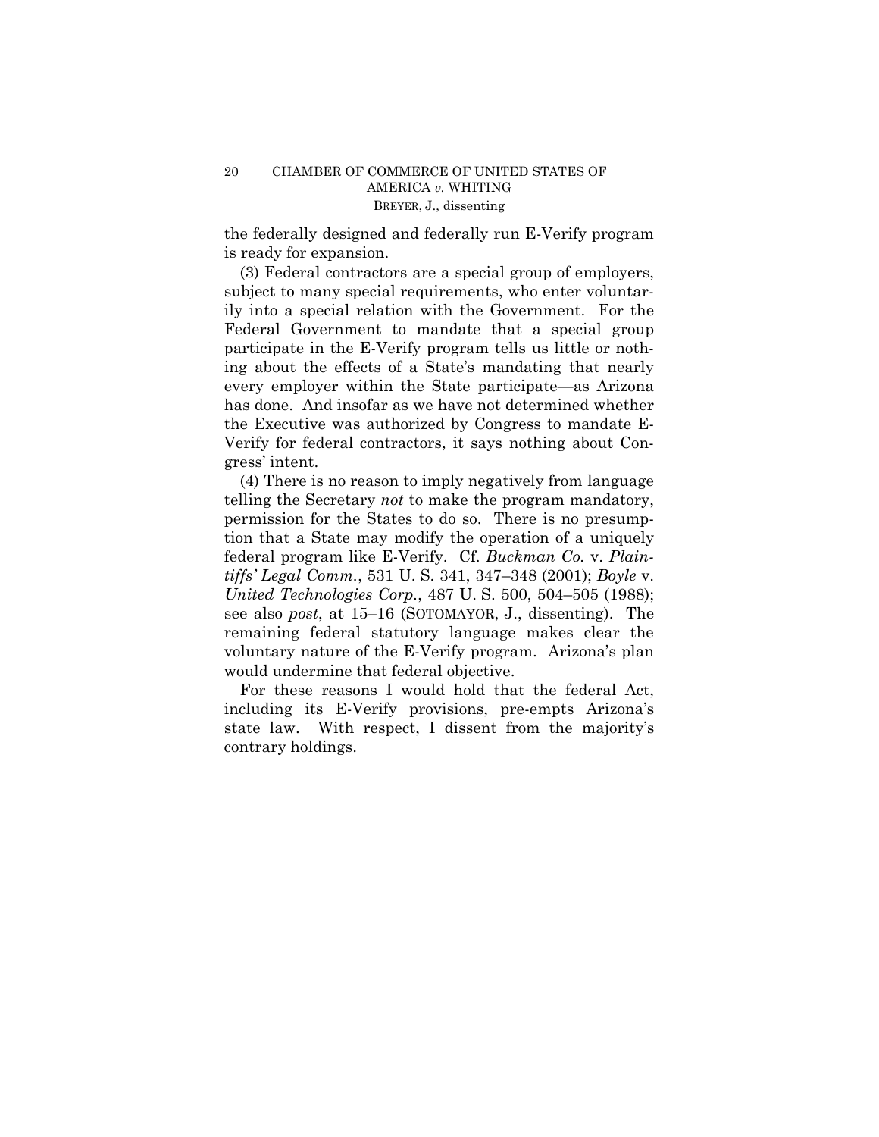the federally designed and federally run E-Verify program is ready for expansion.

(3) Federal contractors are a special group of employers, subject to many special requirements, who enter voluntarily into a special relation with the Government. For the Federal Government to mandate that a special group participate in the E-Verify program tells us little or nothing about the effects of a State's mandating that nearly every employer within the State participate—as Arizona has done. And insofar as we have not determined whether the Executive was authorized by Congress to mandate E-Verify for federal contractors, it says nothing about Congress' intent.

(4) There is no reason to imply negatively from language telling the Secretary *not* to make the program mandatory, permission for the States to do so. There is no presumption that a State may modify the operation of a uniquely federal program like E-Verify. Cf. *Buckman Co.* v. *Plaintiffs' Legal Comm.*, 531 U. S. 341, 347–348 (2001); *Boyle* v. *United Technologies Corp.*, 487 U. S. 500, 504–505 (1988); see also *post*, at 15–16 (SOTOMAYOR, J., dissenting). The remaining federal statutory language makes clear the voluntary nature of the E-Verify program. Arizona's plan would undermine that federal objective.

For these reasons I would hold that the federal Act, including its E-Verify provisions, pre-empts Arizona's state law. With respect, I dissent from the majority's contrary holdings.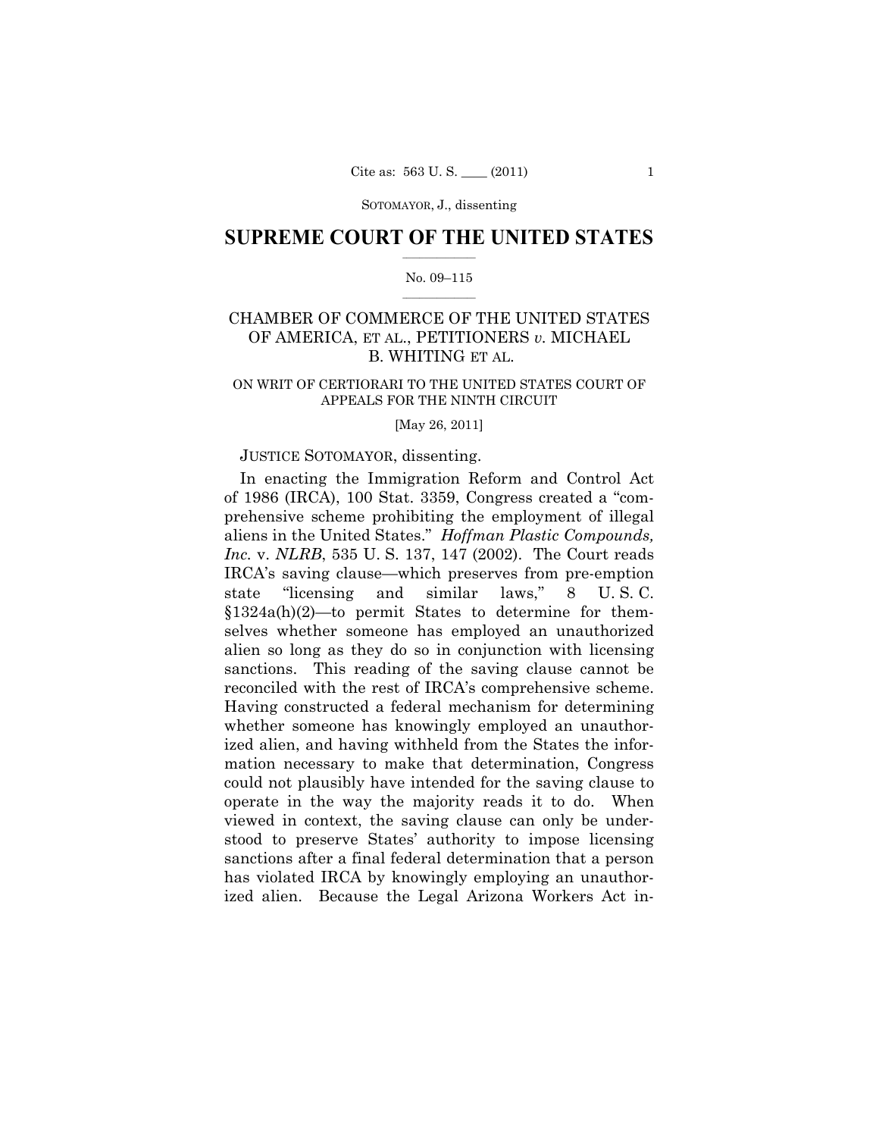SOTOMAYOR, J., dissenting

## $\frac{1}{2}$  ,  $\frac{1}{2}$  ,  $\frac{1}{2}$  ,  $\frac{1}{2}$  ,  $\frac{1}{2}$  ,  $\frac{1}{2}$  ,  $\frac{1}{2}$ **SUPREME COURT OF THE UNITED STATES**

## $\frac{1}{2}$  ,  $\frac{1}{2}$  ,  $\frac{1}{2}$  ,  $\frac{1}{2}$  ,  $\frac{1}{2}$  ,  $\frac{1}{2}$ No. 09–115

# CHAMBER OF COMMERCE OF THE UNITED STATES OF AMERICA, ET AL., PETITIONERS *v.* MICHAEL B. WHITING ET AL.

## ON WRIT OF CERTIORARI TO THE UNITED STATES COURT OF APPEALS FOR THE NINTH CIRCUIT

[May 26, 2011]

## JUSTICE SOTOMAYOR, dissenting.

In enacting the Immigration Reform and Control Act of 1986 (IRCA), 100 Stat. 3359, Congress created a "comprehensive scheme prohibiting the employment of illegal aliens in the United States." *Hoffman Plastic Compounds, Inc.* v. *NLRB*, 535 U. S. 137, 147 (2002). The Court reads IRCA's saving clause—which preserves from pre-emption state "licensing and similar laws," 8 U. S. C. §1324a(h)(2)—to permit States to determine for themselves whether someone has employed an unauthorized alien so long as they do so in conjunction with licensing sanctions. This reading of the saving clause cannot be reconciled with the rest of IRCA's comprehensive scheme. Having constructed a federal mechanism for determining whether someone has knowingly employed an unauthorized alien, and having withheld from the States the information necessary to make that determination, Congress could not plausibly have intended for the saving clause to operate in the way the majority reads it to do. When viewed in context, the saving clause can only be understood to preserve States' authority to impose licensing sanctions after a final federal determination that a person has violated IRCA by knowingly employing an unauthorized alien. Because the Legal Arizona Workers Act in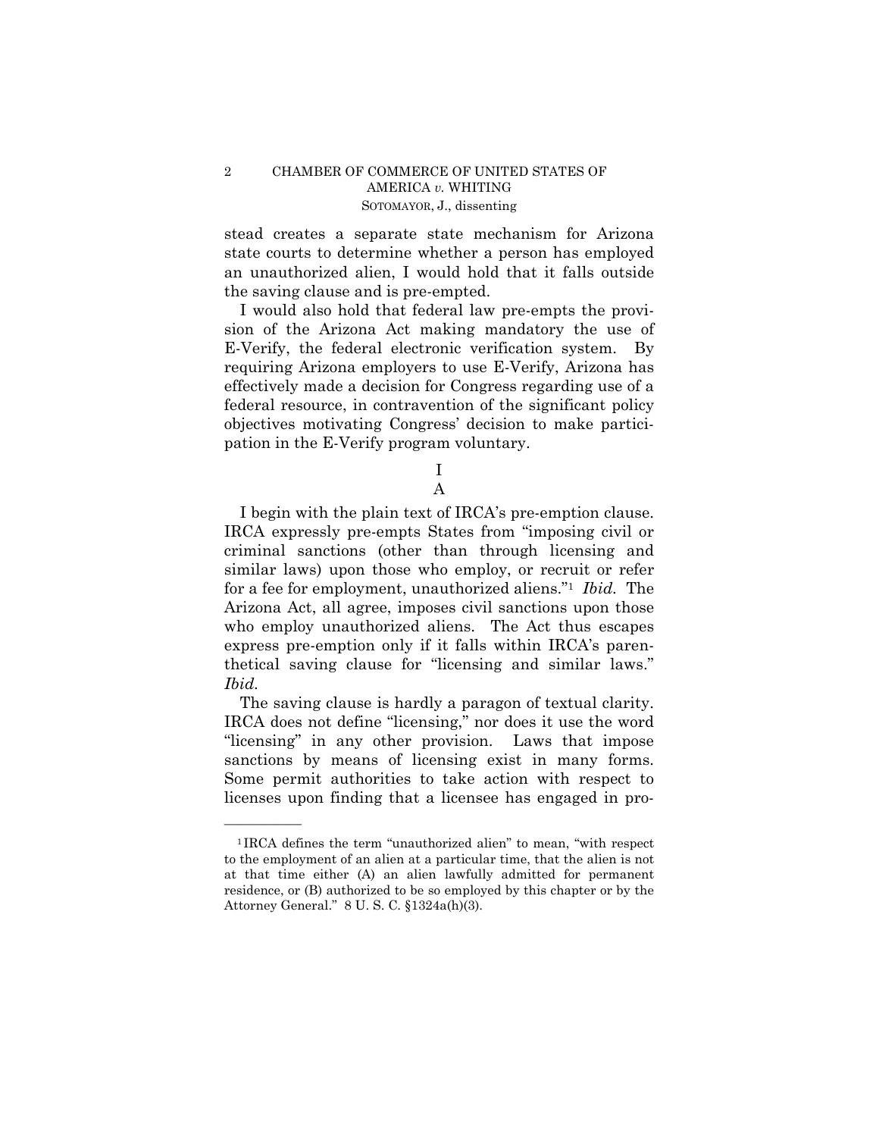stead creates a separate state mechanism for Arizona state courts to determine whether a person has employed an unauthorized alien, I would hold that it falls outside the saving clause and is pre-empted.

I would also hold that federal law pre-empts the provision of the Arizona Act making mandatory the use of E-Verify, the federal electronic verification system. By requiring Arizona employers to use E-Verify, Arizona has effectively made a decision for Congress regarding use of a federal resource, in contravention of the significant policy objectives motivating Congress' decision to make participation in the E-Verify program voluntary.

> I A

I begin with the plain text of IRCA's pre-emption clause. IRCA expressly pre-empts States from "imposing civil or criminal sanctions (other than through licensing and similar laws) upon those who employ, or recruit or refer for a fee for employment, unauthorized aliens."1 *Ibid.* The Arizona Act, all agree, imposes civil sanctions upon those who employ unauthorized aliens. The Act thus escapes express pre-emption only if it falls within IRCA's parenthetical saving clause for "licensing and similar laws." *Ibid.* 

The saving clause is hardly a paragon of textual clarity. IRCA does not define "licensing," nor does it use the word "licensing" in any other provision. Laws that impose sanctions by means of licensing exist in many forms. Some permit authorities to take action with respect to licenses upon finding that a licensee has engaged in pro

<sup>1</sup> IRCA defines the term "unauthorized alien" to mean, "with respect to the employment of an alien at a particular time, that the alien is not at that time either (A) an alien lawfully admitted for permanent residence, or (B) authorized to be so employed by this chapter or by the Attorney General." 8 U. S. C. §1324a(h)(3).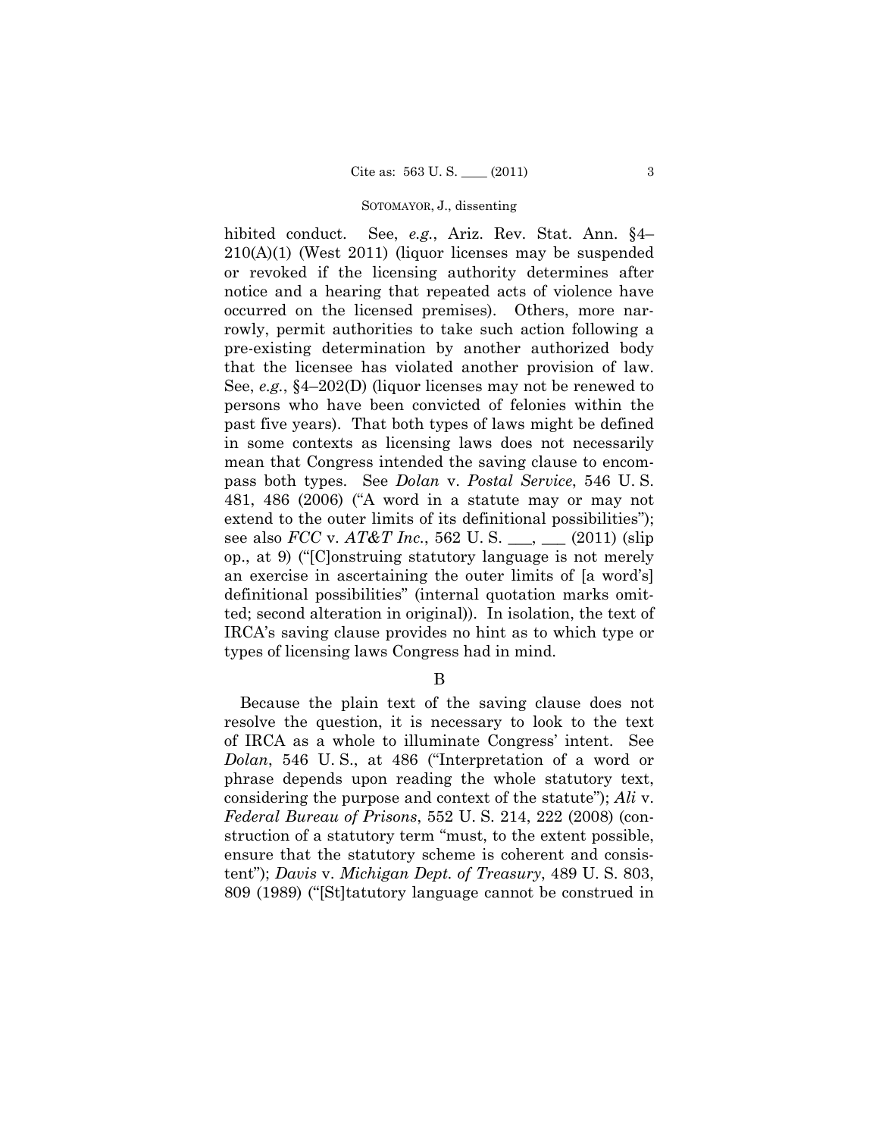### SOTOMAYOR, J., dissenting

hibited conduct. See, *e.g.*, Ariz. Rev. Stat. Ann. §4– 210(A)(1) (West 2011) (liquor licenses may be suspended or revoked if the licensing authority determines after notice and a hearing that repeated acts of violence have occurred on the licensed premises). Others, more narrowly, permit authorities to take such action following a pre-existing determination by another authorized body that the licensee has violated another provision of law. See, *e.g.*, §4–202(D) (liquor licenses may not be renewed to persons who have been convicted of felonies within the past five years). That both types of laws might be defined in some contexts as licensing laws does not necessarily mean that Congress intended the saving clause to encompass both types. See *Dolan* v. *Postal Service*, 546 U. S. 481, 486 (2006) ("A word in a statute may or may not extend to the outer limits of its definitional possibilities"); see also *FCC* v. *AT&T Inc.*, 562 U. S. \_\_\_, \_\_\_ (2011) (slip op., at 9) ("[C]onstruing statutory language is not merely an exercise in ascertaining the outer limits of [a word's] definitional possibilities" (internal quotation marks omitted; second alteration in original)). In isolation, the text of IRCA's saving clause provides no hint as to which type or types of licensing laws Congress had in mind.

B

Because the plain text of the saving clause does not resolve the question, it is necessary to look to the text of IRCA as a whole to illuminate Congress' intent. See *Dolan*, 546 U. S., at 486 ("Interpretation of a word or phrase depends upon reading the whole statutory text, considering the purpose and context of the statute"); *Ali* v. *Federal Bureau of Prisons*, 552 U. S. 214, 222 (2008) (construction of a statutory term "must, to the extent possible, ensure that the statutory scheme is coherent and consistent"); *Davis* v. *Michigan Dept. of Treasury*, 489 U. S. 803, 809 (1989) ("[St]tatutory language cannot be construed in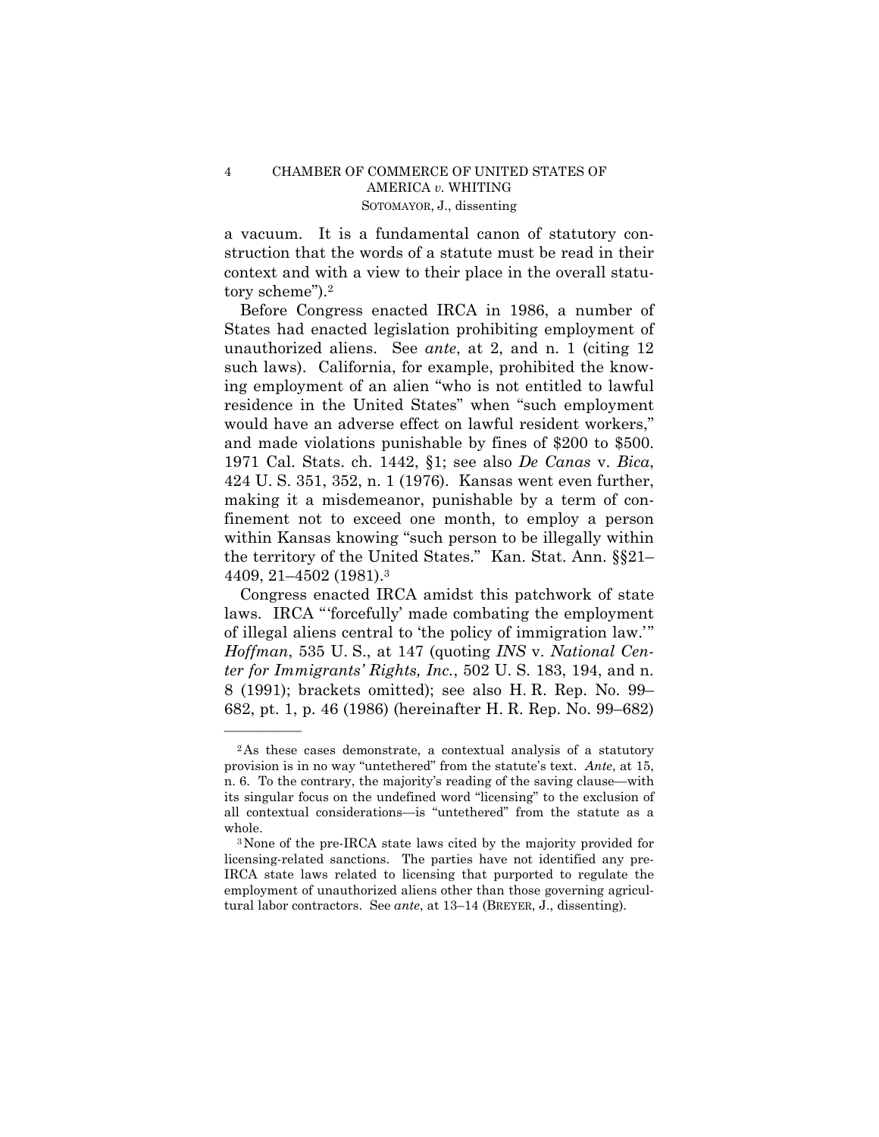## 4 CHAMBER OF COMMERCE OF UNITED STATES OF AMERICA *v.* WHITING SOTOMAYOR, J., dissenting

a vacuum. It is a fundamental canon of statutory construction that the words of a statute must be read in their context and with a view to their place in the overall statutory scheme").2

Before Congress enacted IRCA in 1986, a number of States had enacted legislation prohibiting employment of unauthorized aliens. See *ante*, at 2, and n. 1 (citing 12 such laws). California, for example, prohibited the knowing employment of an alien "who is not entitled to lawful residence in the United States" when "such employment would have an adverse effect on lawful resident workers," and made violations punishable by fines of \$200 to \$500. 1971 Cal. Stats. ch. 1442, §1; see also *De Canas* v. *Bica*, 424 U. S. 351, 352, n. 1 (1976). Kansas went even further, making it a misdemeanor, punishable by a term of confinement not to exceed one month, to employ a person within Kansas knowing "such person to be illegally within the territory of the United States." Kan. Stat. Ann. §§21– 4409, 21–4502 (1981).3

Congress enacted IRCA amidst this patchwork of state laws. IRCA "'forcefully' made combating the employment of illegal aliens central to 'the policy of immigration law.'" *Hoffman*, 535 U. S., at 147 (quoting *INS* v. *National Center for Immigrants' Rights, Inc.*, 502 U. S. 183, 194, and n. 8 (1991); brackets omitted); see also H. R. Rep. No. 99– 682, pt. 1, p. 46 (1986) (hereinafter H. R. Rep. No. 99–682)

<sup>2</sup>As these cases demonstrate, a contextual analysis of a statutory provision is in no way "untethered" from the statute's text. *Ante*, at 15, n. 6. To the contrary, the majority's reading of the saving clause—with its singular focus on the undefined word "licensing" to the exclusion of all contextual considerations—is "untethered" from the statute as a whole.<br><sup>3</sup>None of the pre-IRCA state laws cited by the majority provided for

licensing-related sanctions. The parties have not identified any pre-IRCA state laws related to licensing that purported to regulate the employment of unauthorized aliens other than those governing agricultural labor contractors. See *ante*, at 13–14 (BREYER, J., dissenting).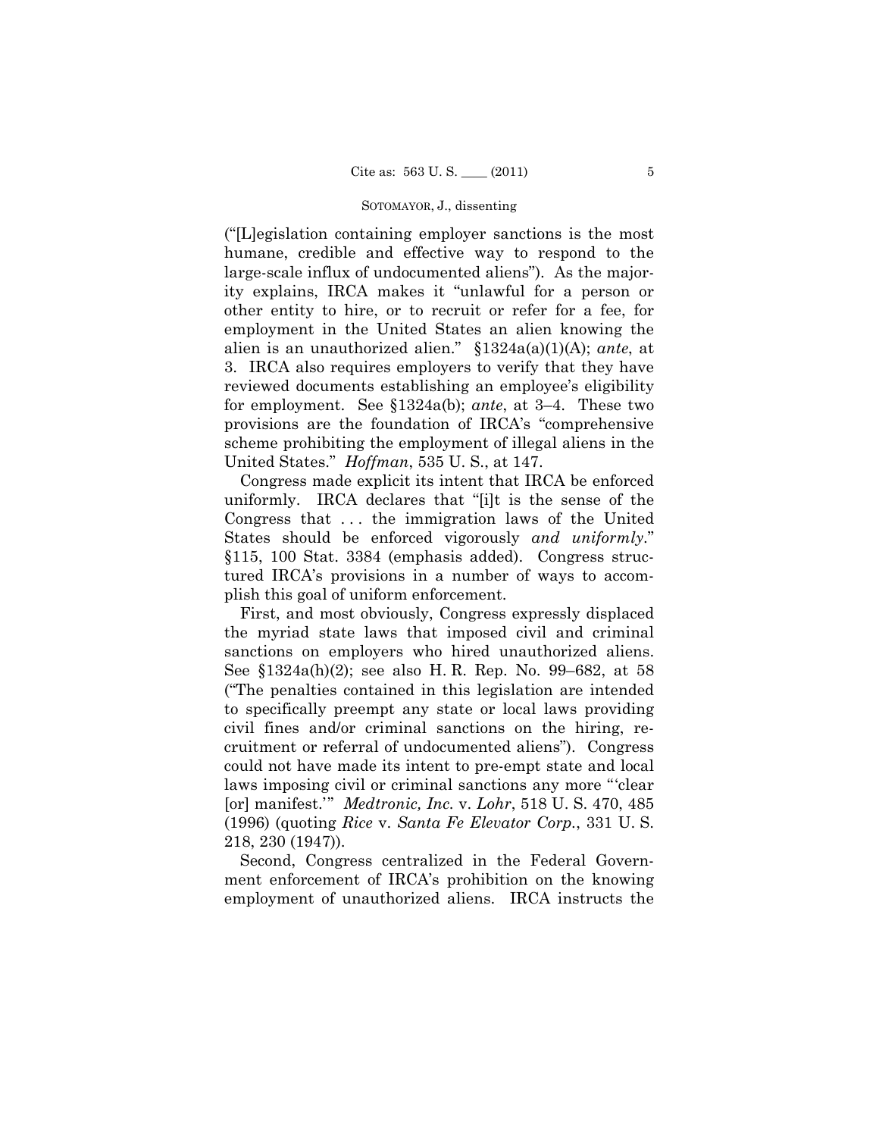#### SOTOMAYOR, J., dissenting

("[L]egislation containing employer sanctions is the most humane, credible and effective way to respond to the large-scale influx of undocumented aliens"). As the majority explains, IRCA makes it "unlawful for a person or other entity to hire, or to recruit or refer for a fee, for employment in the United States an alien knowing the alien is an unauthorized alien." §1324a(a)(1)(A); *ante*, at 3. IRCA also requires employers to verify that they have reviewed documents establishing an employee's eligibility for employment. See §1324a(b); *ante*, at 3–4. These two provisions are the foundation of IRCA's "comprehensive scheme prohibiting the employment of illegal aliens in the United States." *Hoffman*, 535 U. S., at 147.

Congress made explicit its intent that IRCA be enforced uniformly. IRCA declares that "[i]t is the sense of the Congress that . . . the immigration laws of the United States should be enforced vigorously *and uniformly*." §115, 100 Stat. 3384 (emphasis added). Congress structured IRCA's provisions in a number of ways to accomplish this goal of uniform enforcement.

First, and most obviously, Congress expressly displaced the myriad state laws that imposed civil and criminal sanctions on employers who hired unauthorized aliens. See §1324a(h)(2); see also H. R. Rep. No. 99–682, at 58 ("The penalties contained in this legislation are intended to specifically preempt any state or local laws providing civil fines and/or criminal sanctions on the hiring, recruitment or referral of undocumented aliens"). Congress could not have made its intent to pre-empt state and local laws imposing civil or criminal sanctions any more "'clear [or] manifest.'" *Medtronic, Inc.* v. *Lohr*, 518 U. S. 470, 485 (1996) (quoting *Rice* v. *Santa Fe Elevator Corp.*, 331 U. S. 218, 230 (1947)).

Second, Congress centralized in the Federal Government enforcement of IRCA's prohibition on the knowing employment of unauthorized aliens. IRCA instructs the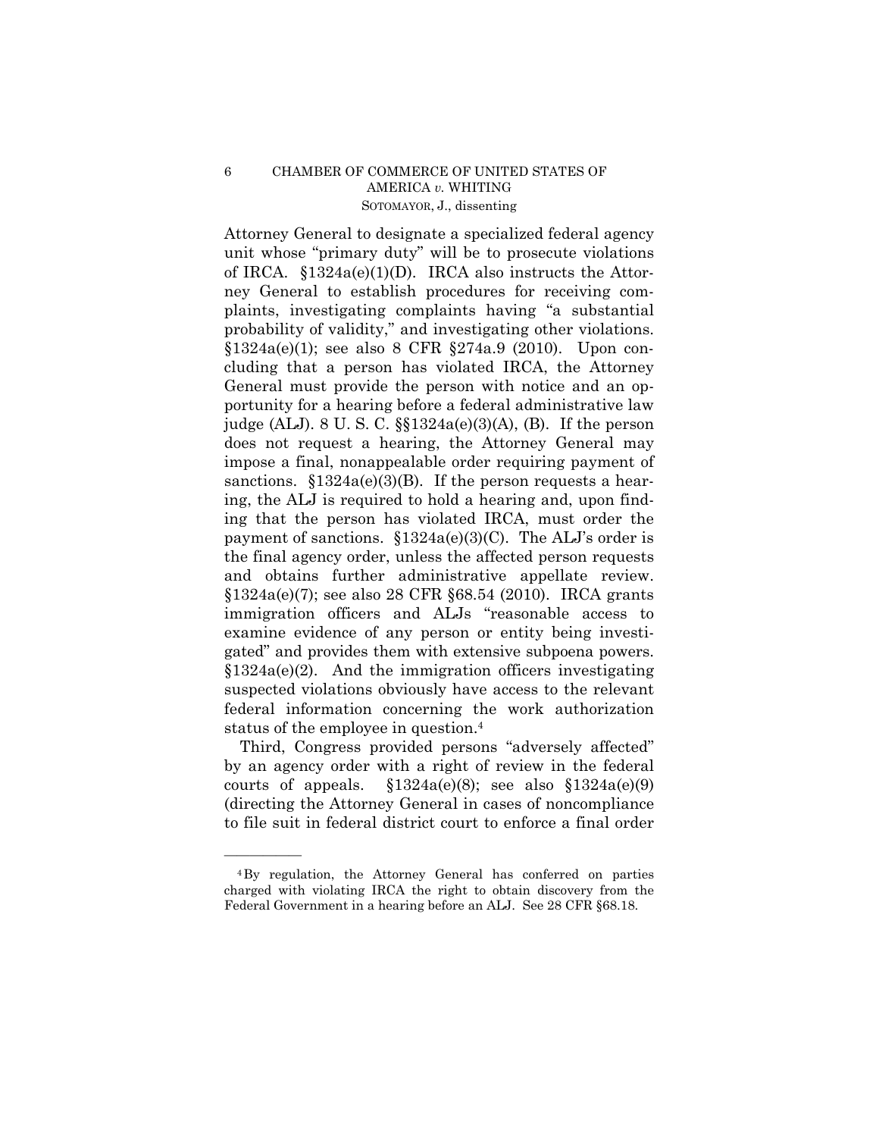## 6 CHAMBER OF COMMERCE OF UNITED STATES OF AMERICA *v.* WHITING SOTOMAYOR, J., dissenting

Attorney General to designate a specialized federal agency unit whose "primary duty" will be to prosecute violations of IRCA. §1324a(e)(1)(D). IRCA also instructs the Attorney General to establish procedures for receiving complaints, investigating complaints having "a substantial probability of validity," and investigating other violations. §1324a(e)(1); see also 8 CFR §274a.9 (2010). Upon concluding that a person has violated IRCA, the Attorney General must provide the person with notice and an opportunity for a hearing before a federal administrative law judge (ALJ). 8 U. S. C. §§1324a(e)(3)(A), (B). If the person does not request a hearing, the Attorney General may impose a final, nonappealable order requiring payment of sanctions.  $$1324a(e)(3)(B)$ . If the person requests a hearing, the ALJ is required to hold a hearing and, upon finding that the person has violated IRCA, must order the payment of sanctions.  $$1324a(e)(3)(C)$ . The ALJ's order is the final agency order, unless the affected person requests and obtains further administrative appellate review. §1324a(e)(7); see also 28 CFR §68.54 (2010). IRCA grants immigration officers and ALJs "reasonable access to examine evidence of any person or entity being investigated" and provides them with extensive subpoena powers.  $§1324a(e)(2)$ . And the immigration officers investigating suspected violations obviously have access to the relevant federal information concerning the work authorization status of the employee in question.4

Third, Congress provided persons "adversely affected" by an agency order with a right of review in the federal courts of appeals.  $\S 1324a(e)(8)$ ; see also  $\S 1324a(e)(9)$ (directing the Attorney General in cases of noncompliance to file suit in federal district court to enforce a final order

<sup>4</sup>By regulation, the Attorney General has conferred on parties charged with violating IRCA the right to obtain discovery from the Federal Government in a hearing before an ALJ. See 28 CFR §68.18.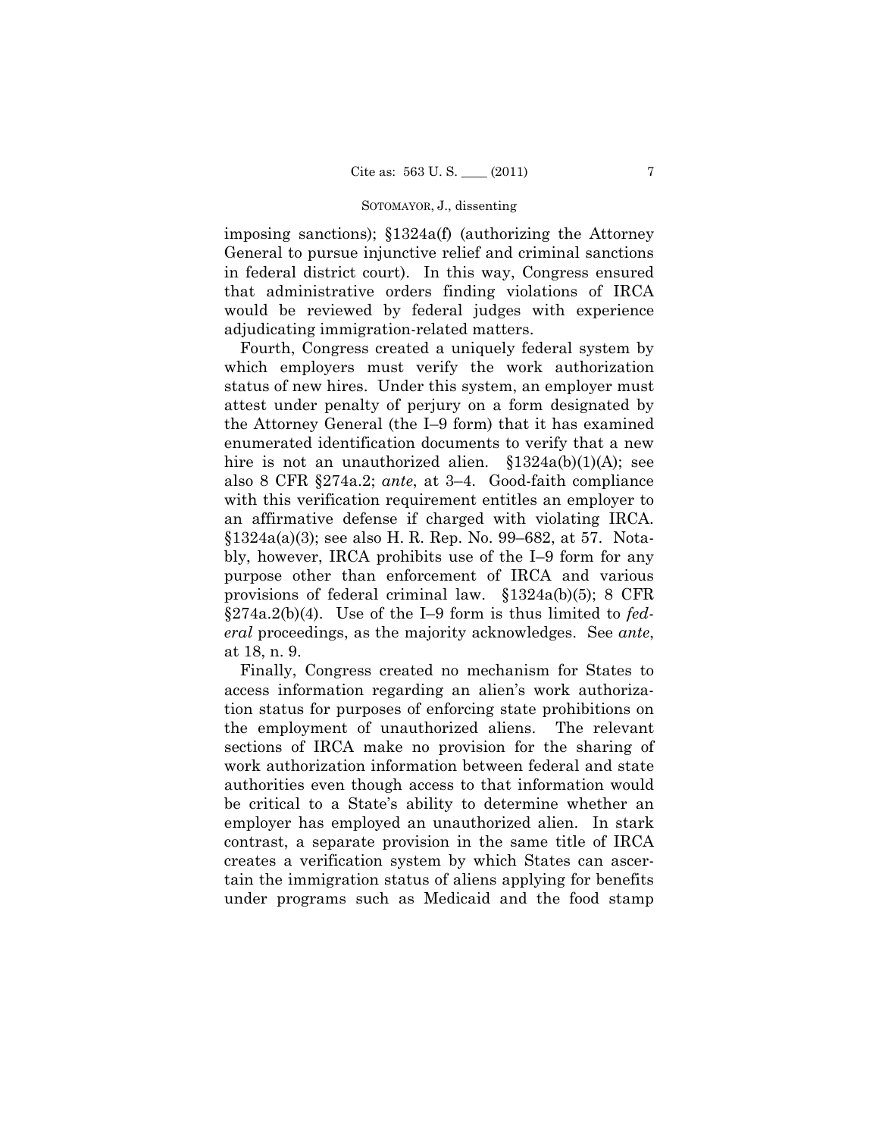### SOTOMAYOR, J., dissenting

imposing sanctions); §1324a(f) (authorizing the Attorney General to pursue injunctive relief and criminal sanctions in federal district court). In this way, Congress ensured that administrative orders finding violations of IRCA would be reviewed by federal judges with experience adjudicating immigration-related matters.

Fourth, Congress created a uniquely federal system by which employers must verify the work authorization status of new hires. Under this system, an employer must attest under penalty of perjury on a form designated by the Attorney General (the I–9 form) that it has examined enumerated identification documents to verify that a new hire is not an unauthorized alien.  $$1324a(b)(1)(A);$  see also 8 CFR §274a.2; *ante*, at 3–4. Good-faith compliance with this verification requirement entitles an employer to an affirmative defense if charged with violating IRCA. §1324a(a)(3); see also H. R. Rep. No. 99–682, at 57. Notably, however, IRCA prohibits use of the I–9 form for any purpose other than enforcement of IRCA and various provisions of federal criminal law. §1324a(b)(5); 8 CFR §274a.2(b)(4). Use of the I–9 form is thus limited to *federal* proceedings, as the majority acknowledges. See *ante*, at 18, n. 9.

Finally, Congress created no mechanism for States to access information regarding an alien's work authorization status for purposes of enforcing state prohibitions on the employment of unauthorized aliens. The relevant sections of IRCA make no provision for the sharing of work authorization information between federal and state authorities even though access to that information would be critical to a State's ability to determine whether an employer has employed an unauthorized alien. In stark contrast, a separate provision in the same title of IRCA creates a verification system by which States can ascertain the immigration status of aliens applying for benefits under programs such as Medicaid and the food stamp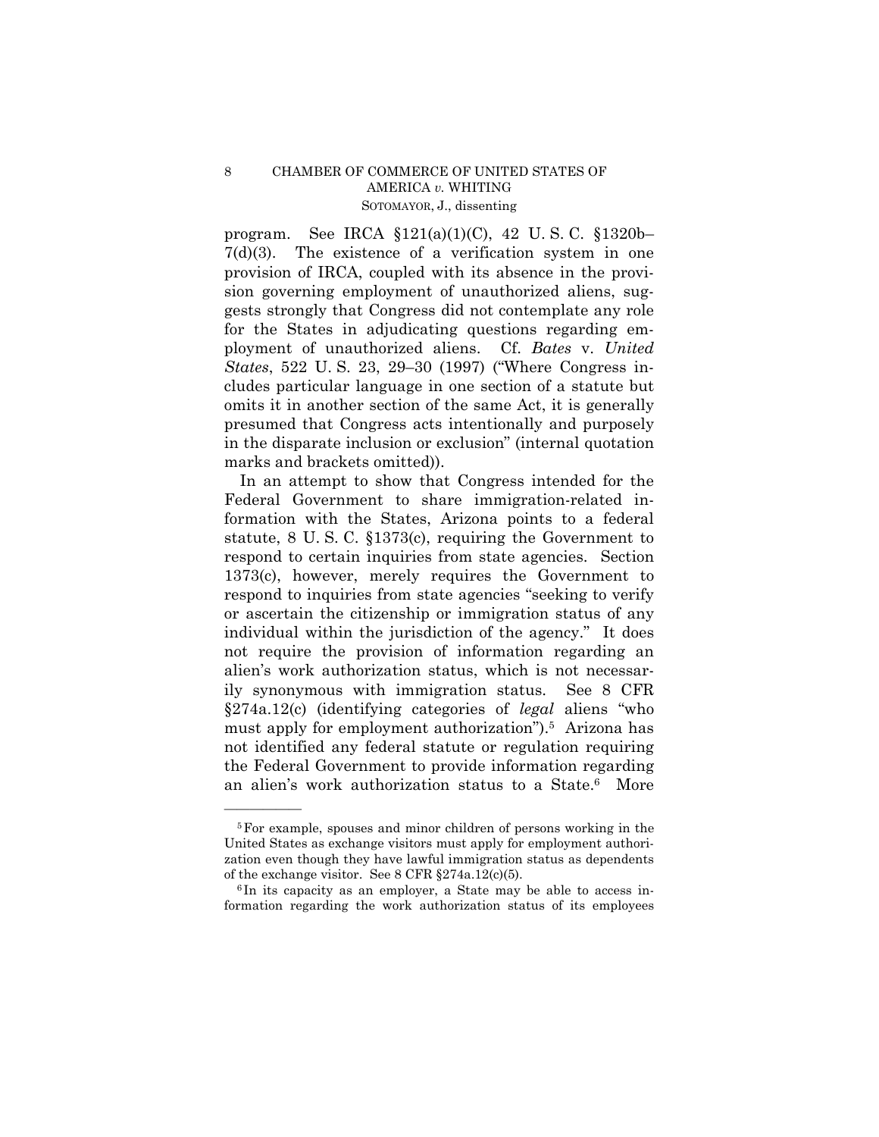program. See IRCA §121(a)(1)(C), 42 U. S. C. §1320b– 7(d)(3). The existence of a verification system in one provision of IRCA, coupled with its absence in the provision governing employment of unauthorized aliens, suggests strongly that Congress did not contemplate any role for the States in adjudicating questions regarding employment of unauthorized aliens. Cf. *Bates* v. *United States*, 522 U. S. 23, 29–30 (1997) ("Where Congress includes particular language in one section of a statute but omits it in another section of the same Act, it is generally presumed that Congress acts intentionally and purposely in the disparate inclusion or exclusion" (internal quotation marks and brackets omitted)).

In an attempt to show that Congress intended for the Federal Government to share immigration-related information with the States, Arizona points to a federal statute, 8 U. S. C. §1373(c), requiring the Government to respond to certain inquiries from state agencies. Section 1373(c), however, merely requires the Government to respond to inquiries from state agencies "seeking to verify or ascertain the citizenship or immigration status of any individual within the jurisdiction of the agency." It does not require the provision of information regarding an alien's work authorization status, which is not necessarily synonymous with immigration status. See 8 CFR §274a.12(c) (identifying categories of *legal* aliens "who must apply for employment authorization").5 Arizona has not identified any federal statute or regulation requiring the Federal Government to provide information regarding an alien's work authorization status to a State.6 More

formation regarding the work authorization status of its employees

<sup>5</sup>For example, spouses and minor children of persons working in the United States as exchange visitors must apply for employment authorization even though they have lawful immigration status as dependents of the exchange visitor. See 8 CFR  $\S 274a.12(c)(5)$ .<br><sup>6</sup>In its capacity as an employer, a State may be able to access in-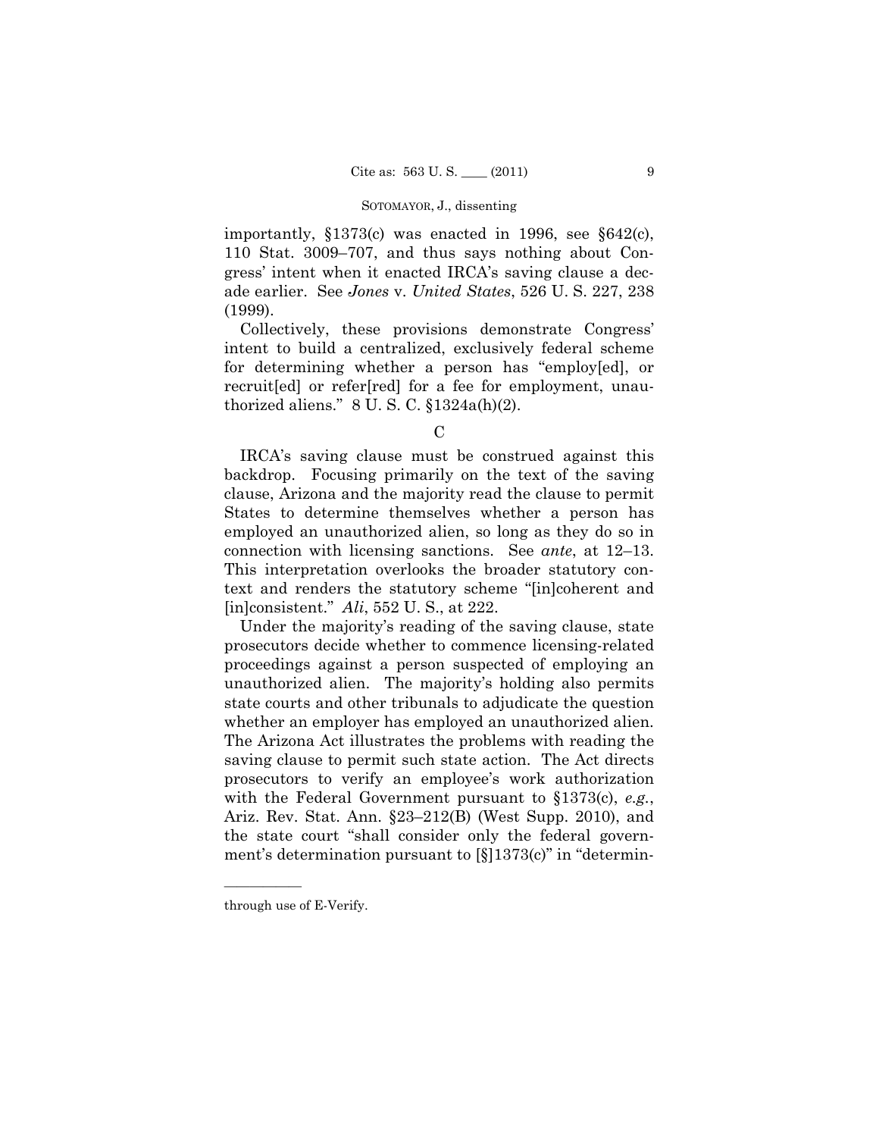#### SOTOMAYOR, J., dissenting

importantly, §1373(c) was enacted in 1996, see §642(c), 110 Stat. 3009–707, and thus says nothing about Congress' intent when it enacted IRCA's saving clause a decade earlier. See *Jones* v. *United States*, 526 U. S. 227, 238 (1999).

Collectively, these provisions demonstrate Congress' intent to build a centralized, exclusively federal scheme for determining whether a person has "employ[ed], or recruit[ed] or refer[red] for a fee for employment, unauthorized aliens."  $8 \text{ U.S. C. }$ \$1324a(h)(2).

IRCA's saving clause must be construed against this backdrop. Focusing primarily on the text of the saving clause, Arizona and the majority read the clause to permit States to determine themselves whether a person has employed an unauthorized alien, so long as they do so in connection with licensing sanctions. See *ante*, at 12–13. This interpretation overlooks the broader statutory context and renders the statutory scheme "[in]coherent and [in]consistent." *Ali*, 552 U. S., at 222.

Under the majority's reading of the saving clause, state prosecutors decide whether to commence licensing-related proceedings against a person suspected of employing an unauthorized alien. The majority's holding also permits state courts and other tribunals to adjudicate the question whether an employer has employed an unauthorized alien. The Arizona Act illustrates the problems with reading the saving clause to permit such state action. The Act directs prosecutors to verify an employee's work authorization with the Federal Government pursuant to §1373(c), *e.g.*, Ariz. Rev. Stat. Ann. §23–212(B) (West Supp. 2010), and the state court "shall consider only the federal government's determination pursuant to [§]1373(c)" in "determin

 $\mathbf C$ 

through use of E-Verify.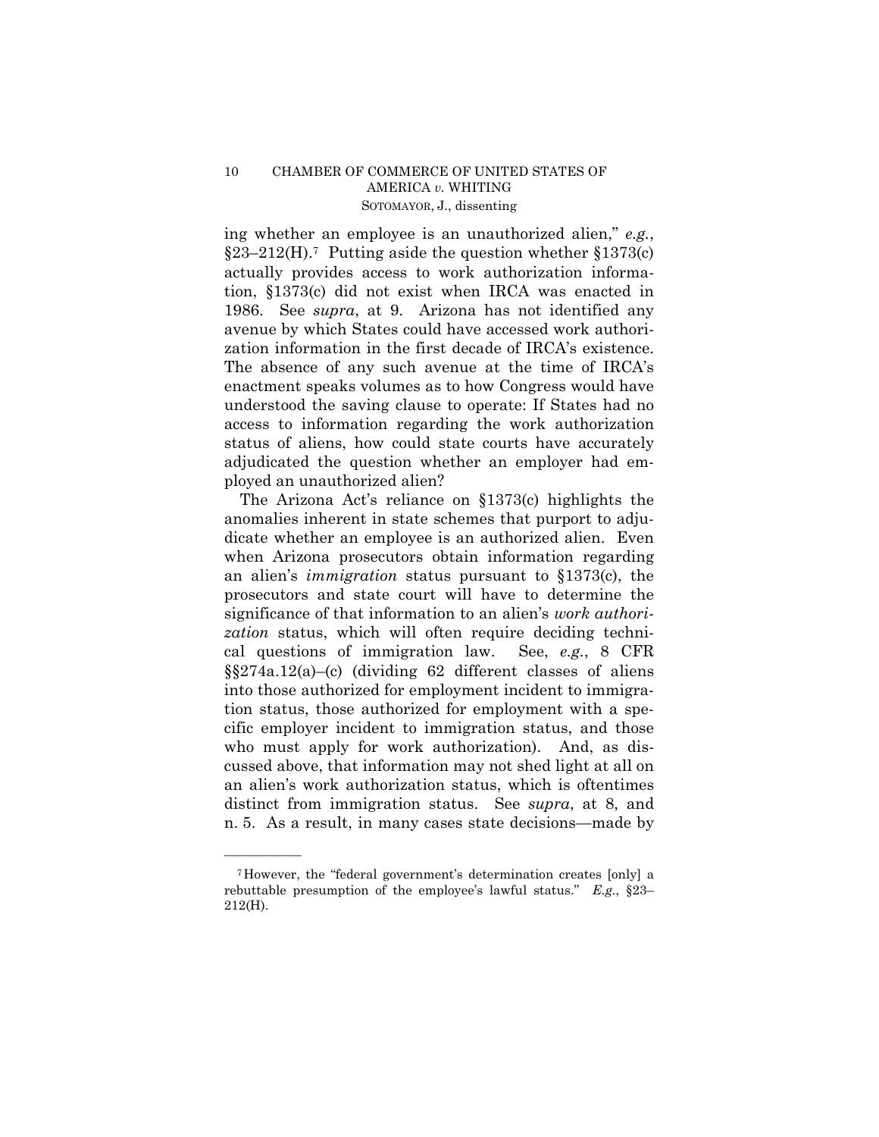## 10 CHAMBER OF COMMERCE OF UNITED STATES OF AMERICA *v.* WHITING SOTOMAYOR, J., dissenting

ing whether an employee is an unauthorized alien," *e.g.*,  $§23-212(H).7$  Putting aside the question whether  $§1373(c)$ actually provides access to work authorization information, §1373(c) did not exist when IRCA was enacted in 1986. See *supra*, at 9. Arizona has not identified any avenue by which States could have accessed work authorization information in the first decade of IRCA's existence. The absence of any such avenue at the time of IRCA's enactment speaks volumes as to how Congress would have understood the saving clause to operate: If States had no access to information regarding the work authorization status of aliens, how could state courts have accurately adjudicated the question whether an employer had employed an unauthorized alien?

The Arizona Act's reliance on §1373(c) highlights the anomalies inherent in state schemes that purport to adjudicate whether an employee is an authorized alien. Even when Arizona prosecutors obtain information regarding an alien's *immigration* status pursuant to §1373(c), the prosecutors and state court will have to determine the significance of that information to an alien's *work authorization* status, which will often require deciding technical questions of immigration law. See, *e.g.*, 8 CFR §§274a.12(a)–(c) (dividing 62 different classes of aliens into those authorized for employment incident to immigration status, those authorized for employment with a specific employer incident to immigration status, and those who must apply for work authorization). And, as discussed above, that information may not shed light at all on an alien's work authorization status, which is oftentimes distinct from immigration status. See *supra*, at 8, and n. 5. As a result, in many cases state decisions—made by

<sup>7</sup>However, the "federal government's determination creates [only] a rebuttable presumption of the employee's lawful status." *E.g.*, §23– 212(H).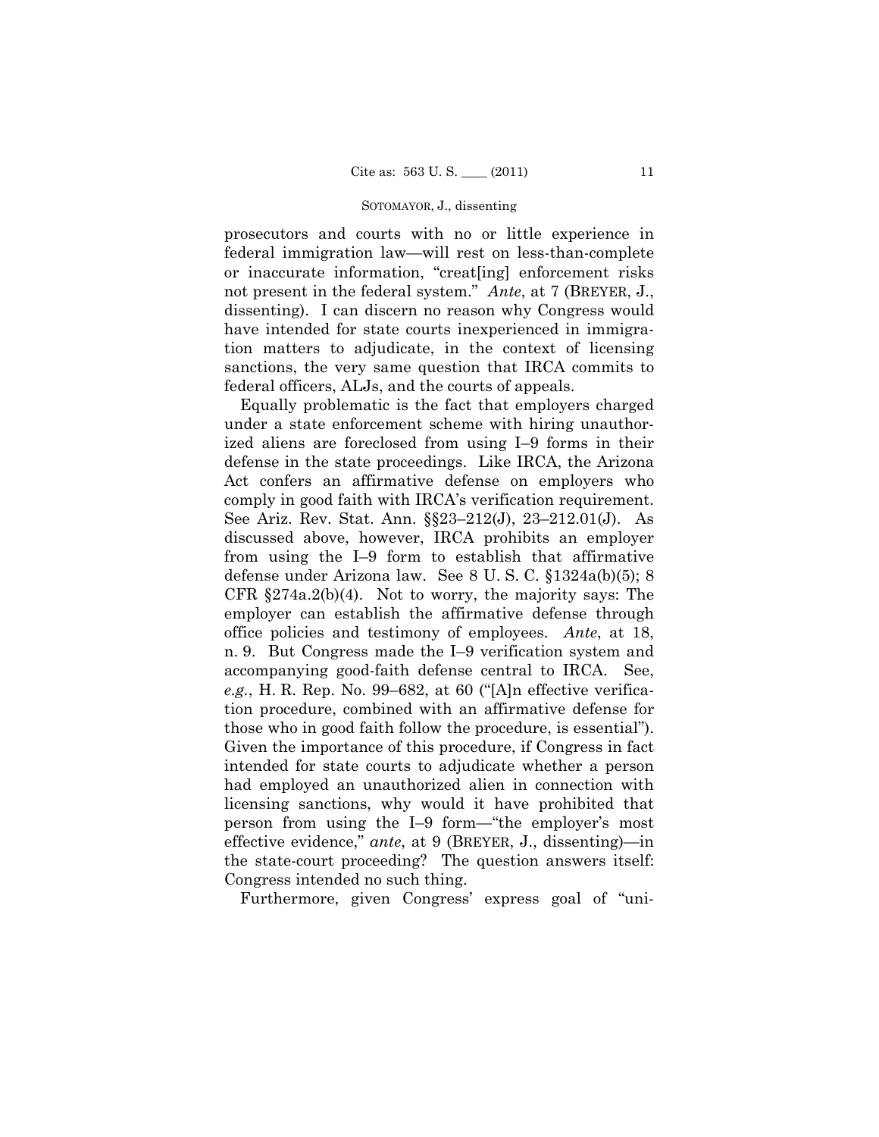#### SOTOMAYOR, J., dissenting

prosecutors and courts with no or little experience in federal immigration law—will rest on less-than-complete or inaccurate information, "creat[ing] enforcement risks not present in the federal system." *Ante*, at 7 (BREYER, J., dissenting). I can discern no reason why Congress would have intended for state courts inexperienced in immigration matters to adjudicate, in the context of licensing sanctions, the very same question that IRCA commits to federal officers, ALJs, and the courts of appeals.

Equally problematic is the fact that employers charged under a state enforcement scheme with hiring unauthorized aliens are foreclosed from using I–9 forms in their defense in the state proceedings. Like IRCA, the Arizona Act confers an affirmative defense on employers who comply in good faith with IRCA's verification requirement. See Ariz. Rev. Stat. Ann. §§23–212(J), 23–212.01(J). As discussed above, however, IRCA prohibits an employer from using the I–9 form to establish that affirmative defense under Arizona law. See 8 U. S. C. §1324a(b)(5); 8 CFR §274a.2(b)(4). Not to worry, the majority says: The employer can establish the affirmative defense through office policies and testimony of employees. *Ante*, at 18, n. 9. But Congress made the I–9 verification system and accompanying good-faith defense central to IRCA. See, *e.g.*, H. R. Rep. No. 99–682, at 60 ("[A]n effective verification procedure, combined with an affirmative defense for those who in good faith follow the procedure, is essential"). Given the importance of this procedure, if Congress in fact intended for state courts to adjudicate whether a person had employed an unauthorized alien in connection with licensing sanctions, why would it have prohibited that person from using the I–9 form—"the employer's most effective evidence," *ante*, at 9 (BREYER, J., dissenting)—in the state-court proceeding? The question answers itself: Congress intended no such thing.

Furthermore, given Congress' express goal of "uni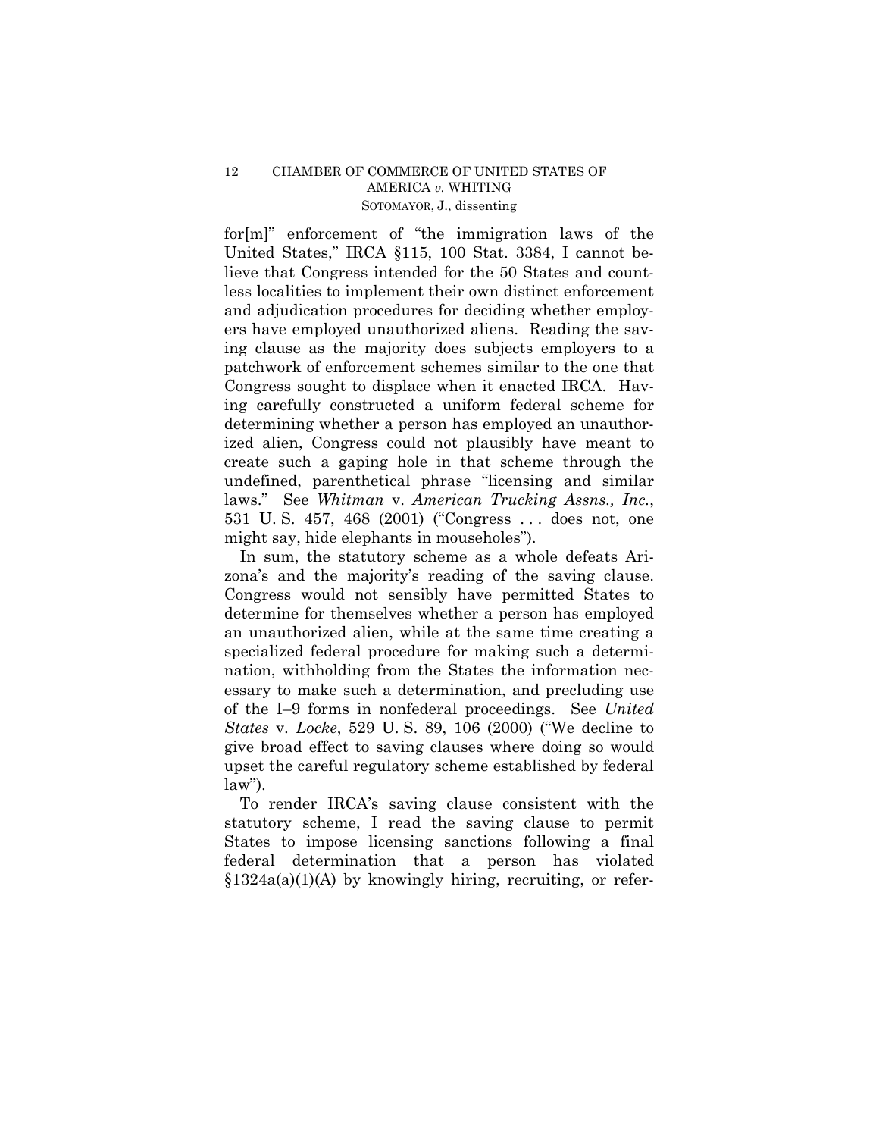## 12 CHAMBER OF COMMERCE OF UNITED STATES OF AMERICA *v.* WHITING SOTOMAYOR, J., dissenting

for[m]" enforcement of "the immigration laws of the United States," IRCA §115, 100 Stat. 3384, I cannot believe that Congress intended for the 50 States and countless localities to implement their own distinct enforcement and adjudication procedures for deciding whether employers have employed unauthorized aliens. Reading the saving clause as the majority does subjects employers to a patchwork of enforcement schemes similar to the one that Congress sought to displace when it enacted IRCA. Having carefully constructed a uniform federal scheme for determining whether a person has employed an unauthorized alien, Congress could not plausibly have meant to create such a gaping hole in that scheme through the undefined, parenthetical phrase "licensing and similar laws." See *Whitman* v. *American Trucking Assns., Inc.*, 531 U. S. 457, 468 (2001) ("Congress . . . does not, one might say, hide elephants in mouseholes").

In sum, the statutory scheme as a whole defeats Arizona's and the majority's reading of the saving clause. Congress would not sensibly have permitted States to determine for themselves whether a person has employed an unauthorized alien, while at the same time creating a specialized federal procedure for making such a determination, withholding from the States the information necessary to make such a determination, and precluding use of the I–9 forms in nonfederal proceedings. See *United States* v. *Locke*, 529 U. S. 89, 106 (2000) ("We decline to give broad effect to saving clauses where doing so would upset the careful regulatory scheme established by federal  $law$ ").

To render IRCA's saving clause consistent with the statutory scheme, I read the saving clause to permit States to impose licensing sanctions following a final federal determination that a person has violated  $$1324a(a)(1)(A)$  by knowingly hiring, recruiting, or refer-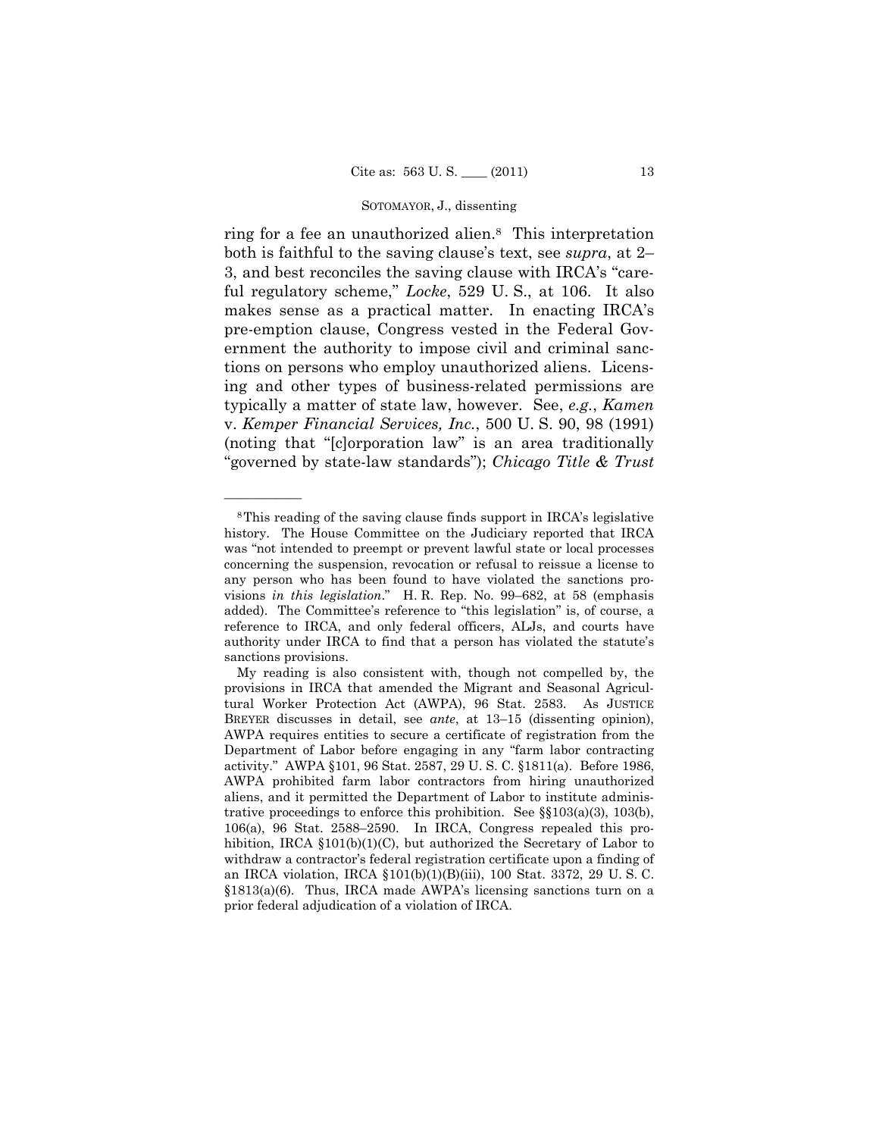## SOTOMAYOR, J., dissenting

ring for a fee an unauthorized alien.8 This interpretation both is faithful to the saving clause's text, see *supra*, at 2– 3, and best reconciles the saving clause with IRCA's "careful regulatory scheme," *Locke*, 529 U. S., at 106. It also makes sense as a practical matter. In enacting IRCA's pre-emption clause, Congress vested in the Federal Government the authority to impose civil and criminal sanctions on persons who employ unauthorized aliens. Licensing and other types of business-related permissions are typically a matter of state law, however. See, *e.g.*, *Kamen*  v. *Kemper Financial Services, Inc.*, 500 U. S. 90, 98 (1991) (noting that "[c]orporation law" is an area traditionally "governed by state-law standards"); *Chicago Title & Trust* 

<sup>8</sup>This reading of the saving clause finds support in IRCA's legislative history. The House Committee on the Judiciary reported that IRCA was "not intended to preempt or prevent lawful state or local processes concerning the suspension, revocation or refusal to reissue a license to any person who has been found to have violated the sanctions provisions *in this legislation*." H. R. Rep. No. 99–682, at 58 (emphasis added). The Committee's reference to "this legislation" is, of course, a reference to IRCA, and only federal officers, ALJs, and courts have authority under IRCA to find that a person has violated the statute's sanctions provisions.

My reading is also consistent with, though not compelled by, the provisions in IRCA that amended the Migrant and Seasonal Agricultural Worker Protection Act (AWPA), 96 Stat. 2583. As JUSTICE BREYER discusses in detail, see *ante*, at 13–15 (dissenting opinion), AWPA requires entities to secure a certificate of registration from the Department of Labor before engaging in any "farm labor contracting activity." AWPA §101, 96 Stat. 2587, 29 U. S. C. §1811(a). Before 1986, AWPA prohibited farm labor contractors from hiring unauthorized aliens, and it permitted the Department of Labor to institute administrative proceedings to enforce this prohibition. See §§103(a)(3), 103(b), 106(a), 96 Stat. 2588–2590. In IRCA, Congress repealed this prohibition, IRCA  $$101(b)(1)(C)$ , but authorized the Secretary of Labor to withdraw a contractor's federal registration certificate upon a finding of an IRCA violation, IRCA §101(b)(1)(B)(iii), 100 Stat. 3372, 29 U. S. C. §1813(a)(6). Thus, IRCA made AWPA's licensing sanctions turn on a prior federal adjudication of a violation of IRCA.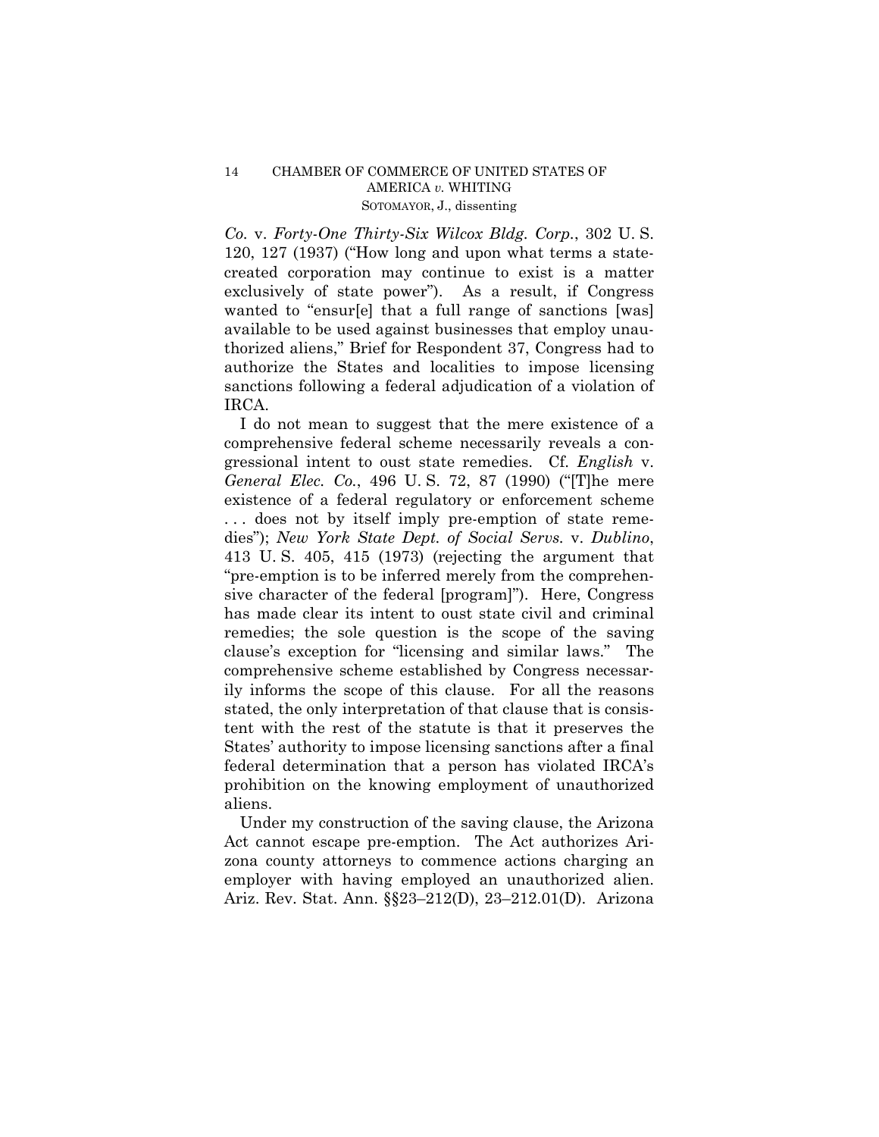## 14 CHAMBER OF COMMERCE OF UNITED STATES OF AMERICA *v.* WHITING SOTOMAYOR, J., dissenting

*Co.* v. *Forty-One Thirty-Six Wilcox Bldg. Corp.*, 302 U. S. 120, 127 (1937) ("How long and upon what terms a statecreated corporation may continue to exist is a matter exclusively of state power"). As a result, if Congress wanted to "ensur[e] that a full range of sanctions [was] available to be used against businesses that employ unauthorized aliens," Brief for Respondent 37, Congress had to authorize the States and localities to impose licensing sanctions following a federal adjudication of a violation of IRCA.

I do not mean to suggest that the mere existence of a comprehensive federal scheme necessarily reveals a congressional intent to oust state remedies. Cf. *English* v. *General Elec. Co.*, 496 U. S. 72, 87 (1990) ("[T]he mere existence of a federal regulatory or enforcement scheme . . . does not by itself imply pre-emption of state remedies"); *New York State Dept. of Social Servs.* v. *Dublino*, 413 U. S. 405, 415 (1973) (rejecting the argument that "pre-emption is to be inferred merely from the comprehensive character of the federal [program]"). Here, Congress has made clear its intent to oust state civil and criminal remedies; the sole question is the scope of the saving clause's exception for "licensing and similar laws." The comprehensive scheme established by Congress necessarily informs the scope of this clause. For all the reasons stated, the only interpretation of that clause that is consistent with the rest of the statute is that it preserves the States' authority to impose licensing sanctions after a final federal determination that a person has violated IRCA's prohibition on the knowing employment of unauthorized aliens.

Under my construction of the saving clause, the Arizona Act cannot escape pre-emption. The Act authorizes Arizona county attorneys to commence actions charging an employer with having employed an unauthorized alien. Ariz. Rev. Stat. Ann. §§23–212(D), 23–212.01(D). Arizona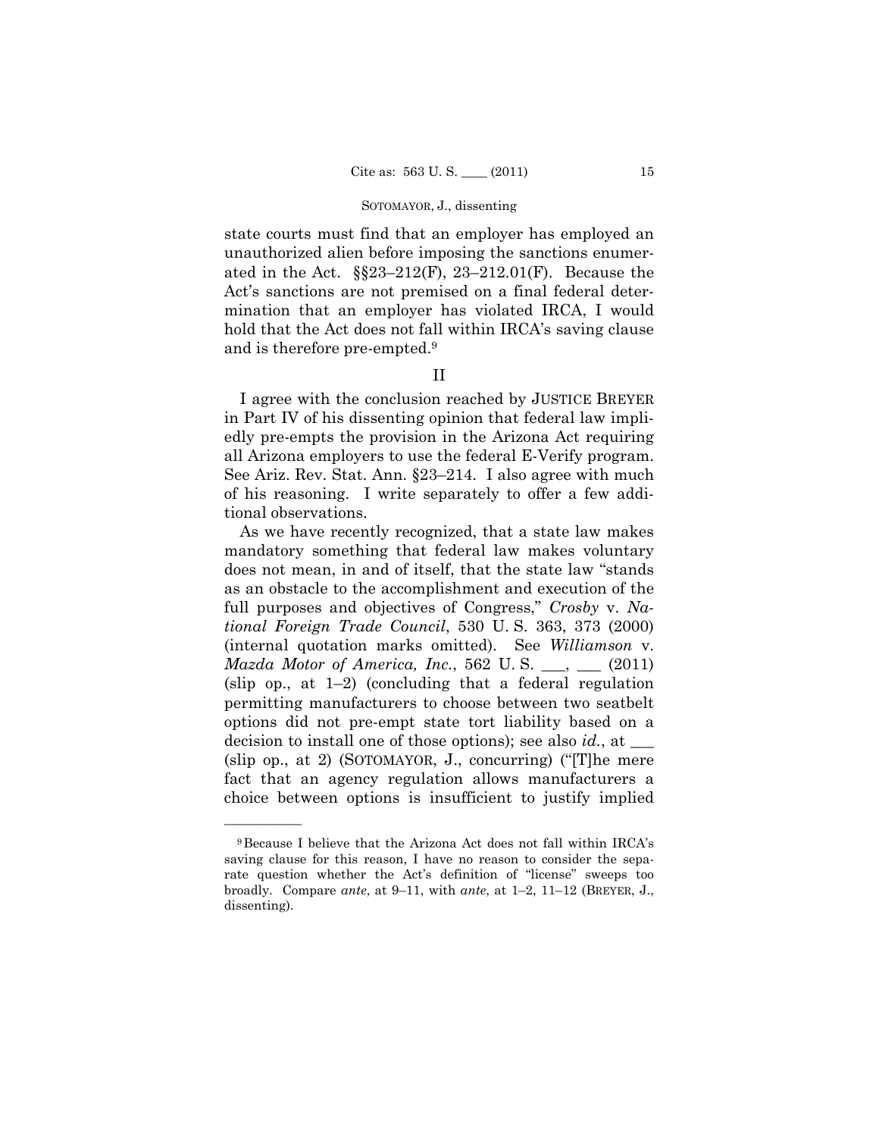#### SOTOMAYOR, J., dissenting

state courts must find that an employer has employed an unauthorized alien before imposing the sanctions enumerated in the Act.  $\S$  $23-212$ (F),  $23-212.01$ (F). Because the Act's sanctions are not premised on a final federal determination that an employer has violated IRCA, I would hold that the Act does not fall within IRCA's saving clause and is therefore pre-empted.9

## II

I agree with the conclusion reached by JUSTICE BREYER in Part IV of his dissenting opinion that federal law impliedly pre-empts the provision in the Arizona Act requiring all Arizona employers to use the federal E-Verify program. See Ariz. Rev. Stat. Ann. §23–214. I also agree with much of his reasoning. I write separately to offer a few additional observations.

As we have recently recognized, that a state law makes mandatory something that federal law makes voluntary does not mean, in and of itself, that the state law "stands as an obstacle to the accomplishment and execution of the full purposes and objectives of Congress," *Crosby* v. *National Foreign Trade Council*, 530 U. S. 363, 373 (2000) (internal quotation marks omitted). See *Williamson* v. *Mazda Motor of America, Inc.*, 562 U.S. \_\_, \_\_ (2011) (slip op., at  $1-2$ ) (concluding that a federal regulation permitting manufacturers to choose between two seatbelt options did not pre-empt state tort liability based on a decision to install one of those options); see also *id.*, at \_\_\_ (slip op., at 2) (SOTOMAYOR, J., concurring) ("[T]he mere fact that an agency regulation allows manufacturers a choice between options is insufficient to justify implied

<sup>9</sup>Because I believe that the Arizona Act does not fall within IRCA's saving clause for this reason, I have no reason to consider the separate question whether the Act's definition of "license" sweeps too broadly. Compare *ante*, at 9–11, with *ante*, at 1–2, 11–12 (BREYER, J., dissenting).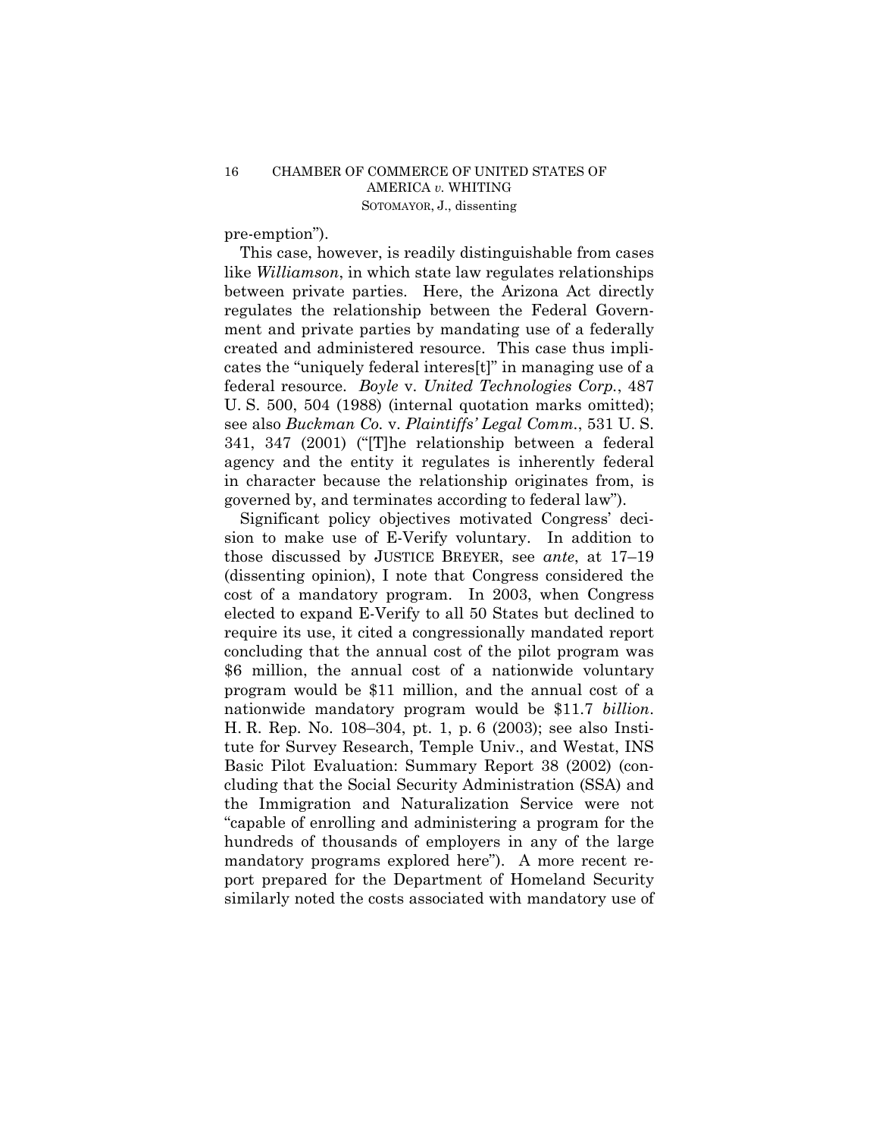pre-emption").

This case, however, is readily distinguishable from cases like *Williamson*, in which state law regulates relationships between private parties. Here, the Arizona Act directly regulates the relationship between the Federal Government and private parties by mandating use of a federally created and administered resource. This case thus implicates the "uniquely federal interes[t]" in managing use of a federal resource. *Boyle* v. *United Technologies Corp.*, 487 U. S. 500, 504 (1988) (internal quotation marks omitted); see also *Buckman Co.* v. *Plaintiffs' Legal Comm.*, 531 U. S. 341, 347 (2001) ("[T]he relationship between a federal agency and the entity it regulates is inherently federal in character because the relationship originates from, is governed by, and terminates according to federal law").

Significant policy objectives motivated Congress' decision to make use of E-Verify voluntary. In addition to those discussed by JUSTICE BREYER, see *ante*, at 17–19 (dissenting opinion), I note that Congress considered the cost of a mandatory program. In 2003, when Congress elected to expand E-Verify to all 50 States but declined to require its use, it cited a congressionally mandated report concluding that the annual cost of the pilot program was \$6 million, the annual cost of a nationwide voluntary program would be \$11 million, and the annual cost of a nationwide mandatory program would be \$11.7 *billion*. H. R. Rep. No. 108–304, pt. 1, p. 6 (2003); see also Institute for Survey Research, Temple Univ., and Westat, INS Basic Pilot Evaluation: Summary Report 38 (2002) (concluding that the Social Security Administration (SSA) and the Immigration and Naturalization Service were not "capable of enrolling and administering a program for the hundreds of thousands of employers in any of the large mandatory programs explored here"). A more recent report prepared for the Department of Homeland Security similarly noted the costs associated with mandatory use of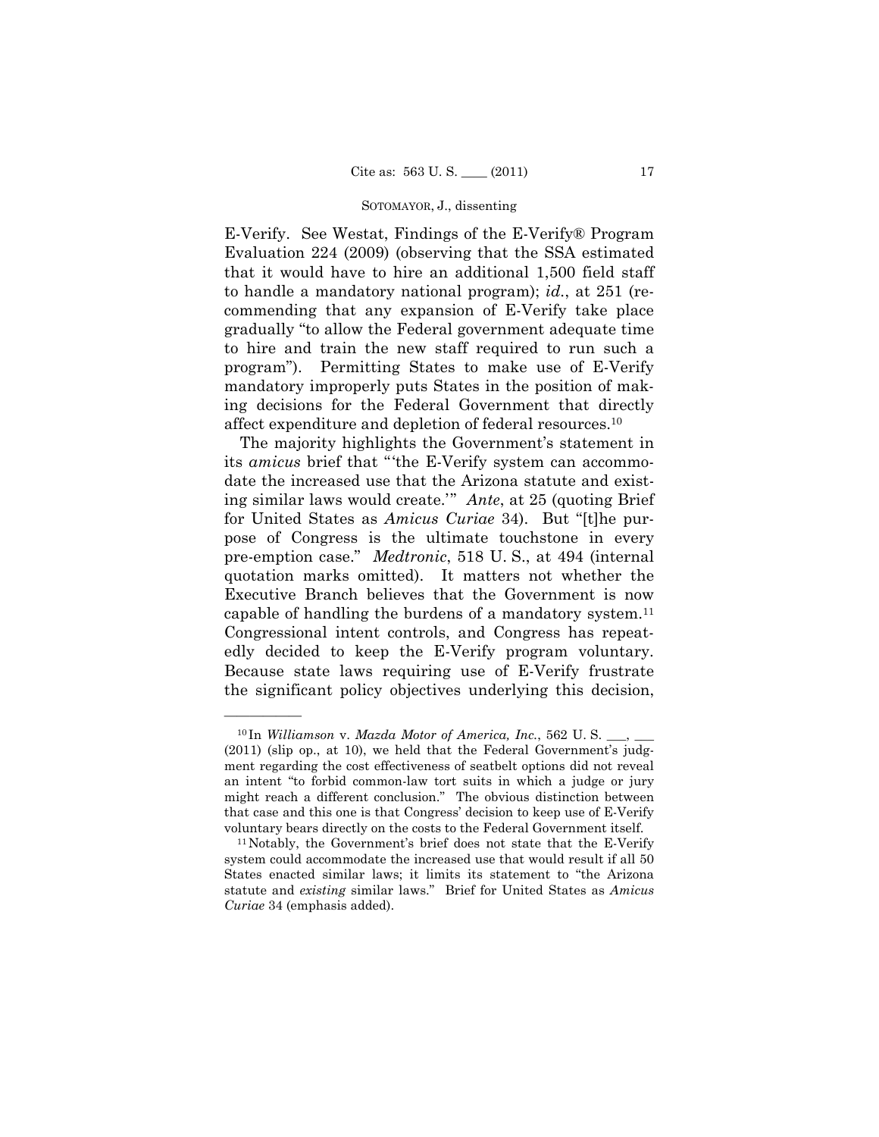#### SOTOMAYOR, J., dissenting

E-Verify. See Westat, Findings of the E-Verify® Program Evaluation 224 (2009) (observing that the SSA estimated that it would have to hire an additional 1,500 field staff to handle a mandatory national program); *id.*, at 251 (recommending that any expansion of E-Verify take place gradually "to allow the Federal government adequate time to hire and train the new staff required to run such a program"). Permitting States to make use of E-Verify mandatory improperly puts States in the position of making decisions for the Federal Government that directly affect expenditure and depletion of federal resources.10

The majority highlights the Government's statement in its *amicus* brief that "'the E-Verify system can accommodate the increased use that the Arizona statute and existing similar laws would create.'" *Ante*, at 25 (quoting Brief for United States as *Amicus Curiae* 34). But "[t]he purpose of Congress is the ultimate touchstone in every pre-emption case." *Medtronic*, 518 U. S., at 494 (internal quotation marks omitted). It matters not whether the Executive Branch believes that the Government is now capable of handling the burdens of a mandatory system.11 Congressional intent controls, and Congress has repeatedly decided to keep the E-Verify program voluntary. Because state laws requiring use of E-Verify frustrate the significant policy objectives underlying this decision,

<sup>&</sup>lt;sup>10</sup> In *Williamson v. Mazda Motor of America, Inc.*, 562 U.S. (2011) (slip op., at 10), we held that the Federal Government's judgment regarding the cost effectiveness of seatbelt options did not reveal an intent "to forbid common-law tort suits in which a judge or jury might reach a different conclusion." The obvious distinction between that case and this one is that Congress' decision to keep use of E-Verify

voluntary bears directly on the costs to the Federal Government itself. 11Notably, the Government's brief does not state that the E-Verify system could accommodate the increased use that would result if all 50 States enacted similar laws; it limits its statement to "the Arizona statute and *existing* similar laws." Brief for United States as *Amicus Curiae* 34 (emphasis added).